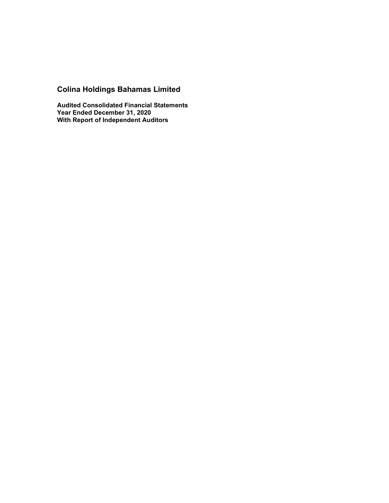# **Colina Holdings Bahamas Limited**

**Audited Consolidated Financial Statements Year Ended December 31, 2020 With Report of Independent Auditors**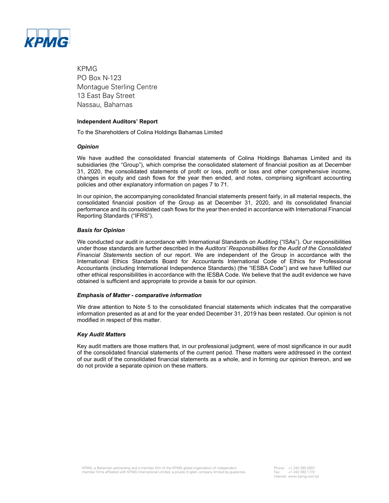

KPMG PO Box N-123 Montague Sterling Centre 13 East Bay Street Nassau, Bahamas

#### **Independent Auditors' Report**

To the Shareholders of Colina Holdings Bahamas Limited

#### *Opinion*

We have audited the consolidated financial statements of Colina Holdings Bahamas Limited and its subsidiaries (the "Group"), which comprise the consolidated statement of financial position as at December 31, 2020, the consolidated statements of profit or loss, profit or loss and other comprehensive income, changes in equity and cash flows for the year then ended, and notes, comprising significant accounting policies and other explanatory information on pages 7 to 71.

In our opinion, the accompanying consolidated financial statements present fairly, in all material respects, the consolidated financial position of the Group as at December 31, 2020, and its consolidated financial performance and its consolidated cash flows for the year then ended in accordance with International Financial Reporting Standards ("IFRS").

#### *Basis for Opinion*

We conducted our audit in accordance with International Standards on Auditing ("ISAs"). Our responsibilities under those standards are further described in the *Auditors' Responsibilities for the Audit of the Consolidated Financial Statements* section of our report. We are independent of the Group in accordance with the International Ethics Standards Board for Accountants International Code of Ethics for Professional Accountants (including International Independence Standards) (the "IESBA Code") and we have fulfilled our other ethical responsibilities in accordance with the IESBA Code. We believe that the audit evidence we have obtained is sufficient and appropriate to provide a basis for our opinion.

#### *Emphasis of Matter - comparative information*

We draw attention to Note 5 to the consolidated financial statements which indicates that the comparative information presented as at and for the year ended December 31, 2019 has been restated. Our opinion is not modified in respect of this matter.

#### *Key Audit Matters*

Key audit matters are those matters that, in our professional judgment, were of most significance in our audit of the consolidated financial statements of the current period. These matters were addressed in the context of our audit of the consolidated financial statements as a whole, and in forming our opinion thereon, and we do not provide a separate opinion on these matters.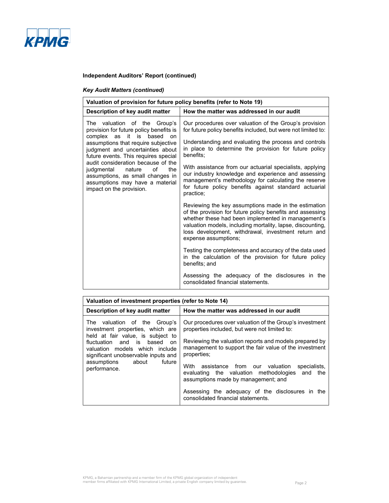

# *Key Audit Matters (continued)*

| Valuation of provision for future policy benefits (refer to Note 19)                                                                                                                                                                                                                                                                                                                                        |                                                                                                                                                                                                                                                                                                                                                                                                                                                                                                         |  |  |  |  |  |
|-------------------------------------------------------------------------------------------------------------------------------------------------------------------------------------------------------------------------------------------------------------------------------------------------------------------------------------------------------------------------------------------------------------|---------------------------------------------------------------------------------------------------------------------------------------------------------------------------------------------------------------------------------------------------------------------------------------------------------------------------------------------------------------------------------------------------------------------------------------------------------------------------------------------------------|--|--|--|--|--|
| Description of key audit matter                                                                                                                                                                                                                                                                                                                                                                             | How the matter was addressed in our audit                                                                                                                                                                                                                                                                                                                                                                                                                                                               |  |  |  |  |  |
| The valuation of the Group's<br>provision for future policy benefits is<br>complex as it is<br>based<br>on<br>assumptions that require subjective<br>judgment and uncertainties about<br>future events. This requires special<br>audit consideration because of the<br>of<br>judgmental<br>nature<br>the<br>assumptions, as small changes in<br>assumptions may have a material<br>impact on the provision. | Our procedures over valuation of the Group's provision<br>for future policy benefits included, but were not limited to:<br>Understanding and evaluating the process and controls<br>in place to determine the provision for future policy<br>benefits:<br>With assistance from our actuarial specialists, applying<br>our industry knowledge and experience and assessing<br>management's methodology for calculating the reserve<br>for future policy benefits against standard actuarial<br>practice: |  |  |  |  |  |
|                                                                                                                                                                                                                                                                                                                                                                                                             | Reviewing the key assumptions made in the estimation<br>of the provision for future policy benefits and assessing<br>whether these had been implemented in management's<br>valuation models, including mortality, lapse, discounting,<br>loss development, withdrawal, investment return and<br>expense assumptions;                                                                                                                                                                                    |  |  |  |  |  |
|                                                                                                                                                                                                                                                                                                                                                                                                             | Testing the completeness and accuracy of the data used<br>in the calculation of the provision for future policy<br>benefits; and                                                                                                                                                                                                                                                                                                                                                                        |  |  |  |  |  |
|                                                                                                                                                                                                                                                                                                                                                                                                             | Assessing the adequacy of the disclosures in the<br>consolidated financial statements.                                                                                                                                                                                                                                                                                                                                                                                                                  |  |  |  |  |  |

| Valuation of investment properties (refer to Note 14)                                                                                                                                                                                                              |                                                                                                                                                                                                                                                                                                                                                                                                                                                                                            |  |  |  |  |  |  |
|--------------------------------------------------------------------------------------------------------------------------------------------------------------------------------------------------------------------------------------------------------------------|--------------------------------------------------------------------------------------------------------------------------------------------------------------------------------------------------------------------------------------------------------------------------------------------------------------------------------------------------------------------------------------------------------------------------------------------------------------------------------------------|--|--|--|--|--|--|
| Description of key audit matter                                                                                                                                                                                                                                    | How the matter was addressed in our audit                                                                                                                                                                                                                                                                                                                                                                                                                                                  |  |  |  |  |  |  |
| The valuation of the Group's<br>investment properties, which are<br>held at fair value, is subject to<br>fluctuation and is based<br>on<br>valuation models which include<br>significant unobservable inputs and<br>future<br>assumptions<br>about<br>performance. | Our procedures over valuation of the Group's investment<br>properties included, but were not limited to:<br>Reviewing the valuation reports and models prepared by<br>management to support the fair value of the investment<br>properties;<br>assistance from our valuation<br>With<br>specialists.<br>evaluating the valuation methodologies and<br>the<br>assumptions made by management; and<br>Assessing the adequacy of the disclosures in the<br>consolidated financial statements. |  |  |  |  |  |  |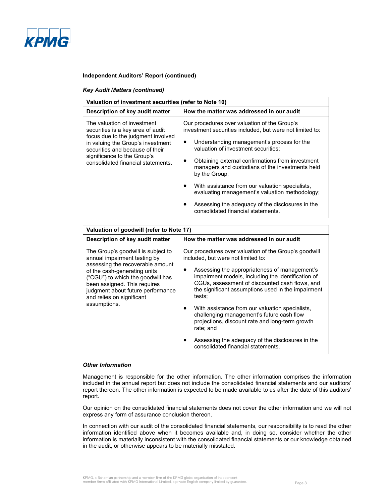

#### *Key Audit Matters (continued)*

| Valuation of investment securities (refer to Note 10)                                                                                                                                                                                               |                                                                                                                                                                                                                                                                                                                                                                                                                                                                                                                      |  |  |  |  |  |
|-----------------------------------------------------------------------------------------------------------------------------------------------------------------------------------------------------------------------------------------------------|----------------------------------------------------------------------------------------------------------------------------------------------------------------------------------------------------------------------------------------------------------------------------------------------------------------------------------------------------------------------------------------------------------------------------------------------------------------------------------------------------------------------|--|--|--|--|--|
| Description of key audit matter                                                                                                                                                                                                                     | How the matter was addressed in our audit                                                                                                                                                                                                                                                                                                                                                                                                                                                                            |  |  |  |  |  |
| The valuation of investment<br>securities is a key area of audit<br>focus due to the judgment involved<br>in valuing the Group's investment<br>securities and because of their<br>significance to the Group's<br>consolidated financial statements. | Our procedures over valuation of the Group's<br>investment securities included, but were not limited to:<br>Understanding management's process for the<br>valuation of investment securities:<br>Obtaining external confirmations from investment<br>managers and custodians of the investments held<br>by the Group:<br>With assistance from our valuation specialists,<br>evaluating management's valuation methodology;<br>Assessing the adequacy of the disclosures in the<br>consolidated financial statements. |  |  |  |  |  |

| Valuation of goodwill (refer to Note 17)                                                                                                                                                                                                                                                      |                                                                                                                                                                                                                                                                                                                                                                                                                                                                                                                                                                                |  |  |  |  |  |
|-----------------------------------------------------------------------------------------------------------------------------------------------------------------------------------------------------------------------------------------------------------------------------------------------|--------------------------------------------------------------------------------------------------------------------------------------------------------------------------------------------------------------------------------------------------------------------------------------------------------------------------------------------------------------------------------------------------------------------------------------------------------------------------------------------------------------------------------------------------------------------------------|--|--|--|--|--|
| Description of key audit matter                                                                                                                                                                                                                                                               | How the matter was addressed in our audit                                                                                                                                                                                                                                                                                                                                                                                                                                                                                                                                      |  |  |  |  |  |
| The Group's goodwill is subject to<br>annual impairment testing by<br>assessing the recoverable amount<br>of the cash-generating units<br>("CGU") to which the goodwill has<br>been assigned. This requires<br>judgment about future performance<br>and relies on significant<br>assumptions. | Our procedures over valuation of the Group's goodwill<br>included, but were not limited to:<br>Assessing the appropriateness of management's<br>impairment models, including the identification of<br>CGUs, assessment of discounted cash flows, and<br>the significant assumptions used in the impairment<br>tests;<br>With assistance from our valuation specialists,<br>challenging management's future cash flow<br>projections, discount rate and long-term growth<br>rate; and<br>Assessing the adequacy of the disclosures in the<br>consolidated financial statements. |  |  |  |  |  |

#### *Other Information*

Management is responsible for the other information. The other information comprises the information included in the annual report but does not include the consolidated financial statements and our auditors' report thereon. The other information is expected to be made available to us after the date of this auditors' report.

Our opinion on the consolidated financial statements does not cover the other information and we will not express any form of assurance conclusion thereon.

In connection with our audit of the consolidated financial statements, our responsibility is to read the other information identified above when it becomes available and, in doing so, consider whether the other information is materially inconsistent with the consolidated financial statements or our knowledge obtained in the audit, or otherwise appears to be materially misstated.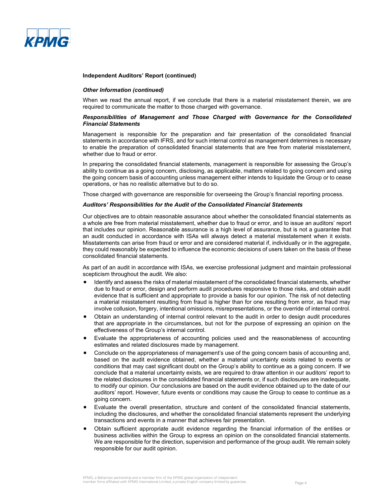

#### *Other Information (continued)*

When we read the annual report, if we conclude that there is a material misstatement therein, we are required to communicate the matter to those charged with governance.

#### *Responsibilities of Management and Those Charged with Governance for the Consolidated Financial Statements*

Management is responsible for the preparation and fair presentation of the consolidated financial statements in accordance with IFRS, and for such internal control as management determines is necessary to enable the preparation of consolidated financial statements that are free from material misstatement, whether due to fraud or error.

In preparing the consolidated financial statements, management is responsible for assessing the Group's ability to continue as a going concern, disclosing, as applicable, matters related to going concern and using the going concern basis of accounting unless management either intends to liquidate the Group or to cease operations, or has no realistic alternative but to do so.

Those charged with governance are responsible for overseeing the Group's financial reporting process.

#### *Auditors' Responsibilities for the Audit of the Consolidated Financial Statements*

Our objectives are to obtain reasonable assurance about whether the consolidated financial statements as a whole are free from material misstatement, whether due to fraud or error, and to issue an auditors' report that includes our opinion. Reasonable assurance is a high level of assurance, but is not a guarantee that an audit conducted in accordance with ISAs will always detect a material misstatement when it exists. Misstatements can arise from fraud or error and are considered material if, individually or in the aggregate, they could reasonably be expected to influence the economic decisions of users taken on the basis of these consolidated financial statements.

As part of an audit in accordance with ISAs, we exercise professional judgment and maintain professional scepticism throughout the audit. We also:

- Identify and assess the risks of material misstatement of the consolidated financial statements, whether due to fraud or error, design and perform audit procedures responsive to those risks, and obtain audit evidence that is sufficient and appropriate to provide a basis for our opinion. The risk of not detecting a material misstatement resulting from fraud is higher than for one resulting from error, as fraud may involve collusion, forgery, intentional omissions, misrepresentations, or the override of internal control.
- Obtain an understanding of internal control relevant to the audit in order to design audit procedures that are appropriate in the circumstances, but not for the purpose of expressing an opinion on the effectiveness of the Group's internal control.
- Evaluate the appropriateness of accounting policies used and the reasonableness of accounting estimates and related disclosures made by management.
- Conclude on the appropriateness of management's use of the going concern basis of accounting and, based on the audit evidence obtained, whether a material uncertainty exists related to events or conditions that may cast significant doubt on the Group's ability to continue as a going concern. If we conclude that a material uncertainty exists, we are required to draw attention in our auditors' report to the related disclosures in the consolidated financial statements or, if such disclosures are inadequate, to modify our opinion. Our conclusions are based on the audit evidence obtained up to the date of our auditors' report. However, future events or conditions may cause the Group to cease to continue as a going concern.
- Evaluate the overall presentation, structure and content of the consolidated financial statements, including the disclosures, and whether the consolidated financial statements represent the underlying transactions and events in a manner that achieves fair presentation.
- Obtain sufficient appropriate audit evidence regarding the financial information of the entities or business activities within the Group to express an opinion on the consolidated financial statements. We are responsible for the direction, supervision and performance of the group audit. We remain solely responsible for our audit opinion.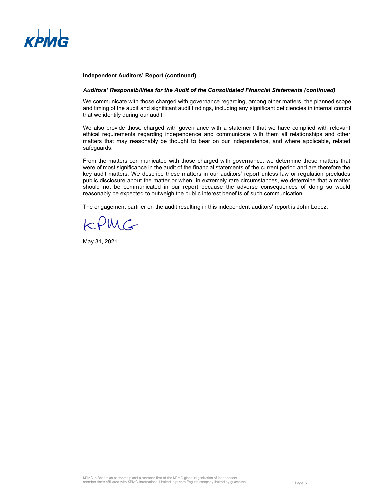

#### *Auditors' Responsibilities for the Audit of the Consolidated Financial Statements (continued)*

We communicate with those charged with governance regarding, among other matters, the planned scope and timing of the audit and significant audit findings, including any significant deficiencies in internal control that we identify during our audit.

We also provide those charged with governance with a statement that we have complied with relevant ethical requirements regarding independence and communicate with them all relationships and other matters that may reasonably be thought to bear on our independence, and where applicable, related safeguards.

From the matters communicated with those charged with governance, we determine those matters that were of most significance in the audit of the financial statements of the current period and are therefore the key audit matters. We describe these matters in our auditors' report unless law or regulation precludes public disclosure about the matter or when, in extremely rare circumstances, we determine that a matter should not be communicated in our report because the adverse consequences of doing so would reasonably be expected to outweigh the public interest benefits of such communication.

The engagement partner on the audit resulting in this independent auditors' report is John Lopez.

 $kPMG$ 

May 31, 2021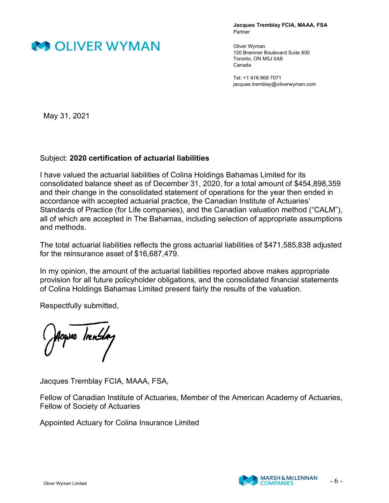

**Jacques Tremblay FCIA, MAAA, FSA** Partner

Oliver Wyman 120 Bremner Boulevard Suite 800 Toronto, ON M5J 0A8 Canada

Tel: +1 416 868 7071 jacques.tremblay@oliverwyman.com

May 31, 2021

# Subject: **2020 certification of actuarial liabilities**

I have valued the actuarial liabilities of Colina Holdings Bahamas Limited for its consolidated balance sheet as of December 31, 2020, for a total amount of \$454,898,359 and their change in the consolidated statement of operations for the year then ended in accordance with accepted actuarial practice, the Canadian Institute of Actuaries' Standards of Practice (for Life companies), and the Canadian valuation method ("CALM"), all of which are accepted in The Bahamas, including selection of appropriate assumptions and methods.

The total actuarial liabilities reflects the gross actuarial liabilities of \$471,585,838 adjusted for the reinsurance asset of \$16,687,479.

In my opinion, the amount of the actuarial liabilities reported above makes appropriate provision for all future policyholder obligations, and the consolidated financial statements of Colina Holdings Bahamas Limited present fairly the results of the valuation.

Respectfully submitted,

cqves Innsdag

Jacques Tremblay FCIA, MAAA, FSA,

Fellow of Canadian Institute of Actuaries, Member of the American Academy of Actuaries, Fellow of Society of Actuaries

Appointed Actuary for Colina Insurance Limited

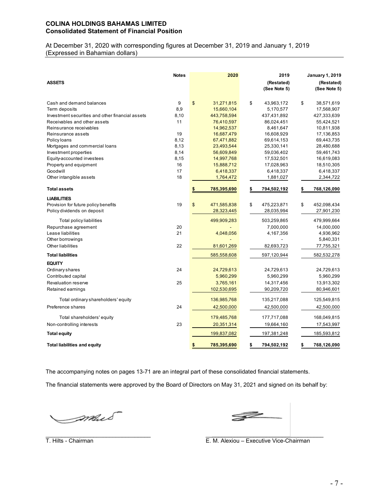# **COLINA HOLDINGS BAHAMAS LIMITED Consolidated Statement of Financial Position**

At December 31, 2020 with corresponding figures at December 31, 2019 and January 1, 2019 (Expressed in Bahamian dollars)

| <b>ASSETS</b>                                    | <b>Notes</b> | 2020              | 2019<br>(Restated)<br>(See Note 5) | <b>January 1, 2019</b><br>(Restated)<br>(See Note 5) |
|--------------------------------------------------|--------------|-------------------|------------------------------------|------------------------------------------------------|
| Cash and demand balances                         | 9            | \$<br>31,271,815  | \$<br>43,963,172                   | \$<br>38,571,619                                     |
| Term deposits                                    | 8,9          | 15,660,104        | 5,170,577                          | 17,568,907                                           |
| Investment securities and other financial assets | 8,10         | 443,758,594       | 437,431,892                        | 427,333,639                                          |
| Receivables and other assets                     | 11           | 76,410,597        | 86,024,451                         | 55,424,521                                           |
| Reinsurance receivables                          |              | 14,962,537        | 8,461,647                          | 10,811,938                                           |
| Reinsurance assets                               | 19           | 16,687,479        | 16,608,929                         | 17,136,853                                           |
| Policy loans                                     | 8,12         | 67,471,882        | 69,614,153                         | 69,443,735                                           |
| Mortgages and commercial loans                   | 8,13         | 23,493,544        | 25,330,141                         | 28,480,688                                           |
| Investment properties                            | 8,14         | 56,609,849        | 59,036,402                         | 59,461,743                                           |
| Equity-accounted investees                       | 8,15         | 14,997,768        | 17,532,501                         | 16,619,083                                           |
| Property and equipment                           | 16           | 15,888,712        | 17,028,963                         | 18,510,305                                           |
| Goodwill                                         | 17           | 6,418,337         | 6,418,337                          | 6,418,337                                            |
| Other intangible assets                          | 18           | 1,764,472         | 1,881,027                          | 2,344,722                                            |
| <b>Total assets</b>                              |              | 785,395,690       | 794,502,192                        | 768,126,090                                          |
| <b>LIABILITIES</b>                               |              |                   |                                    |                                                      |
| Provision for future policy benefits             | 19           | \$<br>471,585,838 | \$<br>475,223,871                  | \$<br>452,098,434                                    |
| Policy dividends on deposit                      |              | 28,323,445        | 28,035,994                         | 27,901,230                                           |
| Total policy liabilities                         |              | 499,909,283       | 503,259,865                        | 479,999,664                                          |
| Repurchase agreement                             | 20           |                   | 7,000,000                          | 14,000,000                                           |
| Lease liabilities                                | 21           | 4,048,056         | 4,167,356                          | 4,936,962                                            |
| Other borrowings                                 |              |                   |                                    | 5,840,331                                            |
| <b>Other liabilities</b>                         | 22           | 81,601,269        | 82,693,723                         | 77,755,321                                           |
| <b>Total liabilities</b>                         |              | 585,558,608       | 597,120,944                        | 582,532,278                                          |
| <b>EQUITY</b>                                    |              |                   |                                    |                                                      |
| Ordinary shares                                  | 24           | 24,729,613        | 24,729,613                         | 24,729,613                                           |
| Contributed capital                              |              | 5,960,299         | 5,960,299                          | 5,960,299                                            |
| Revaluation reserve                              | 25           | 3,765,161         | 14,317,456                         | 13,913,302                                           |
| Retained earnings                                |              | 102,530,695       | 90,209,720                         | 80,946,601                                           |
| Total ordinary shareholders' equity              |              | 136,985,768       | 135,217,088                        | 125,549,815                                          |
| Preference shares                                | 24           | 42,500,000        | 42,500,000                         | 42,500,000                                           |
| Total shareholders' equity                       |              | 179,485,768       | 177,717,088                        | 168,049,815                                          |
| Non-controlling interests                        | 23           | 20,351,314        | 19,664,160                         | 17,543,997                                           |
| <b>Total equity</b>                              |              | 199,837,082       | 197,381,248                        | 185,593,812                                          |
| <b>Total liabilities and equity</b>              |              | 785,395,690       | \$<br>794,502,192                  | \$<br>768,126,090                                    |

The accompanying notes on pages 13-71 are an integral part of these consolidated financial statements.

The financial statements were approved by the Board of Directors on May 31, 2021 and signed on its behalf by:

\_\_\_\_\_\_\_\_\_\_\_\_\_\_\_\_\_\_\_\_\_\_\_\_\_\_\_\_\_\_\_\_\_ \_\_\_\_\_\_\_\_\_\_\_\_\_\_\_\_\_\_\_\_\_\_\_\_\_\_\_\_\_\_\_\_\_\_\_\_\_

mus<sup>-</sup>

 $\mathbb{Z}$ 

T. Hilts - Chairman **E. M. Alexiou – Executive Vice-Chairman**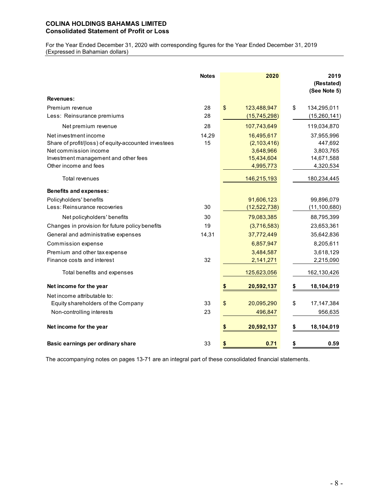# **COLINA HOLDINGS BAHAMAS LIMITED Consolidated Statement of Profit or Loss**

For the Year Ended December 31, 2020 with corresponding figures for the Year Ended December 31, 2019 (Expressed in Bahamian dollars)

|                                                      | <b>Notes</b> | 2020              | 2019<br>(Restated)<br>(See Note 5) |
|------------------------------------------------------|--------------|-------------------|------------------------------------|
| <b>Revenues:</b>                                     |              |                   |                                    |
| Premium revenue                                      | 28           | \$<br>123,488,947 | \$<br>134,295,011                  |
| Less: Reinsurance premiums                           | 28           | (15,745,298)      | (15,260,141)                       |
| Net premium revenue                                  | 28           | 107,743,649       | 119,034,870                        |
| Net investment income                                | 14,29        | 16,495,617        | 37,955,996                         |
| Share of profit/(loss) of equity-accounted investees | 15           | (2,103,416)       | 447,692                            |
| Net commission income                                |              | 3,648,966         | 3,803,765                          |
| Investment management and other fees                 |              | 15,434,604        | 14,671,588                         |
| Other income and fees                                |              | 4,995,773         | 4,320,534                          |
| Total revenues                                       |              | 146,215,193       | 180,234,445                        |
| <b>Benefits and expenses:</b>                        |              |                   |                                    |
| Policyholders' benefits                              |              | 91,606,123        | 99,896,079                         |
| Less: Reinsurance recoveries                         | 30           | (12,522,738)      | (11, 100, 680)                     |
| Net policyholders' benefits                          | 30           | 79,083,385        | 88,795,399                         |
| Changes in provision for future policy benefits      | 19           | (3,716,583)       | 23,653,361                         |
| General and administrative expenses                  | 14,31        | 37,772,449        | 35,642,836                         |
| Commission expense                                   |              | 6,857,947         | 8,205,611                          |
| Premium and other tax expense                        |              | 3,484,587         | 3,618,129                          |
| Finance costs and interest                           | 32           | 2,141,271         | 2,215,090                          |
| Total benefits and expenses                          |              | 125,623,056       | 162,130,426                        |
| Net income for the year                              |              | 20,592,137<br>\$  | \$<br>18,104,019                   |
| Net income attributable to:                          |              |                   |                                    |
| Equity shareholders of the Company                   | 33           | \$<br>20,095,290  | \$<br>17, 147, 384                 |
| Non-controlling interests                            | 23           | 496,847           | 956,635                            |
| Net income for the year                              |              | 20,592,137        | 18,104,019                         |
| Basic earnings per ordinary share                    | 33           | 0.71<br>\$        | \$<br>0.59                         |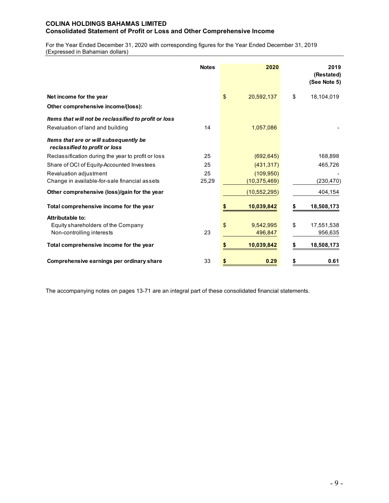# **COLINA HOLDINGS BAHAMAS LIMITED Consolidated Statement of Profit or Loss and Other Comprehensive Income**

For the Year Ended December 31, 2020 with corresponding figures for the Year Ended December 31, 2019 (Expressed in Bahamian dollars)

|                                                                                     | <b>Notes</b> | 2020                       | 2019<br>(Restated)<br>(See Note 5) |
|-------------------------------------------------------------------------------------|--------------|----------------------------|------------------------------------|
| Net income for the year                                                             |              | \$<br>20,592,137           | \$<br>18,104,019                   |
| Other comprehensive income/(loss):                                                  |              |                            |                                    |
| Items that will not be reclassified to profit or loss                               |              |                            |                                    |
| Revaluation of land and building                                                    | 14           | 1,057,086                  |                                    |
| Items that are or will subsequently be<br>reclassified to profit or loss            |              |                            |                                    |
| Reclassification during the year to profit or loss                                  | 25           | (692, 645)                 | 168,898                            |
| Share of OCI of Equity-Accounted Investees                                          | 25           | (431, 317)                 | 465,726                            |
| Revaluation adjustment                                                              | 25           | (109, 950)                 |                                    |
| Change in available-for-sale financial assets                                       | 25,29        | (10, 375, 469)             | (230, 470)                         |
| Other comprehensive (loss)/gain for the year                                        |              | (10, 552, 295)             | 404,154                            |
| Total comprehensive income for the year                                             |              | 10,039,842                 | 18,508,173                         |
| Attributable to:<br>Equity shareholders of the Company<br>Non-controlling interests | 23           | \$<br>9,542,995<br>496,847 | \$<br>17,551,538<br>956,635        |
| Total comprehensive income for the year                                             |              | 10,039,842                 | 18,508,173                         |
| Comprehensive earnings per ordinary share                                           | 33           | 0.29                       | 0.61                               |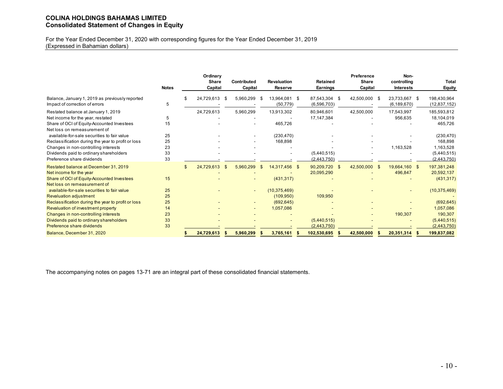# **COLINA HOLDINGS BAHAMAS LIMITED Consolidated Statement of Changes in Equity**

For the Year Ended December 31, 2020 with corresponding figures for the Year Ended December 31, 2019 (Expressed in Bahamian dollars)

|                                                                                   | <b>Notes</b> |                | Ordinary<br>Share<br>Capital |     | <b>Contributed</b><br>Capital | <b>Revaluation</b><br><b>Reserve</b> | <b>Retained</b><br><b>Earnings</b> | Preference<br><b>Share</b><br>Capital |     | Non-<br>controlling<br><b>Interests</b> | <b>Total</b><br><b>Equity</b> |
|-----------------------------------------------------------------------------------|--------------|----------------|------------------------------|-----|-------------------------------|--------------------------------------|------------------------------------|---------------------------------------|-----|-----------------------------------------|-------------------------------|
| Balance, January 1, 2019 as previously reported<br>Impact of correction of errors | 5            | \$             | 24,729,613                   | -\$ | 5,960,299                     | \$<br>13,964,081 \$<br>(50, 779)     | 87,543,304<br>(6,596,703)          | \$<br>42,500,000 \$                   |     | 23,733,667 \$<br>(6, 189, 670)          | 198,430,964<br>(12, 837, 152) |
| Restated balance at January 1, 2019                                               |              |                | 24,729,613                   |     | 5,960,299                     | 13,913,302                           | 80,946,601                         | 42,500,000                            |     | 17,543,997                              | 185,593,812                   |
| Net income for the year, restated                                                 | 5            |                |                              |     |                               |                                      | 17,147,384                         |                                       |     | 956,635                                 | 18,104,019                    |
| Share of OCI of Equity-Accounted Investees<br>Net loss on remeasurement of        | 15           |                |                              |     |                               | 465,726                              |                                    |                                       |     |                                         | 465,726                       |
| available-for-sale securities to fair value                                       | 25           |                |                              |     |                               | (230, 470)                           |                                    |                                       |     |                                         | (230, 470)                    |
| Reclassification during the year to profit or loss                                | 25           |                |                              |     |                               | 168,898                              |                                    |                                       |     |                                         | 168,898                       |
| Changes in non-controlling interests                                              | 23           |                |                              |     |                               |                                      |                                    |                                       |     | 1,163,528                               | 1,163,528                     |
| Dividends paid to ordinary shareholders                                           | 33           |                |                              |     |                               |                                      | (5,440,515)                        |                                       |     |                                         | (5,440,515)                   |
| Preference share dividends                                                        | 33           |                |                              |     |                               |                                      | (2,443,750)                        |                                       |     |                                         | (2,443,750)                   |
| Restated balance at December 31, 2019<br>Net income for the year                  |              | $\mathfrak{L}$ | 24,729,613                   |     | 5,960,299                     | \$<br>14,317,456 \$                  | 90,209,720 \$<br>20,095,290        | 42,500,000                            | -\$ | 19,664,160 \$<br>496,847                | 197,381,248<br>20,592,137     |
| Share of OCI of Equity-Accounted Investees<br>Net loss on remeasurement of        | 15           |                |                              |     |                               | (431, 317)                           |                                    |                                       |     |                                         | (431, 317)                    |
| available-for-sale securities to fair value                                       | 25           |                |                              |     |                               | (10, 375, 469)                       |                                    |                                       |     |                                         | (10, 375, 469)                |
| <b>Revaluation adjustment</b>                                                     | 25           |                |                              |     |                               | (109, 950)                           | 109,950                            |                                       |     |                                         |                               |
| Reclassification during the year to profit or loss                                | 25           |                |                              |     |                               | (692, 645)                           |                                    |                                       |     |                                         | (692, 645)                    |
| Revaluation of investment property                                                | 14           |                |                              |     |                               | 1,057,086                            |                                    |                                       |     |                                         | 1,057,086                     |
| Changes in non-controlling interests                                              | 23           |                |                              |     |                               |                                      |                                    |                                       |     | 190,307                                 | 190,307                       |
| Dividends paid to ordinary shareholders                                           | 33           |                |                              |     |                               |                                      | (5,440,515)                        |                                       |     |                                         | (5,440,515)                   |
| Preference share dividends                                                        | 33           |                |                              |     |                               |                                      | (2,443,750)                        |                                       |     |                                         | (2,443,750)                   |
| Balance, December 31, 2020                                                        |              |                | 24,729,613                   |     | 5,960,299                     | 3,765,161                            | 102,530,695                        | 42,500,000                            |     | 20,351,314                              | 199,837,082                   |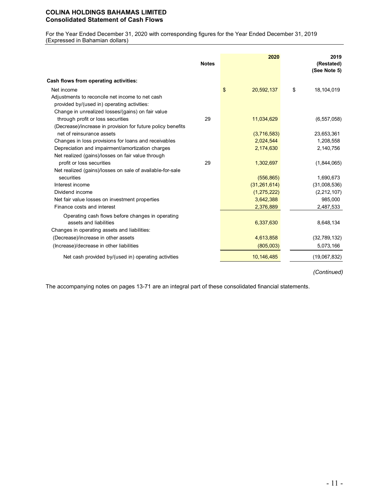# **COLINA HOLDINGS BAHAMAS LIMITED Consolidated Statement of Cash Flows**

For the Year Ended December 31, 2020 with corresponding figures for the Year Ended December 31, 2019 (Expressed in Bahamian dollars)

|                                                             | <b>Notes</b> | 2020             | 2019<br>(Restated)<br>(See Note 5) |
|-------------------------------------------------------------|--------------|------------------|------------------------------------|
| Cash flows from operating activities:                       |              |                  |                                    |
| Net income                                                  |              | \$<br>20,592,137 | 18,104,019<br>\$                   |
| Adjustments to reconcile net income to net cash             |              |                  |                                    |
| provided by/(used in) operating activities:                 |              |                  |                                    |
| Change in unrealized losses/(gains) on fair value           |              |                  |                                    |
| through profit or loss securities                           | 29           | 11,034,629       | (6, 557, 058)                      |
| (Decrease)/increase in provision for future policy benefits |              |                  |                                    |
| net of reinsurance assets                                   |              | (3,716,583)      | 23,653,361                         |
| Changes in loss provisions for loans and receivables        |              | 2,024,544        | 1,208,558                          |
| Depreciation and impairment/amortization charges            |              | 2,174,630        | 2,140,756                          |
| Net realized (gains)/losses on fair value through           |              |                  |                                    |
| profit or loss securities                                   | 29           | 1,302,697        | (1,844,065)                        |
| Net realized (gains)/losses on sale of available-for-sale   |              |                  |                                    |
| securities                                                  |              | (556, 865)       | 1,690,673                          |
| Interest income                                             |              | (31, 261, 614)   | (31,008,536)                       |
| Dividend income                                             |              | (1, 275, 222)    | (2, 212, 107)                      |
| Net fair value losses on investment properties              |              | 3,642,388        | 985,000                            |
| Finance costs and interest                                  |              | 2,376,889        | 2,487,533                          |
| Operating cash flows before changes in operating            |              |                  |                                    |
| assets and liabilities                                      |              | 6,337,630        | 8,648,134                          |
| Changes in operating assets and liabilities:                |              |                  |                                    |
| (Decrease)/increase in other assets                         |              | 4,613,858        | (32,789,132)                       |
| (Increase)/decrease in other liabilities                    |              | (805,003)        | 5,073,166                          |
| Net cash provided by/(used in) operating activities         |              | 10,146,485       | (19,067,832)                       |

*(Continued)*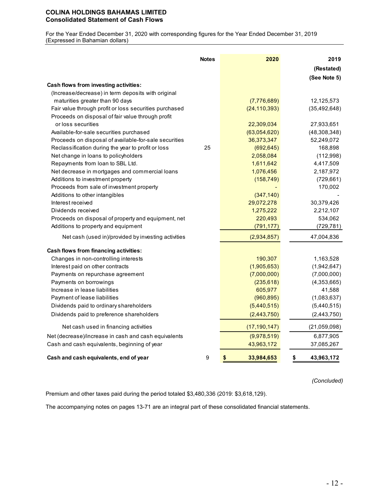# **COLINA HOLDINGS BAHAMAS LIMITED Consolidated Statement of Cash Flows**

For the Year Ended December 31, 2020 with corresponding figures for the Year Ended December 31, 2019 (Expressed in Bahamian dollars)

|                                                        | <b>Notes</b> | 2020             | (See Note 5)     | 2019<br>(Restated) |
|--------------------------------------------------------|--------------|------------------|------------------|--------------------|
| Cash flows from investing activities:                  |              |                  |                  |                    |
| (Increase/decrease) in term deposits with original     |              |                  |                  |                    |
| maturities greater than 90 days                        |              | (7,776,689)      | 12,125,573       |                    |
| Fair value through profit or loss securities purchased |              | (24, 110, 393)   | (35, 492, 648)   |                    |
| Proceeds on disposal of fair value through profit      |              |                  |                  |                    |
| or loss securities                                     |              | 22,309,034       | 27,933,651       |                    |
| Available-for-sale securities purchased                |              | (63,054,620)     | (48, 308, 348)   |                    |
| Proceeds on disposal of available-for-sale securities  |              | 36,373,347       | 52,249,072       |                    |
| Reclassification during the year to profit or loss     | 25           | (692, 645)       |                  | 168,898            |
| Net change in loans to policyholders                   |              | 2,058,084        |                  | (112,998)          |
| Repayments from loan to SBL Ltd.                       |              | 1,611,642        |                  | 4,417,509          |
| Net decrease in mortgages and commercial loans         |              | 1,076,456        |                  | 2,187,972          |
| Additions to investment property                       |              | (158, 749)       |                  | (729, 661)         |
| Proceeds from sale of investment property              |              |                  |                  | 170,002            |
| Additions to other intangibles                         |              | (347, 140)       |                  |                    |
| Interest received                                      |              | 29,072,278       | 30,379,426       |                    |
| Dividends received                                     |              | 1,275,222        |                  | 2,212,107          |
| Proceeds on disposal of property and equipment, net    |              | 220,493          |                  | 534,062            |
| Additions to property and equipment                    |              | (791, 177)       |                  | (729, 781)         |
| Net cash (used in)/provided by investing activities    |              | (2,934,857)      | 47,004,836       |                    |
| Cash flows from financing activities:                  |              |                  |                  |                    |
| Changes in non-controlling interests                   |              | 190,307          |                  | 1,163,528          |
| Interest paid on other contracts                       |              | (1,905,653)      |                  | (1,942,647)        |
| Payments on repurchase agreement                       |              | (7,000,000)      |                  | (7,000,000)        |
| Payments on borrowings                                 |              | (235, 618)       |                  | (4,353,665)        |
| Increase in lease liabilities                          |              | 605,977          |                  | 41,588             |
| Payment of lease liabilities                           |              | (960, 895)       |                  | (1,083,637)        |
| Dividends paid to ordinary shareholders                |              | (5,440,515)      |                  | (5,440,515)        |
| Dividends paid to preference shareholders              |              | (2,443,750)      |                  | (2,443,750)        |
| Net cash used in financing activities                  |              | (17, 190, 147)   | (21,059,098)     |                    |
| Net (decrease)/increase in cash and cash equivalents   |              | (9,978,519)      |                  | 6,877,905          |
| Cash and cash equivalents, beginning of year           |              | 43,963,172       | 37,085,267       |                    |
| Cash and cash equivalents, end of year                 | 9            | \$<br>33,984,653 | \$<br>43,963,172 |                    |

*(Concluded)*

Premium and other taxes paid during the period totaled \$3,480,336 (2019: \$3,618,129).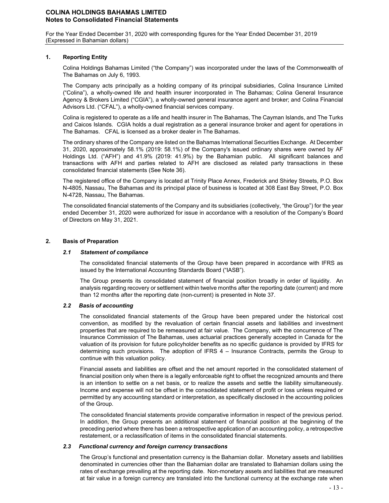For the Year Ended December 31, 2020 with corresponding figures for the Year Ended December 31, 2019 (Expressed in Bahamian dollars)

### **1. Reporting Entity**

Colina Holdings Bahamas Limited ("the Company") was incorporated under the laws of the Commonwealth of The Bahamas on July 6, 1993.

The Company acts principally as a holding company of its principal subsidiaries, Colina Insurance Limited ("Colina"), a wholly-owned life and health insurer incorporated in The Bahamas; Colina General Insurance Agency & Brokers Limited ("CGIA"), a wholly-owned general insurance agent and broker; and Colina Financial Advisors Ltd. ("CFAL"), a wholly-owned financial services company.

Colina is registered to operate as a life and health insurer in The Bahamas, The Cayman Islands, and The Turks and Caicos Islands. CGIA holds a dual registration as a general insurance broker and agent for operations in The Bahamas. CFAL is licensed as a broker dealer in The Bahamas.

The ordinary shares of the Company are listed on the Bahamas International Securities Exchange. At December 31, 2020, approximately 58.1% (2019: 58.1%) of the Company's issued ordinary shares were owned by AF Holdings Ltd. ("AFH") and 41.9% (2019: 41.9%) by the Bahamian public. All significant balances and transactions with AFH and parties related to AFH are disclosed as related party transactions in these consolidated financial statements (See Note 36).

The registered office of the Company is located at Trinity Place Annex, Frederick and Shirley Streets, P.O. Box N-4805, Nassau, The Bahamas and its principal place of business is located at 308 East Bay Street, P.O. Box N-4728, Nassau, The Bahamas.

The consolidated financial statements of the Company and its subsidiaries (collectively, "the Group") for the year ended December 31, 2020 were authorized for issue in accordance with a resolution of the Company's Board of Directors on May 31, 2021.

### **2. Basis of Preparation**

#### *2.1 Statement of compliance*

The consolidated financial statements of the Group have been prepared in accordance with IFRS as issued by the International Accounting Standards Board ("IASB").

The Group presents its consolidated statement of financial position broadly in order of liquidity. An analysis regarding recovery or settlement within twelve months after the reporting date (current) and more than 12 months after the reporting date (non-current) is presented in Note 37.

# *2.2 Basis of accounting*

The consolidated financial statements of the Group have been prepared under the historical cost convention, as modified by the revaluation of certain financial assets and liabilities and investment properties that are required to be remeasured at fair value. The Company, with the concurrence of The Insurance Commission of The Bahamas, uses actuarial practices generally accepted in Canada for the valuation of its provision for future policyholder benefits as no specific guidance is provided by IFRS for determining such provisions. The adoption of IFRS 4 – Insurance Contracts, permits the Group to continue with this valuation policy.

Financial assets and liabilities are offset and the net amount reported in the consolidated statement of financial position only when there is a legally enforceable right to offset the recognized amounts and there is an intention to settle on a net basis, or to realize the assets and settle the liability simultaneously. Income and expense will not be offset in the consolidated statement of profit or loss unless required or permitted by any accounting standard or interpretation, as specifically disclosed in the accounting policies of the Group.

The consolidated financial statements provide comparative information in respect of the previous period. In addition, the Group presents an additional statement of financial position at the beginning of the preceding period where there has been a retrospective application of an accounting policy, a retrospective restatement, or a reclassification of items in the consolidated financial statements.

#### *2.3 Functional currency and foreign currency transactions*

The Group's functional and presentation currency is the Bahamian dollar. Monetary assets and liabilities denominated in currencies other than the Bahamian dollar are translated to Bahamian dollars using the rates of exchange prevailing at the reporting date. Non-monetary assets and liabilities that are measured at fair value in a foreign currency are translated into the functional currency at the exchange rate when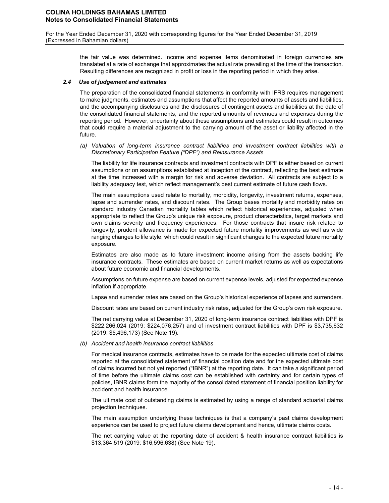For the Year Ended December 31, 2020 with corresponding figures for the Year Ended December 31, 2019 (Expressed in Bahamian dollars)

> the fair value was determined. Income and expense items denominated in foreign currencies are translated at a rate of exchange that approximates the actual rate prevailing at the time of the transaction. Resulting differences are recognized in profit or loss in the reporting period in which they arise.

#### *2.4 Use of judgement and estimates*

The preparation of the consolidated financial statements in conformity with IFRS requires management to make judgments, estimates and assumptions that affect the reported amounts of assets and liabilities, and the accompanying disclosures and the disclosures of contingent assets and liabilities at the date of the consolidated financial statements, and the reported amounts of revenues and expenses during the reporting period. However, uncertainty about these assumptions and estimates could result in outcomes that could require a material adjustment to the carrying amount of the asset or liability affected in the future.

*(a) Valuation of long-term insurance contract liabilities and investment contract liabilities with a Discretionary Participation Feature ("DPF") and Reinsurance Assets*

The liability for life insurance contracts and investment contracts with DPF is either based on current assumptions or on assumptions established at inception of the contract, reflecting the best estimate at the time increased with a margin for risk and adverse deviation. All contracts are subject to a liability adequacy test, which reflect management's best current estimate of future cash flows.

The main assumptions used relate to mortality, morbidity, longevity, investment returns, expenses, lapse and surrender rates, and discount rates. The Group bases mortality and morbidity rates on standard industry Canadian mortality tables which reflect historical experiences, adjusted when appropriate to reflect the Group's unique risk exposure, product characteristics, target markets and own claims severity and frequency experiences. For those contracts that insure risk related to longevity, prudent allowance is made for expected future mortality improvements as well as wide ranging changes to life style, which could result in significant changes to the expected future mortality exposure.

Estimates are also made as to future investment income arising from the assets backing life insurance contracts. These estimates are based on current market returns as well as expectations about future economic and financial developments.

Assumptions on future expense are based on current expense levels, adjusted for expected expense inflation if appropriate.

Lapse and surrender rates are based on the Group's historical experience of lapses and surrenders.

Discount rates are based on current industry risk rates, adjusted for the Group's own risk exposure.

The net carrying value at December 31, 2020 of long-term insurance contract liabilities with DPF is \$222,266,024 (2019: \$224,076,257) and of investment contract liabilities with DPF is \$3,735,632 (2019: \$5,496,173) (See Note 19).

*(b) Accident and health insurance contract liabilities*

For medical insurance contracts, estimates have to be made for the expected ultimate cost of claims reported at the consolidated statement of financial position date and for the expected ultimate cost of claims incurred but not yet reported ("IBNR") at the reporting date. It can take a significant period of time before the ultimate claims cost can be established with certainty and for certain types of policies, IBNR claims form the majority of the consolidated statement of financial position liability for accident and health insurance.

The ultimate cost of outstanding claims is estimated by using a range of standard actuarial claims projection techniques.

The main assumption underlying these techniques is that a company's past claims development experience can be used to project future claims development and hence, ultimate claims costs.

The net carrying value at the reporting date of accident & health insurance contract liabilities is \$13,364,519 (2019: \$16,596,638) (See Note 19).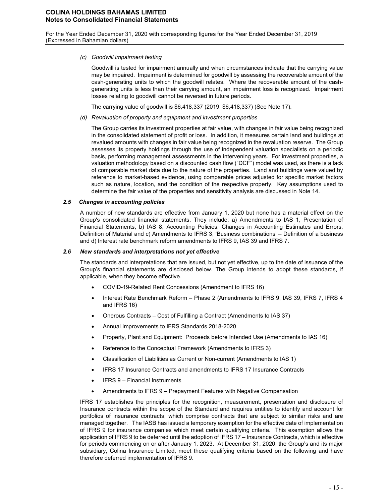#### *(c) Goodwill impairment testing*

Goodwill is tested for impairment annually and when circumstances indicate that the carrying value may be impaired. Impairment is determined for goodwill by assessing the recoverable amount of the cash-generating units to which the goodwill relates. Where the recoverable amount of the cashgenerating units is less than their carrying amount, an impairment loss is recognized. Impairment losses relating to goodwill cannot be reversed in future periods.

The carrying value of goodwill is \$6,418,337 (2019: \$6,418,337) (See Note 17).

*(d) Revaluation of property and equipment and investment properties*

The Group carries its investment properties at fair value, with changes in fair value being recognized in the consolidated statement of profit or loss. In addition, it measures certain land and buildings at revalued amounts with changes in fair value being recognized in the revaluation reserve. The Group assesses its property holdings through the use of independent valuation specialists on a periodic basis, performing management assessments in the intervening years. For investment properties, a valuation methodology based on a discounted cash flow ("DCF") model was used, as there is a lack of comparable market data due to the nature of the properties. Land and buildings were valued by reference to market-based evidence, using comparable prices adjusted for specific market factors such as nature, location, and the condition of the respective property. Key assumptions used to determine the fair value of the properties and sensitivity analysis are discussed in Note 14.

#### *2.5 Changes in accounting policies*

A number of new standards are effective from January 1, 2020 but none has a material effect on the Group's consolidated financial statements. They include: a) Amendments to IAS 1, Presentation of Financial Statements, b) IAS 8, Accounting Policies, Changes in Accounting Estimates and Errors, Definition of Material and c) Amendments to IFRS 3, 'Business combinations' – Definition of a business and d) Interest rate benchmark reform amendments to IFRS 9, IAS 39 and IFRS 7.

#### *2.6 New standards and interpretations not yet effective*

The standards and interpretations that are issued, but not yet effective, up to the date of issuance of the Group's financial statements are disclosed below. The Group intends to adopt these standards, if applicable, when they become effective.

- COVID-19-Related Rent Concessions (Amendment to IFRS 16)
- Interest Rate Benchmark Reform Phase 2 (Amendments to IFRS 9, IAS 39, IFRS 7, IFRS 4 and IFRS 16)
- Onerous Contracts Cost of Fulfilling a Contract (Amendments to IAS 37)
- Annual Improvements to IFRS Standards 2018-2020
- Property, Plant and Equipment: Proceeds before Intended Use (Amendments to IAS 16)
- Reference to the Conceptual Framework (Amendments to IFRS 3)
- Classification of Liabilities as Current or Non-current (Amendments to IAS 1)
- IFRS 17 Insurance Contracts and amendments to IFRS 17 Insurance Contracts
- IFRS 9 Financial Instruments
- Amendments to IFRS 9 Prepayment Features with Negative Compensation

IFRS 17 establishes the principles for the recognition, measurement, presentation and disclosure of Insurance contracts within the scope of the Standard and requires entities to identify and account for portfolios of insurance contracts, which comprise contracts that are subject to similar risks and are managed together. The IASB has issued a temporary exemption for the effective date of implementation of IFRS 9 for insurance companies which meet certain qualifying criteria. This exemption allows the application of IFRS 9 to be deferred until the adoption of IFRS 17 – Insurance Contracts, which is effective for periods commencing on or after January 1, 2023. At December 31, 2020, the Group's and its major subsidiary, Colina Insurance Limited, meet these qualifying criteria based on the following and have therefore deferred implementation of IFRS 9.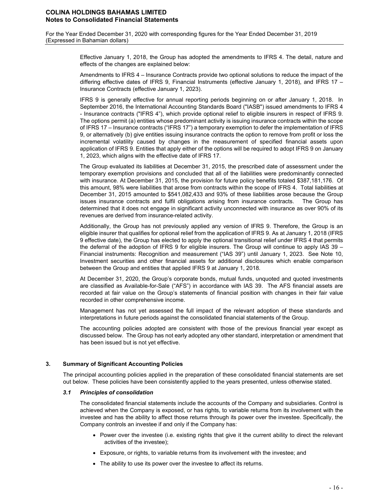For the Year Ended December 31, 2020 with corresponding figures for the Year Ended December 31, 2019 (Expressed in Bahamian dollars)

> Effective January 1, 2018, the Group has adopted the amendments to IFRS 4. The detail, nature and effects of the changes are explained below:

> Amendments to IFRS 4 – Insurance Contracts provide two optional solutions to reduce the impact of the differing effective dates of IFRS 9, Financial Instruments (effective January 1, 2018), and IFRS 17 – Insurance Contracts (effective January 1, 2023).

> IFRS 9 is generally effective for annual reporting periods beginning on or after January 1, 2018. In September 2016, the International Accounting Standards Board ("IASB") issued amendments to IFRS 4 - Insurance contracts ("IFRS 4"), which provide optional relief to eligible insurers in respect of IFRS 9. The options permit (a) entities whose predominant activity is issuing insurance contracts within the scope of IFRS 17 – Insurance contracts ("IFRS 17") a temporary exemption to defer the implementation of IFRS 9, or alternatively (b) give entities issuing insurance contracts the option to remove from profit or loss the incremental volatility caused by changes in the measurement of specified financial assets upon application of IFRS 9. Entities that apply either of the options will be required to adopt IFRS 9 on January 1, 2023, which aligns with the effective date of IFRS 17.

> The Group evaluated its liabilities at December 31, 2015, the prescribed date of assessment under the temporary exemption provisions and concluded that all of the liabilities were predominantly connected with insurance. At December 31, 2015, the provision for future policy benefits totaled \$387,181,176. Of this amount, 98% were liabilities that arose from contracts within the scope of IFRS 4. Total liabilities at December 31, 2015 amounted to \$541,082,433 and 93% of these liabilities arose because the Group issues insurance contracts and fulfil obligations arising from insurance contracts. The Group has determined that it does not engage in significant activity unconnected with insurance as over 90% of its revenues are derived from insurance-related activity.

> Additionally, the Group has not previously applied any version of IFRS 9. Therefore, the Group is an eligible insurer that qualifies for optional relief from the application of IFRS 9. As at January 1, 2018 (IFRS 9 effective date), the Group has elected to apply the optional transitional relief under IFRS 4 that permits the deferral of the adoption of IFRS 9 for eligible insurers. The Group will continue to apply IAS 39 – Financial instruments: Recognition and measurement ("IAS 39") until January 1, 2023. See Note 10, Investment securities and other financial assets for additional disclosures which enable comparison between the Group and entities that applied IFRS 9 at January 1, 2018.

> At December 31, 2020, the Group's corporate bonds, mutual funds, unquoted and quoted investments are classified as Available-for-Sale ("AFS") in accordance with IAS 39. The AFS financial assets are recorded at fair value on the Group's statements of financial position with changes in their fair value recorded in other comprehensive income.

> Management has not yet assessed the full impact of the relevant adoption of these standards and interpretations in future periods against the consolidated financial statements of the Group.

> The accounting policies adopted are consistent with those of the previous financial year except as discussed below. The Group has not early adopted any other standard, interpretation or amendment that has been issued but is not yet effective.

#### **3. Summary of Significant Accounting Policies**

The principal accounting policies applied in the preparation of these consolidated financial statements are set out below. These policies have been consistently applied to the years presented, unless otherwise stated.

#### *3.1 Principles of consolidation*

The consolidated financial statements include the accounts of the Company and subsidiaries. Control is achieved when the Company is exposed, or has rights, to variable returns from its involvement with the investee and has the ability to affect those returns through its power over the investee. Specifically, the Company controls an investee if and only if the Company has:

- Power over the investee (i.e. existing rights that give it the current ability to direct the relevant activities of the investee);
- Exposure, or rights, to variable returns from its involvement with the investee; and
- The ability to use its power over the investee to affect its returns.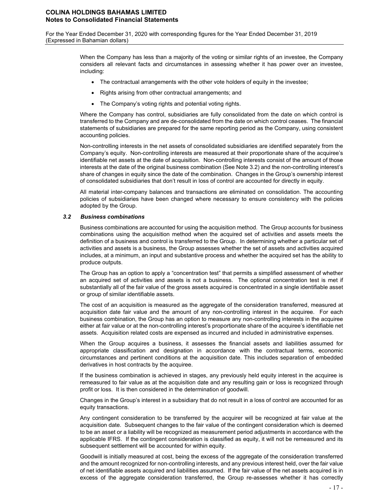For the Year Ended December 31, 2020 with corresponding figures for the Year Ended December 31, 2019 (Expressed in Bahamian dollars)

> When the Company has less than a majority of the voting or similar rights of an investee, the Company considers all relevant facts and circumstances in assessing whether it has power over an investee, including:

- The contractual arrangements with the other vote holders of equity in the investee;
- Rights arising from other contractual arrangements; and
- The Company's voting rights and potential voting rights.

Where the Company has control, subsidiaries are fully consolidated from the date on which control is transferred to the Company and are de-consolidated from the date on which control ceases. The financial statements of subsidiaries are prepared for the same reporting period as the Company, using consistent accounting policies.

Non-controlling interests in the net assets of consolidated subsidiaries are identified separately from the Company's equity. Non-controlling interests are measured at their proportionate share of the acquiree's identifiable net assets at the date of acquisition. Non-controlling interests consist of the amount of those interests at the date of the original business combination (See Note 3.2) and the non-controlling interest's share of changes in equity since the date of the combination. Changes in the Group's ownership interest of consolidated subsidiaries that don't result in loss of control are accounted for directly in equity.

All material inter-company balances and transactions are eliminated on consolidation. The accounting policies of subsidiaries have been changed where necessary to ensure consistency with the policies adopted by the Group.

#### *3.2 Business combinations*

Business combinations are accounted for using the acquisition method. The Group accounts for business combinations using the acquisition method when the acquired set of activities and assets meets the definition of a business and control is transferred to the Group. In determining whether a particular set of activities and assets is a business, the Group assesses whether the set of assets and activities acquired includes, at a minimum, an input and substantive process and whether the acquired set has the ability to produce outputs.

The Group has an option to apply a "concentration test" that permits a simplified assessment of whether an acquired set of activities and assets is not a business. The optional concentration test is met if substantially all of the fair value of the gross assets acquired is concentrated in a single identifiable asset or group of similar identifiable assets.

The cost of an acquisition is measured as the aggregate of the consideration transferred, measured at acquisition date fair value and the amount of any non-controlling interest in the acquiree. For each business combination, the Group has an option to measure any non-controlling interests in the acquiree either at fair value or at the non-controlling interest's proportionate share of the acquiree's identifiable net assets. Acquisition related costs are expensed as incurred and included in administrative expenses.

When the Group acquires a business, it assesses the financial assets and liabilities assumed for appropriate classification and designation in accordance with the contractual terms, economic circumstances and pertinent conditions at the acquisition date. This includes separation of embedded derivatives in host contracts by the acquiree.

If the business combination is achieved in stages, any previously held equity interest in the acquiree is remeasured to fair value as at the acquisition date and any resulting gain or loss is recognized through profit or loss. It is then considered in the determination of goodwill.

Changes in the Group's interest in a subsidiary that do not result in a loss of control are accounted for as equity transactions.

Any contingent consideration to be transferred by the acquirer will be recognized at fair value at the acquisition date. Subsequent changes to the fair value of the contingent consideration which is deemed to be an asset or a liability will be recognized as measurement period adjustments in accordance with the applicable IFRS. If the contingent consideration is classified as equity, it will not be remeasured and its subsequent settlement will be accounted for within equity.

Goodwill is initially measured at cost, being the excess of the aggregate of the consideration transferred and the amount recognized for non-controlling interests, and any previous interest held, over the fair value of net identifiable assets acquired and liabilities assumed. If the fair value of the net assets acquired is in excess of the aggregate consideration transferred, the Group re-assesses whether it has correctly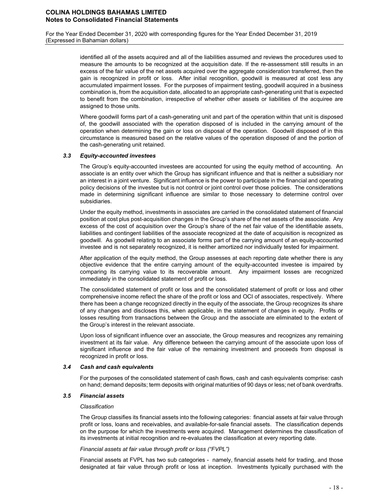> identified all of the assets acquired and all of the liabilities assumed and reviews the procedures used to measure the amounts to be recognized at the acquisition date. If the re-assessment still results in an excess of the fair value of the net assets acquired over the aggregate consideration transferred, then the gain is recognized in profit or loss. After initial recognition, goodwill is measured at cost less any accumulated impairment losses. For the purposes of impairment testing, goodwill acquired in a business combination is, from the acquisition date, allocated to an appropriate cash-generating unit that is expected to benefit from the combination, irrespective of whether other assets or liabilities of the acquiree are assigned to those units.

> Where goodwill forms part of a cash-generating unit and part of the operation within that unit is disposed of, the goodwill associated with the operation disposed of is included in the carrying amount of the operation when determining the gain or loss on disposal of the operation. Goodwill disposed of in this circumstance is measured based on the relative values of the operation disposed of and the portion of the cash-generating unit retained.

#### *3.3 Equity-accounted investees*

The Group's equity-accounted investees are accounted for using the equity method of accounting. An associate is an entity over which the Group has significant influence and that is neither a subsidiary nor an interest in a joint venture. Significant influence is the power to participate in the financial and operating policy decisions of the investee but is not control or joint control over those policies. The considerations made in determining significant influence are similar to those necessary to determine control over subsidiaries.

Under the equity method, investments in associates are carried in the consolidated statement of financial position at cost plus post-acquisition changes in the Group's share of the net assets of the associate. Any excess of the cost of acquisition over the Group's share of the net fair value of the identifiable assets, liabilities and contingent liabilities of the associate recognized at the date of acquisition is recognized as goodwill. As goodwill relating to an associate forms part of the carrying amount of an equity-accounted investee and is not separately recognized, it is neither amortized nor individually tested for impairment.

After application of the equity method, the Group assesses at each reporting date whether there is any objective evidence that the entire carrying amount of the equity-accounted investee is impaired by comparing its carrying value to its recoverable amount. Any impairment losses are recognized immediately in the consolidated statement of profit or loss.

The consolidated statement of profit or loss and the consolidated statement of profit or loss and other comprehensive income reflect the share of the profit or loss and OCI of associates, respectively. Where there has been a change recognized directly in the equity of the associate, the Group recognizes its share of any changes and discloses this, when applicable, in the statement of changes in equity. Profits or losses resulting from transactions between the Group and the associate are eliminated to the extent of the Group's interest in the relevant associate.

Upon loss of significant influence over an associate, the Group measures and recognizes any remaining investment at its fair value. Any difference between the carrying amount of the associate upon loss of significant influence and the fair value of the remaining investment and proceeds from disposal is recognized in profit or loss.

#### *3.4 Cash and cash equivalents*

For the purposes of the consolidated statement of cash flows, cash and cash equivalents comprise: cash on hand; demand deposits; term deposits with original maturities of 90 days or less; net of bank overdrafts.

#### *3.5 Financial assets*

#### *Classification*

The Group classifies its financial assets into the following categories: financial assets at fair value through profit or loss, loans and receivables, and available-for-sale financial assets. The classification depends on the purpose for which the investments were acquired. Management determines the classification of its investments at initial recognition and re-evaluates the classification at every reporting date.

#### *Financial assets at fair value through profit or loss ("FVPL")*

Financial assets at FVPL has two sub categories - namely, financial assets held for trading, and those designated at fair value through profit or loss at inception. Investments typically purchased with the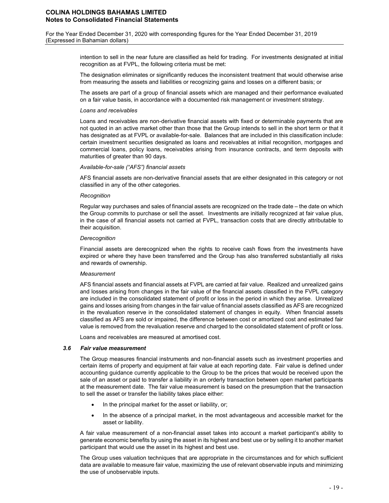For the Year Ended December 31, 2020 with corresponding figures for the Year Ended December 31, 2019 (Expressed in Bahamian dollars)

> intention to sell in the near future are classified as held for trading. For investments designated at initial recognition as at FVPL, the following criteria must be met:

> The designation eliminates or significantly reduces the inconsistent treatment that would otherwise arise from measuring the assets and liabilities or recognizing gains and losses on a different basis; or

> The assets are part of a group of financial assets which are managed and their performance evaluated on a fair value basis, in accordance with a documented risk management or investment strategy.

#### *Loans and receivables*

Loans and receivables are non-derivative financial assets with fixed or determinable payments that are not quoted in an active market other than those that the Group intends to sell in the short term or that it has designated as at FVPL or available-for-sale. Balances that are included in this classification include: certain investment securities designated as loans and receivables at initial recognition, mortgages and commercial loans, policy loans, receivables arising from insurance contracts, and term deposits with maturities of greater than 90 days.

# *Available-for-sale ("AFS") financial assets*

AFS financial assets are non-derivative financial assets that are either designated in this category or not classified in any of the other categories.

#### *Recognition*

Regular way purchases and sales of financial assets are recognized on the trade date – the date on which the Group commits to purchase or sell the asset. Investments are initially recognized at fair value plus, in the case of all financial assets not carried at FVPL, transaction costs that are directly attributable to their acquisition.

#### *Derecognition*

Financial assets are derecognized when the rights to receive cash flows from the investments have expired or where they have been transferred and the Group has also transferred substantially all risks and rewards of ownership.

#### *Measurement*

AFS financial assets and financial assets at FVPL are carried at fair value. Realized and unrealized gains and losses arising from changes in the fair value of the financial assets classified in the FVPL category are included in the consolidated statement of profit or loss in the period in which they arise. Unrealized gains and losses arising from changes in the fair value of financial assets classified as AFS are recognized in the revaluation reserve in the consolidated statement of changes in equity. When financial assets classified as AFS are sold or impaired, the difference between cost or amortized cost and estimated fair value is removed from the revaluation reserve and charged to the consolidated statement of profit or loss.

Loans and receivables are measured at amortised cost.

#### *3.6 Fair value measurement*

The Group measures financial instruments and non-financial assets such as investment properties and certain items of property and equipment at fair value at each reporting date. Fair value is defined under accounting guidance currently applicable to the Group to be the prices that would be received upon the sale of an asset or paid to transfer a liability in an orderly transaction between open market participants at the measurement date. The fair value measurement is based on the presumption that the transaction to sell the asset or transfer the liability takes place either:

- In the principal market for the asset or liability, or;
- In the absence of a principal market, in the most advantageous and accessible market for the asset or liability.

A fair value measurement of a non-financial asset takes into account a market participant's ability to generate economic benefits by using the asset in its highest and best use or by selling it to another market participant that would use the asset in its highest and best use.

The Group uses valuation techniques that are appropriate in the circumstances and for which sufficient data are available to measure fair value, maximizing the use of relevant observable inputs and minimizing the use of unobservable inputs.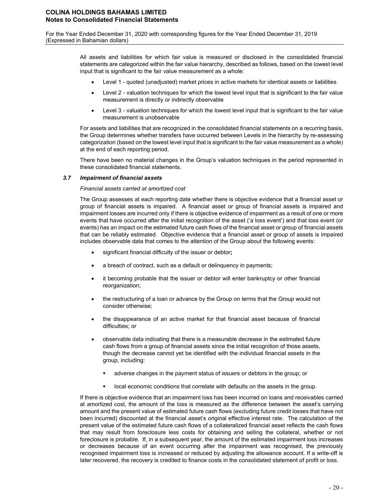For the Year Ended December 31, 2020 with corresponding figures for the Year Ended December 31, 2019 (Expressed in Bahamian dollars)

> All assets and liabilities for which fair value is measured or disclosed in the consolidated financial statements are categorized within the fair value hierarchy, described as follows, based on the lowest level input that is significant to the fair value measurement as a whole:

- Level 1 quoted (unadjusted) market prices in active markets for identical assets or liabilities
- Level 2 valuation techniques for which the lowest level input that is significant to the fair value measurement is directly or indirectly observable
- Level 3 valuation techniques for which the lowest level input that is significant to the fair value measurement is unobservable

For assets and liabilities that are recognized in the consolidated financial statements on a recurring basis, the Group determines whether transfers have occurred between Levels in the hierarchy by re-assessing categorization (based on the lowest level input that is significant to the fair value measurement as a whole) at the end of each reporting period.

There have been no material changes in the Group's valuation techniques in the period represented in these consolidated financial statements.

#### *3.7 Impairment of financial assets*

# *Financial assets carried at amortized cost*

The Group assesses at each reporting date whether there is objective evidence that a financial asset or group of financial assets is impaired. A financial asset or group of financial assets is impaired and impairment losses are incurred only if there is objective evidence of impairment as a result of one or more events that have occurred after the initial recognition of the asset ('a loss event') and that loss event (or events) has an impact on the estimated future cash flows of the financial asset or group of financial assets that can be reliably estimated. Objective evidence that a financial asset or group of assets is impaired includes observable data that comes to the attention of the Group about the following events:

- significant financial difficulty of the issuer or debtor**;**
- a breach of contract, such as a default or delinquency in payments;
- it becoming probable that the issuer or debtor will enter bankruptcy or other financial reorganization;
- the restructuring of a loan or advance by the Group on terms that the Group would not consider otherwise;
- the disappearance of an active market for that financial asset because of financial difficulties; or
- observable data indicating that there is a measurable decrease in the estimated future cash flows from a group of financial assets since the initial recognition of those assets, though the decrease cannot yet be identified with the individual financial assets in the group, including:
	- adverse changes in the payment status of issuers or debtors in the group; or
	- local economic conditions that correlate with defaults on the assets in the group.

If there is objective evidence that an impairment loss has been incurred on loans and receivables carried at amortized cost, the amount of the loss is measured as the difference between the asset's carrying amount and the present value of estimated future cash flows (excluding future credit losses that have not been incurred) discounted at the financial asset's original effective interest rate. The calculation of the present value of the estimated future cash flows of a collateralized financial asset reflects the cash flows that may result from foreclosure less costs for obtaining and selling the collateral, whether or not foreclosure is probable. If, in a subsequent year, the amount of the estimated impairment loss increases or decreases because of an event occurring after the impairment was recognised, the previously recognised impairment loss is increased or reduced by adjusting the allowance account. If a write-off is later recovered, the recovery is credited to finance costs in the consolidated statement of profit or loss.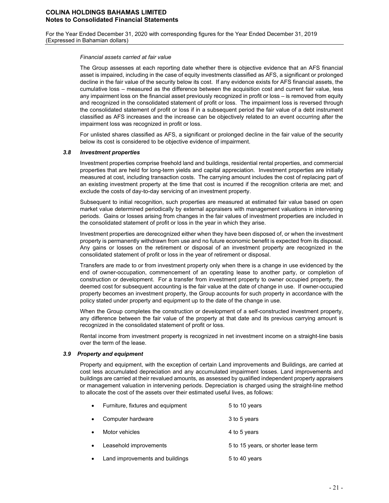For the Year Ended December 31, 2020 with corresponding figures for the Year Ended December 31, 2019 (Expressed in Bahamian dollars)

#### *Financial assets carried at fair value*

The Group assesses at each reporting date whether there is objective evidence that an AFS financial asset is impaired, including in the case of equity investments classified as AFS, a significant or prolonged decline in the fair value of the security below its cost. If any evidence exists for AFS financial assets, the cumulative loss – measured as the difference between the acquisition cost and current fair value, less any impairment loss on the financial asset previously recognized in profit or loss – is removed from equity and recognized in the consolidated statement of profit or loss. The impairment loss is reversed through the consolidated statement of profit or loss if in a subsequent period the fair value of a debt instrument classified as AFS increases and the increase can be objectively related to an event occurring after the impairment loss was recognized in profit or loss.

For unlisted shares classified as AFS, a significant or prolonged decline in the fair value of the security below its cost is considered to be objective evidence of impairment.

#### *3.8 Investment properties*

Investment properties comprise freehold land and buildings, residential rental properties, and commercial properties that are held for long-term yields and capital appreciation. Investment properties are initially measured at cost, including transaction costs. The carrying amount includes the cost of replacing part of an existing investment property at the time that cost is incurred if the recognition criteria are met; and exclude the costs of day-to-day servicing of an investment property.

Subsequent to initial recognition, such properties are measured at estimated fair value based on open market value determined periodically by external appraisers with management valuations in intervening periods. Gains or losses arising from changes in the fair values of investment properties are included in the consolidated statement of profit or loss in the year in which they arise.

Investment properties are derecognized either when they have been disposed of, or when the investment property is permanently withdrawn from use and no future economic benefit is expected from its disposal. Any gains or losses on the retirement or disposal of an investment property are recognized in the consolidated statement of profit or loss in the year of retirement or disposal.

Transfers are made to or from investment property only when there is a change in use evidenced by the end of owner-occupation, commencement of an operating lease to another party, or completion of construction or development. For a transfer from investment property to owner occupied property, the deemed cost for subsequent accounting is the fair value at the date of change in use. If owner-occupied property becomes an investment property, the Group accounts for such property in accordance with the policy stated under property and equipment up to the date of the change in use.

When the Group completes the construction or development of a self-constructed investment property, any difference between the fair value of the property at that date and its previous carrying amount is recognized in the consolidated statement of profit or loss.

Rental income from investment property is recognized in net investment income on a straight-line basis over the term of the lease.

#### *3.9 Property and equipment*

Property and equipment, with the exception of certain Land improvements and Buildings, are carried at cost less accumulated depreciation and any accumulated impairment losses. Land improvements and buildings are carried at their revalued amounts, as assessed by qualified independent property appraisers or management valuation in intervening periods. Depreciation is charged using the straight-line method to allocate the cost of the assets over their estimated useful lives, as follows:

| $\bullet$ | Furniture, fixtures and equipment | 5 to 10 years                        |
|-----------|-----------------------------------|--------------------------------------|
| $\bullet$ | Computer hardware                 | 3 to 5 years                         |
| $\bullet$ | Motor vehicles                    | 4 to 5 years                         |
| $\bullet$ | Leasehold improvements            | 5 to 15 years, or shorter lease term |
| $\bullet$ | Land improvements and buildings   | 5 to 40 years                        |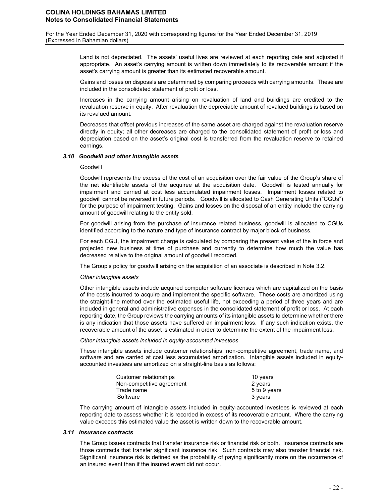For the Year Ended December 31, 2020 with corresponding figures for the Year Ended December 31, 2019 (Expressed in Bahamian dollars)

> Land is not depreciated. The assets' useful lives are reviewed at each reporting date and adjusted if appropriate. An asset's carrying amount is written down immediately to its recoverable amount if the asset's carrying amount is greater than its estimated recoverable amount.

> Gains and losses on disposals are determined by comparing proceeds with carrying amounts. These are included in the consolidated statement of profit or loss.

> Increases in the carrying amount arising on revaluation of land and buildings are credited to the revaluation reserve in equity. After revaluation the depreciable amount of revalued buildings is based on its revalued amount.

> Decreases that offset previous increases of the same asset are charged against the revaluation reserve directly in equity; all other decreases are charged to the consolidated statement of profit or loss and depreciation based on the asset's original cost is transferred from the revaluation reserve to retained earnings.

#### *3.10 Goodwill and other intangible assets*

#### Goodwill

Goodwill represents the excess of the cost of an acquisition over the fair value of the Group's share of the net identifiable assets of the acquiree at the acquisition date. Goodwill is tested annually for impairment and carried at cost less accumulated impairment losses. Impairment losses related to goodwill cannot be reversed in future periods. Goodwill is allocated to Cash Generating Units ("CGUs") for the purpose of impairment testing. Gains and losses on the disposal of an entity include the carrying amount of goodwill relating to the entity sold.

For goodwill arising from the purchase of insurance related business, goodwill is allocated to CGUs identified according to the nature and type of insurance contract by major block of business.

For each CGU, the impairment charge is calculated by comparing the present value of the in force and projected new business at time of purchase and currently to determine how much the value has decreased relative to the original amount of goodwill recorded.

The Group's policy for goodwill arising on the acquisition of an associate is described in Note 3.2.

#### *Other intangible assets*

Other intangible assets include acquired computer software licenses which are capitalized on the basis of the costs incurred to acquire and implement the specific software. These costs are amortized using the straight-line method over the estimated useful life, not exceeding a period of three years and are included in general and administrative expenses in the consolidated statement of profit or loss. At each reporting date, the Group reviews the carrying amounts of its intangible assets to determine whether there is any indication that those assets have suffered an impairment loss. If any such indication exists, the recoverable amount of the asset is estimated in order to determine the extent of the impairment loss.

#### *Other intangible assets included in equity-accounted investees*

These intangible assets include customer relationships, non-competitive agreement, trade name, and software and are carried at cost less accumulated amortization. Intangible assets included in equityaccounted investees are amortized on a straight-line basis as follows:

| Customer relationships    | 10 years     |
|---------------------------|--------------|
| Non-competitive agreement | 2 years      |
| Trade name                | 5 to 9 years |
| Software                  | 3 years      |

The carrying amount of intangible assets included in equity-accounted investees is reviewed at each reporting date to assess whether it is recorded in excess of its recoverable amount. Where the carrying value exceeds this estimated value the asset is written down to the recoverable amount.

### *3.11 Insurance contracts*

The Group issues contracts that transfer insurance risk or financial risk or both. Insurance contracts are those contracts that transfer significant insurance risk. Such contracts may also transfer financial risk. Significant insurance risk is defined as the probability of paying significantly more on the occurrence of an insured event than if the insured event did not occur.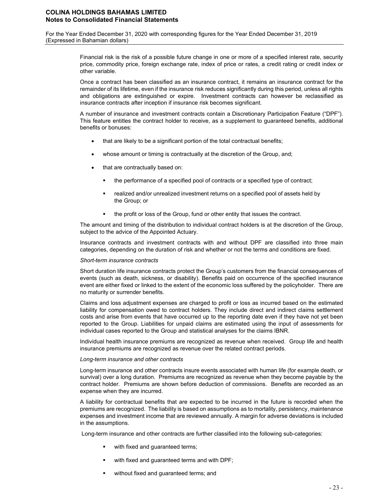For the Year Ended December 31, 2020 with corresponding figures for the Year Ended December 31, 2019 (Expressed in Bahamian dollars)

> Financial risk is the risk of a possible future change in one or more of a specified interest rate, security price, commodity price, foreign exchange rate, index of price or rates, a credit rating or credit index or other variable.

> Once a contract has been classified as an insurance contract, it remains an insurance contract for the remainder of its lifetime, even if the insurance risk reduces significantly during this period, unless all rights and obligations are extinguished or expire. Investment contracts can however be reclassified as insurance contracts after inception if insurance risk becomes significant.

> A number of insurance and investment contracts contain a Discretionary Participation Feature ("DPF"). This feature entitles the contract holder to receive, as a supplement to guaranteed benefits, additional benefits or bonuses:

- that are likely to be a significant portion of the total contractual benefits:
- whose amount or timing is contractually at the discretion of the Group, and;
- that are contractually based on:
	- the performance of a specified pool of contracts or a specified type of contract;
	- realized and/or unrealized investment returns on a specified pool of assets held by the Group; or
	- the profit or loss of the Group, fund or other entity that issues the contract.

The amount and timing of the distribution to individual contract holders is at the discretion of the Group, subject to the advice of the Appointed Actuary.

Insurance contracts and investment contracts with and without DPF are classified into three main categories, depending on the duration of risk and whether or not the terms and conditions are fixed.

#### *Short-term insurance contracts*

Short duration life insurance contracts protect the Group's customers from the financial consequences of events (such as death, sickness, or disability). Benefits paid on occurrence of the specified insurance event are either fixed or linked to the extent of the economic loss suffered by the policyholder. There are no maturity or surrender benefits.

Claims and loss adjustment expenses are charged to profit or loss as incurred based on the estimated liability for compensation owed to contract holders. They include direct and indirect claims settlement costs and arise from events that have occurred up to the reporting date even if they have not yet been reported to the Group. Liabilities for unpaid claims are estimated using the input of assessments for individual cases reported to the Group and statistical analyses for the claims IBNR.

Individual health insurance premiums are recognized as revenue when received. Group life and health insurance premiums are recognized as revenue over the related contract periods.

#### *Long-term insurance and other contracts*

Long-term insurance and other contracts insure events associated with human life (for example death, or survival) over a long duration. Premiums are recognized as revenue when they become payable by the contract holder. Premiums are shown before deduction of commissions. Benefits are recorded as an expense when they are incurred.

A liability for contractual benefits that are expected to be incurred in the future is recorded when the premiums are recognized. The liability is based on assumptions as to mortality, persistency, maintenance expenses and investment income that are reviewed annually. A margin for adverse deviations is included in the assumptions.

Long-term insurance and other contracts are further classified into the following sub-categories:

- with fixed and guaranteed terms;
- with fixed and guaranteed terms and with DPF;
- without fixed and guaranteed terms; and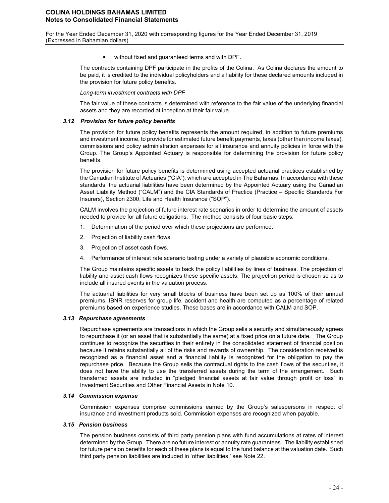without fixed and guaranteed terms and with DPF.

The contracts containing DPF participate in the profits of the Colina. As Colina declares the amount to be paid, it is credited to the individual policyholders and a liability for these declared amounts included in the provision for future policy benefits.

*Long-term investment contracts with DPF*

The fair value of these contracts is determined with reference to the fair value of the underlying financial assets and they are recorded at inception at their fair value.

#### *3.12 Provision for future policy benefits*

The provision for future policy benefits represents the amount required, in addition to future premiums and investment income, to provide for estimated future benefit payments, taxes (other than income taxes), commissions and policy administration expenses for all insurance and annuity policies in force with the Group. The Group's Appointed Actuary is responsible for determining the provision for future policy benefits.

The provision for future policy benefits is determined using accepted actuarial practices established by the Canadian Institute of Actuaries ("CIA"), which are accepted in The Bahamas. In accordance with these standards, the actuarial liabilities have been determined by the Appointed Actuary using the Canadian Asset Liability Method ("CALM") and the CIA Standards of Practice (Practice – Specific Standards For Insurers), Section 2300, Life and Health Insurance ("SOP").

CALM involves the projection of future interest rate scenarios in order to determine the amount of assets needed to provide for all future obligations. The method consists of four basic steps:

- 1. Determination of the period over which these projections are performed.
- 2. Projection of liability cash flows.
- 3. Projection of asset cash flows.
- 4. Performance of interest rate scenario testing under a variety of plausible economic conditions.

The Group maintains specific assets to back the policy liabilities by lines of business. The projection of liability and asset cash flows recognizes these specific assets. The projection period is chosen so as to include all insured events in the valuation process.

The actuarial liabilities for very small blocks of business have been set up as 100% of their annual premiums. IBNR reserves for group life, accident and health are computed as a percentage of related premiums based on experience studies. These bases are in accordance with CALM and SOP.

#### *3.13 Repurchase agreements*

Repurchase agreements are transactions in which the Group sells a security and simultaneously agrees to repurchase it (or an asset that is substantially the same) at a fixed price on a future date. The Group continues to recognize the securities in their entirety in the consolidated statement of financial position because it retains substantially all of the risks and rewards of ownership. The consideration received is recognized as a financial asset and a financial liability is recognized for the obligation to pay the repurchase price. Because the Group sells the contractual rights to the cash flows of the securities, it does not have the ability to use the transferred assets during the term of the arrangement. Such transferred assets are included in "pledged financial assets at fair value through profit or loss" in Investment Securities and Other Financial Assets in Note 10.

#### *3.14 Commission expense*

Commission expenses comprise commissions earned by the Group's salespersons in respect of insurance and investment products sold. Commission expenses are recognized when payable.

#### *3.15 Pension business*

The pension business consists of third party pension plans with fund accumulations at rates of interest determined by the Group. There are no future interest or annuity rate guarantees. The liability established for future pension benefits for each of these plans is equal to the fund balance at the valuation date. Such third party pension liabilities are included in 'other liabilities,' see Note 22.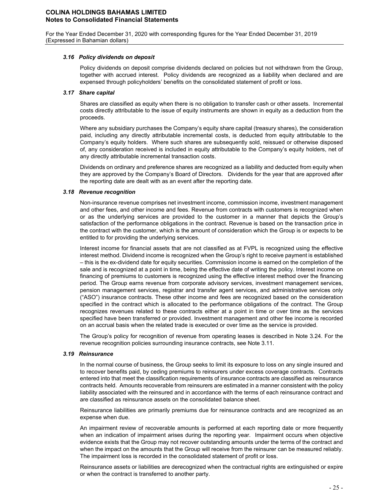#### *3.16 Policy dividends on deposit*

Policy dividends on deposit comprise dividends declared on policies but not withdrawn from the Group, together with accrued interest. Policy dividends are recognized as a liability when declared and are expensed through policyholders' benefits on the consolidated statement of profit or loss.

#### *3.17 Share capital*

Shares are classified as equity when there is no obligation to transfer cash or other assets. Incremental costs directly attributable to the issue of equity instruments are shown in equity as a deduction from the proceeds.

Where any subsidiary purchases the Company's equity share capital (treasury shares), the consideration paid, including any directly attributable incremental costs, is deducted from equity attributable to the Company's equity holders. Where such shares are subsequently sold, reissued or otherwise disposed of, any consideration received is included in equity attributable to the Company's equity holders, net of any directly attributable incremental transaction costs.

Dividends on ordinary and preference shares are recognized as a liability and deducted from equity when they are approved by the Company's Board of Directors. Dividends for the year that are approved after the reporting date are dealt with as an event after the reporting date.

#### *3.18 Revenue recognition*

Non-insurance revenue comprises net investment income, commission income, investment management and other fees, and other income and fees. Revenue from contracts with customers is recognized when or as the underlying services are provided to the customer in a manner that depicts the Group's satisfaction of the performance obligations in the contract. Revenue is based on the transaction price in the contract with the customer, which is the amount of consideration which the Group is or expects to be entitled to for providing the underlying services.

Interest income for financial assets that are not classified as at FVPL is recognized using the effective interest method. Dividend income is recognized when the Group's right to receive payment is established – this is the ex-dividend date for equity securities. Commission income is earned on the completion of the sale and is recognized at a point in time, being the effective date of writing the policy. Interest income on financing of premiums to customers is recognized using the effective interest method over the financing period. The Group earns revenue from corporate advisory services, investment management services, pension management services, registrar and transfer agent services, and administrative services only ("ASO") insurance contracts. These other income and fees are recognized based on the consideration specified in the contract which is allocated to the performance obligations of the contract. The Group recognizes revenues related to these contracts either at a point in time or over time as the services specified have been transferred or provided. Investment management and other fee income is recorded on an accrual basis when the related trade is executed or over time as the service is provided.

The Group's policy for recognition of revenue from operating leases is described in Note 3.24. For the revenue recognition policies surrounding insurance contracts, see Note 3.11.

#### *3.19 Reinsurance*

In the normal course of business, the Group seeks to limit its exposure to loss on any single insured and to recover benefits paid, by ceding premiums to reinsurers under excess coverage contracts. Contracts entered into that meet the classification requirements of insurance contracts are classified as reinsurance contracts held. Amounts recoverable from reinsurers are estimated in a manner consistent with the policy liability associated with the reinsured and in accordance with the terms of each reinsurance contract and are classified as reinsurance assets on the consolidated balance sheet.

Reinsurance liabilities are primarily premiums due for reinsurance contracts and are recognized as an expense when due.

An impairment review of recoverable amounts is performed at each reporting date or more frequently when an indication of impairment arises during the reporting year. Impairment occurs when objective evidence exists that the Group may not recover outstanding amounts under the terms of the contract and when the impact on the amounts that the Group will receive from the reinsurer can be measured reliably. The impairment loss is recorded in the consolidated statement of profit or loss.

Reinsurance assets or liabilities are derecognized when the contractual rights are extinguished or expire or when the contract is transferred to another party.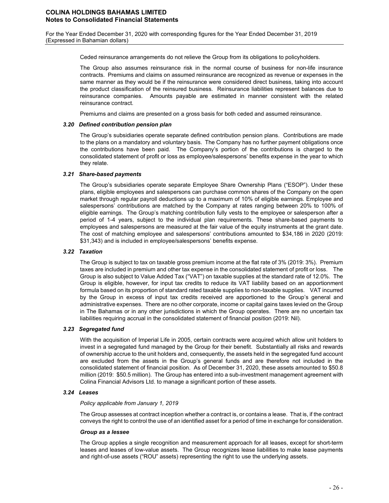Ceded reinsurance arrangements do not relieve the Group from its obligations to policyholders.

The Group also assumes reinsurance risk in the normal course of business for non-life insurance contracts. Premiums and claims on assumed reinsurance are recognized as revenue or expenses in the same manner as they would be if the reinsurance were considered direct business, taking into account the product classification of the reinsured business. Reinsurance liabilities represent balances due to reinsurance companies. Amounts payable are estimated in manner consistent with the related reinsurance contract.

Premiums and claims are presented on a gross basis for both ceded and assumed reinsurance.

#### *3.20 Defined contribution pension plan*

The Group's subsidiaries operate separate defined contribution pension plans. Contributions are made to the plans on a mandatory and voluntary basis. The Company has no further payment obligations once the contributions have been paid. The Company's portion of the contributions is charged to the consolidated statement of profit or loss as employee/salespersons' benefits expense in the year to which they relate.

#### *3.21 Share-based payments*

The Group's subsidiaries operate separate Employee Share Ownership Plans ("ESOP"). Under these plans, eligible employees and salespersons can purchase common shares of the Company on the open market through regular payroll deductions up to a maximum of 10% of eligible earnings. Employee and salespersons' contributions are matched by the Company at rates ranging between 20% to 100% of eligible earnings. The Group's matching contribution fully vests to the employee or salesperson after a period of 1-4 years, subject to the individual plan requirements. These share-based payments to employees and salespersons are measured at the fair value of the equity instruments at the grant date. The cost of matching employee and salespersons' contributions amounted to \$34,186 in 2020 (2019: \$31,343) and is included in employee/salespersons' benefits expense.

#### *3.22 Taxation*

The Group is subject to tax on taxable gross premium income at the flat rate of 3% (2019: 3%). Premium taxes are included in premium and other tax expense in the consolidated statement of profit or loss. The Group is also subject to Value Added Tax ("VAT") on taxable supplies at the standard rate of 12.0%. The Group is eligible, however, for input tax credits to reduce its VAT liability based on an apportionment formula based on its proportion of standard rated taxable supplies to non-taxable supplies. VAT incurred by the Group in excess of input tax credits received are apportioned to the Group's general and administrative expenses. There are no other corporate, income or capital gains taxes levied on the Group in The Bahamas or in any other jurisdictions in which the Group operates. There are no uncertain tax liabilities requiring accrual in the consolidated statement of financial position (2019: Nil).

#### *3.23 Segregated fund*

With the acquisition of Imperial Life in 2005, certain contracts were acquired which allow unit holders to invest in a segregated fund managed by the Group for their benefit. Substantially all risks and rewards of ownership accrue to the unit holders and, consequently, the assets held in the segregated fund account are excluded from the assets in the Group's general funds and are therefore not included in the consolidated statement of financial position. As of December 31, 2020, these assets amounted to \$50.8 million (2019: \$50.5 million). The Group has entered into a sub-investment management agreement with Colina Financial Advisors Ltd. to manage a significant portion of these assets.

#### *3.24 Leases*

#### *Policy applicable from January 1, 2019*

The Group assesses at contract inception whether a contract is, or contains a lease. That is, if the contract conveys the right to control the use of an identified asset for a period of time in exchange for consideration.

#### *Group as a lessee*

The Group applies a single recognition and measurement approach for all leases, except for short-term leases and leases of low-value assets. The Group recognizes lease liabilities to make lease payments and right-of-use assets ("ROU" assets) representing the right to use the underlying assets.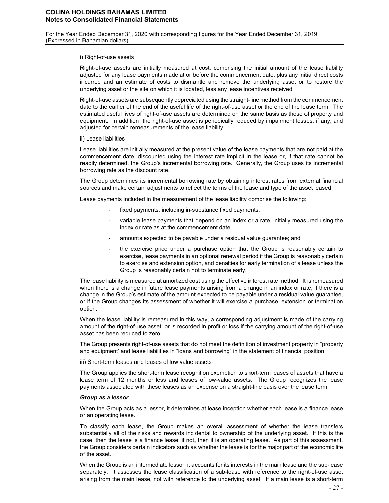#### i) Right-of-use assets

Right-of-use assets are initially measured at cost, comprising the initial amount of the lease liability adjusted for any lease payments made at or before the commencement date, plus any initial direct costs incurred and an estimate of costs to dismantle and remove the underlying asset or to restore the underlying asset or the site on which it is located, less any lease incentives received.

Right-of-use assets are subsequently depreciated using the straight-line method from the commencement date to the earlier of the end of the useful life of the right-of-use asset or the end of the lease term. The estimated useful lives of right-of-use assets are determined on the same basis as those of property and equipment. In addition, the right-of-use asset is periodically reduced by impairment losses, if any, and adjusted for certain remeasurements of the lease liability.

#### ii) Lease liabilities

Lease liabilities are initially measured at the present value of the lease payments that are not paid at the commencement date, discounted using the interest rate implicit in the lease or, if that rate cannot be readily determined, the Group's incremental borrowing rate. Generally, the Group uses its incremental borrowing rate as the discount rate.

The Group determines its incremental borrowing rate by obtaining interest rates from external financial sources and make certain adjustments to reflect the terms of the lease and type of the asset leased.

Lease payments included in the measurement of the lease liability comprise the following:

- fixed payments, including in-substance fixed payments;
- variable lease payments that depend on an index or a rate, initially measured using the index or rate as at the commencement date;
- amounts expected to be payable under a residual value quarantee; and
- the exercise price under a purchase option that the Group is reasonably certain to exercise, lease payments in an optional renewal period if the Group is reasonably certain to exercise and extension option, and penalties for early termination of a lease unless the Group is reasonably certain not to terminate early.

The lease liability is measured at amortized cost using the effective interest rate method. It is remeasured when there is a change in future lease payments arising from a change in an index or rate, if there is a change in the Group's estimate of the amount expected to be payable under a residual value guarantee, or if the Group changes its assessment of whether it will exercise a purchase, extension or termination option.

When the lease liability is remeasured in this way, a corresponding adjustment is made of the carrying amount of the right-of-use asset, or is recorded in profit or loss if the carrying amount of the right-of-use asset has been reduced to zero.

The Group presents right-of-use assets that do not meet the definition of investment property in "property and equipment' and lease liabilities in "loans and borrowing" in the statement of financial position.

iii) Short-term leases and leases of low value assets

The Group applies the short-term lease recognition exemption to short-term leases of assets that have a lease term of 12 months or less and leases of low-value assets. The Group recognizes the lease payments associated with these leases as an expense on a straight-line basis over the lease term.

#### *Group as a lessor*

When the Group acts as a lessor, it determines at lease inception whether each lease is a finance lease or an operating lease.

To classify each lease, the Group makes an overall assessment of whether the lease transfers substantially all of the risks and rewards incidental to ownership of the underlying asset. If this is the case, then the lease is a finance lease; if not, then it is an operating lease. As part of this assessment, the Group considers certain indicators such as whether the lease is for the major part of the economic life of the asset.

When the Group is an intermediate lessor, it accounts for its interests in the main lease and the sub-lease separately. It assesses the lease classification of a sub-lease with reference to the right-of-use asset arising from the main lease, not with reference to the underlying asset. If a main lease is a short-term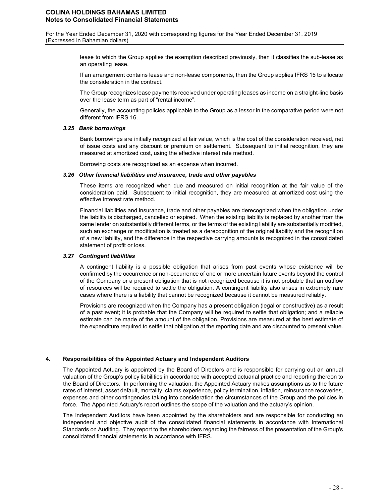For the Year Ended December 31, 2020 with corresponding figures for the Year Ended December 31, 2019 (Expressed in Bahamian dollars)

> lease to which the Group applies the exemption described previously, then it classifies the sub-lease as an operating lease.

> If an arrangement contains lease and non-lease components, then the Group applies IFRS 15 to allocate the consideration in the contract.

> The Group recognizes lease payments received under operating leases as income on a straight-line basis over the lease term as part of "rental income".

> Generally, the accounting policies applicable to the Group as a lessor in the comparative period were not different from IFRS 16.

#### *3.25 Bank borrowings*

Bank borrowings are initially recognized at fair value, which is the cost of the consideration received, net of issue costs and any discount or premium on settlement. Subsequent to initial recognition, they are measured at amortized cost, using the effective interest rate method.

Borrowing costs are recognized as an expense when incurred.

#### *3.26 Other financial liabilities and insurance, trade and other payables*

These items are recognized when due and measured on initial recognition at the fair value of the consideration paid. Subsequent to initial recognition, they are measured at amortized cost using the effective interest rate method.

Financial liabilities and insurance, trade and other payables are derecognized when the obligation under the liability is discharged, cancelled or expired. When the existing liability is replaced by another from the same lender on substantially different terms, or the terms of the existing liability are substantially modified, such an exchange or modification is treated as a derecognition of the original liability and the recognition of a new liability, and the difference in the respective carrying amounts is recognized in the consolidated statement of profit or loss.

#### *3.27 Contingent liabilities*

A contingent liability is a possible obligation that arises from past events whose existence will be confirmed by the occurrence or non-occurrence of one or more uncertain future events beyond the control of the Company or a present obligation that is not recognized because it is not probable that an outflow of resources will be required to settle the obligation. A contingent liability also arises in extremely rare cases where there is a liability that cannot be recognized because it cannot be measured reliably.

Provisions are recognized when the Company has a present obligation (legal or constructive) as a result of a past event; it is probable that the Company will be required to settle that obligation; and a reliable estimate can be made of the amount of the obligation. Provisions are measured at the best estimate of the expenditure required to settle that obligation at the reporting date and are discounted to present value.

#### **4. Responsibilities of the Appointed Actuary and Independent Auditors**

The Appointed Actuary is appointed by the Board of Directors and is responsible for carrying out an annual valuation of the Group's policy liabilities in accordance with accepted actuarial practice and reporting thereon to the Board of Directors. In performing the valuation, the Appointed Actuary makes assumptions as to the future rates of interest, asset default, mortality, claims experience, policy termination, inflation, reinsurance recoveries, expenses and other contingencies taking into consideration the circumstances of the Group and the policies in force. The Appointed Actuary's report outlines the scope of the valuation and the actuary's opinion.

The Independent Auditors have been appointed by the shareholders and are responsible for conducting an independent and objective audit of the consolidated financial statements in accordance with International Standards on Auditing. They report to the shareholders regarding the fairness of the presentation of the Group's consolidated financial statements in accordance with IFRS.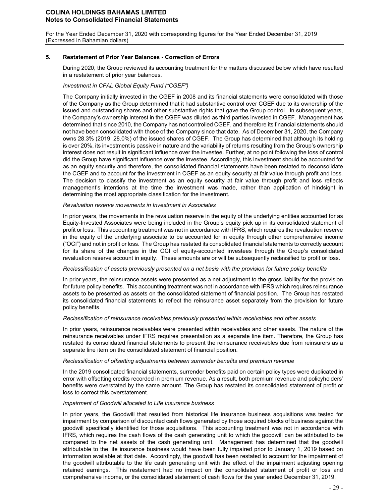For the Year Ended December 31, 2020 with corresponding figures for the Year Ended December 31, 2019 (Expressed in Bahamian dollars)

#### **5. Restatement of Prior Year Balances - Correction of Errors**

During 2020, the Group reviewed its accounting treatment for the matters discussed below which have resulted in a restatement of prior year balances.

### *Investment in CFAL Global Equity Fund ("CGEF")*

The Company initially invested in the CGEF in 2008 and its financial statements were consolidated with those of the Company as the Group determined that it had substantive control over CGEF due to its ownership of the issued and outstanding shares and other substantive rights that gave the Group control. In subsequent years, the Company's ownership interest in the CGEF was diluted as third parties invested in CGEF. Management has determined that since 2010, the Company has not controlled CGEF, and therefore its financial statements should not have been consolidated with those of the Company since that date. As of December 31, 2020, the Company owns 28.3% (2019: 28.0%) of the issued shares of CGEF. The Group has determined that although its holding is over 20%, its investment is passive in nature and the variability of returns resulting from the Group's ownership interest does not result in significant influence over the investee. Further, at no point following the loss of control did the Group have significant influence over the investee. Accordingly, this investment should be accounted for as an equity security and therefore, the consolidated financial statements have been restated to deconsolidate the CGEF and to account for the investment in CGEF as an equity security at fair value through profit and loss. The decision to classify the investment as an equity security at fair value through profit and loss reflects management's intentions at the time the investment was made, rather than application of hindsight in determining the most appropriate classification for the investment.

#### *Revaluation reserve movements in Investment in Associates*

In prior years, the movements in the revaluation reserve in the equity of the underlying entities accounted for as Equity-Invested Associates were being included in the Group's equity pick up in its consolidated statement of profit or loss. This accounting treatment was not in accordance with IFRS, which requires the revaluation reserve in the equity of the underlying associate to be accounted for in equity through other comprehensive income ("OCI") and not in profit or loss. The Group has restated its consolidated financial statements to correctly account for its share of the changes in the OCI of equity-accounted investees through the Group's consolidated revaluation reserve account in equity. These amounts are or will be subsequently reclassified to profit or loss.

#### *Reclassification of assets previously presented on a net basis with the provision for future policy benefits*

In prior years, the reinsurance assets were presented as a net adjustment to the gross liability for the provision for future policy benefits. This accounting treatment was not in accordance with IFRS which requires reinsurance assets to be presented as assets on the consolidated statement of financial position. The Group has restated its consolidated financial statements to reflect the reinsurance asset separately from the provision for future policy benefits.

#### *Reclassification of reinsurance receivables previously presented within receivables and other assets*

In prior years, reinsurance receivables were presented within receivables and other assets. The nature of the reinsurance receivables under IFRS requires presentation as a separate line item. Therefore, the Group has restated its consolidated financial statements to present the reinsurance receivables due from reinsurers as a separate line item on the consolidated statement of financial position.

#### *Reclassification of offsetting adjustments between surrender benefits and premium revenue*

In the 2019 consolidated financial statements, surrender benefits paid on certain policy types were duplicated in error with offsetting credits recorded in premium revenue. As a result, both premium revenue and policyholders' benefits were overstated by the same amount. The Group has restated its consolidated statement of profit or loss to correct this overstatement.

#### *Impairment of Goodwill allocated to Life Insurance business*

In prior years, the Goodwill that resulted from historical life insurance business acquisitions was tested for impairment by comparison of discounted cash flows generated by those acquired blocks of business against the goodwill specifically identified for those acquisitions. This accounting treatment was not in accordance with IFRS, which requires the cash flows of the cash generating unit to which the goodwill can be attributed to be compared to the net assets of the cash generating unit. Management has determined that the goodwill attributable to the life insurance business would have been fully impaired prior to January 1, 2019 based on information available at that date. Accordingly, the goodwill has been restated to account for the impairment of the goodwill attributable to the life cash generating unit with the effect of the impairment adjusting opening retained earnings. This restatement had no impact on the consolidated statement of profit or loss and comprehensive income, or the consolidated statement of cash flows for the year ended December 31, 2019.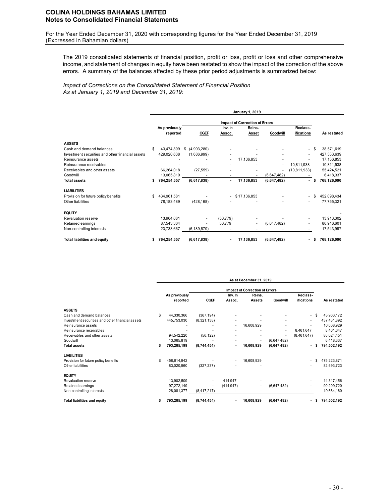For the Year Ended December 31, 2020 with corresponding figures for the Year Ended December 31, 2019 (Expressed in Bahamian dollars)

The 2019 consolidated statements of financial position, profit or loss, profit or loss and other comprehensive income, and statement of changes in equity have been restated to show the impact of the correction of the above errors. A summary of the balances affected by these prior period adjustments is summarized below:

*Impact of Corrections on the Consolidated Statement of Financial Position As at January 1, 2019 and December 31, 2019:*

|                                                  |   |               |  |                |                                       | January 1, 2019  |                          |                          |      |             |  |  |  |  |
|--------------------------------------------------|---|---------------|--|----------------|---------------------------------------|------------------|--------------------------|--------------------------|------|-------------|--|--|--|--|
|                                                  |   |               |  |                | <b>Impact of Correction of Errors</b> |                  |                          |                          |      |             |  |  |  |  |
|                                                  |   | As previously |  |                | Inv. In                               | Reins.           |                          | Reclass-                 |      |             |  |  |  |  |
|                                                  |   | reported      |  | <b>CGEF</b>    | Assoc.                                | Asset            | Goodwill                 | ifications               |      | As restated |  |  |  |  |
| <b>ASSETS</b>                                    |   |               |  |                |                                       |                  |                          |                          |      |             |  |  |  |  |
| Cash and demand balances                         | S | 43,474,899    |  | \$ (4,903,280) |                                       |                  |                          | ٠                        | \$   | 38,571,619  |  |  |  |  |
| Investment securities and other financial assets |   | 429,020,638   |  | (1,686,999)    |                                       |                  | ٠                        | ٠                        |      | 427,333,639 |  |  |  |  |
| Reinsurance assets                               |   |               |  |                | ٠                                     | 17,136,853       |                          |                          |      | 17,136,853  |  |  |  |  |
| Reinsurance receivables                          |   |               |  |                |                                       |                  | $\overline{\phantom{a}}$ | 10,811,938               |      | 10,811,938  |  |  |  |  |
| Receivables and other assets                     |   | 66,264,018    |  | (27, 559)      |                                       |                  | ٠                        | (10, 811, 938)           |      | 55,424,521  |  |  |  |  |
| Goodwill                                         |   | 13,065,819    |  |                |                                       |                  | (6,647,482)              |                          |      | 6,418,337   |  |  |  |  |
| <b>Total assets</b>                              | s | 764,254,557   |  | (6,617,838)    | $\blacksquare$                        | 17,136,853       | (6,647,482)              | $\blacksquare$           | \$   | 768,126,090 |  |  |  |  |
| <b>LIABILITIES</b>                               |   |               |  |                |                                       |                  |                          |                          |      |             |  |  |  |  |
| Provision for future policy benefits             | S | 434,961,581   |  |                |                                       | $-$ \$17,136,853 |                          | $\blacksquare$           | \$   | 452,098,434 |  |  |  |  |
| Other liabilities                                |   | 78,183,489    |  | (428, 168)     |                                       |                  |                          | ٠                        |      | 77,755,321  |  |  |  |  |
| <b>EQUITY</b>                                    |   |               |  |                |                                       |                  |                          |                          |      |             |  |  |  |  |
| <b>Revaluation reserve</b>                       |   | 13,964,081    |  |                | (50, 779)                             |                  |                          | ٠                        |      | 13,913,302  |  |  |  |  |
| Retained earnings                                |   | 87,543,304    |  |                | 50,779                                | ٠                | (6,647,482)              | ٠                        |      | 80,946,601  |  |  |  |  |
| Non-controlling interests                        |   | 23,733,667    |  | (6, 189, 670)  |                                       |                  |                          |                          |      | 17,543,997  |  |  |  |  |
| <b>Total liabilities and equity</b>              |   | 764,254,557   |  | (6,617,838)    |                                       | 17,136,853       | (6,647,482)              | $\overline{\phantom{0}}$ | - 55 | 768,126,090 |  |  |  |  |

|                                                  |    |               |             |                | As at December 31, 2019 |                          |                          |   |             |
|--------------------------------------------------|----|---------------|-------------|----------------|-------------------------|--------------------------|--------------------------|---|-------------|
|                                                  |    |               |             |                |                         |                          |                          |   |             |
|                                                  |    | As previously |             | Inv. In        | Reins.                  |                          | Reclass-                 |   |             |
|                                                  |    | reported      | <b>CGEF</b> | Assoc.         | <b>Assets</b>           | Goodwill                 | <b>ifications</b>        |   | As restated |
| <b>ASSETS</b>                                    |    |               |             |                |                         |                          |                          |   |             |
| Cash and demand balances                         | \$ | 44,330,366    | (367, 194)  |                |                         |                          | ۰.                       |   | 43,963,172  |
| Investment securities and other financial assets |    | 445,753,030   | (8,321,138) |                |                         |                          | ٠                        |   | 437,431,892 |
| Reinsurance assets                               |    |               |             |                | 16,608,929              |                          |                          |   | 16,608,929  |
| Reinsurance receivables                          |    |               |             |                |                         | $\overline{\phantom{a}}$ | 8,461,647                |   | 8,461,647   |
| Receivables and other assets                     |    | 94,542,220    | (56, 122)   |                |                         |                          | (8,461,647)              |   | 86,024,451  |
| Goodwill                                         |    | 13,065,819    |             |                |                         | (6,647,482)              |                          |   | 6,418,337   |
| <b>Total assets</b>                              | s  | 793,285,199   | (8,744,454) | $\blacksquare$ | 16,608,929              | (6,647,482)              | $\overline{\phantom{0}}$ | S | 794,502,192 |
| <b>LIABILITIES</b>                               |    |               |             |                |                         |                          |                          |   |             |
| Provision for future policy benefits             |    | 458,614,942   |             |                | 16,608,929              |                          |                          |   | 475,223,871 |
| Other liabilities                                |    | 83,020,960    | (327, 237)  |                |                         |                          |                          |   | 82,693,723  |
| <b>EQUITY</b>                                    |    |               |             |                |                         |                          |                          |   |             |
| Revaluation reserve                              |    | 13,902,509    |             | 414,947        |                         |                          |                          |   | 14,317,456  |
| Retained earnings                                |    | 97,272,149    |             | (414, 947)     |                         | (6,647,482)              | ٠                        |   | 90,209,720  |
| Non-controlling interests                        |    | 28,081,377    | (8,417,217) |                |                         |                          |                          |   | 19,664,160  |
| <b>Total liabilities and equity</b>              |    | 793,285,199   | (8,744,454) |                | 16.608.929              | (6,647,482)              |                          |   | 794,502,192 |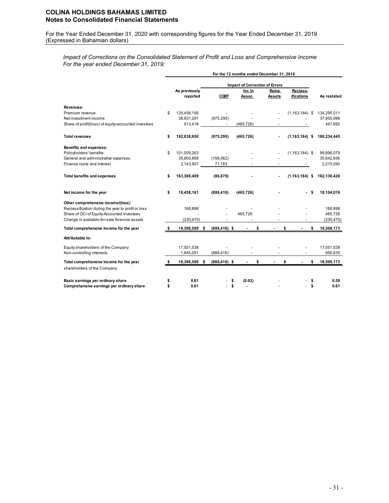For the Year Ended December 31, 2020 with corresponding figures for the Year Ended December 31, 2019 (Expressed in Bahamian dollars)

*Impact of Corrections on the Consolidated Statement of Profit and Loss and Comprehensive Income For the year ended December 31, 2019:*

|                                                                                                                                                                                         |                           |                 |   | For the 12 months ended December 31, 2019 |                         |                        |                                  |
|-----------------------------------------------------------------------------------------------------------------------------------------------------------------------------------------|---------------------------|-----------------|---|-------------------------------------------|-------------------------|------------------------|----------------------------------|
|                                                                                                                                                                                         |                           |                 |   | <b>Impact of Correction of Errors</b>     |                         |                        |                                  |
|                                                                                                                                                                                         | As previously<br>reported | <b>CGEF</b>     |   | Inv. In<br>Assoc.                         | Reins.<br><b>Assets</b> | Reclass-<br>ifications | As restated                      |
| Revenues:                                                                                                                                                                               |                           |                 |   |                                           |                         |                        |                                  |
| Premium revenue                                                                                                                                                                         | \$<br>135,458,195         |                 |   |                                           |                         | $(1, 163, 184)$ \$     | 134,295,011                      |
| Net investment income                                                                                                                                                                   | 38,931,291                | (975, 295)      |   |                                           |                         |                        | 37,955,996                       |
| Share of profit/(loss) of equity-accounted investees                                                                                                                                    | 913,418                   |                 |   | (465, 726)                                |                         |                        | 447,692                          |
| <b>Total revenues</b>                                                                                                                                                                   | \$<br>182,838,650         | (975, 295)      |   | (465, 726)                                |                         | $(1, 163, 184)$ \$     | 180,234,445                      |
| Benefits and expenses:                                                                                                                                                                  |                           |                 |   |                                           |                         |                        |                                  |
| Policyholders' benefits                                                                                                                                                                 | \$<br>101,059,263         |                 |   |                                           |                         | $(1, 163, 184)$ \$     | 99,896,079                       |
| General and administrative expenses                                                                                                                                                     | 35,800,898                | (158,062)       |   |                                           |                         |                        | 35,642,836                       |
| Finance costs and interest                                                                                                                                                              | 2,143,907                 | 71,183          |   |                                           | ٠                       |                        | 2,215,090                        |
| <b>Total benefits and expenses</b>                                                                                                                                                      | \$<br>163,380,489         | (86, 879)       |   |                                           |                         | $(1, 163, 184)$ \$     | 162,130,426                      |
| Net income for the year                                                                                                                                                                 | \$<br>19,458,161          | (888, 416)      |   | (465, 726)                                |                         |                        | \$<br>18,104,019                 |
| Other comprehensive income/(loss):<br>Reclassification during the year to profit or loss<br>Share of OCI of Equity-Accounted Investees<br>Change in available-for-sale financial assets | 168,898<br>(230, 470)     |                 |   | 465,726                                   |                         |                        | 168,898<br>465,726<br>(230, 470) |
| Total comprehensive income for the year                                                                                                                                                 | 19,396,589 \$             | $(888, 416)$ \$ |   |                                           | \$                      | \$                     | \$<br>18,508,173                 |
| Attributable to:                                                                                                                                                                        |                           |                 |   |                                           |                         |                        |                                  |
| Equity shareholders of the Company                                                                                                                                                      | 17,551,538                |                 |   |                                           |                         |                        | 17,551,538                       |
| Non-controlling interests                                                                                                                                                               | 1,845,051                 | (888, 416)      |   |                                           |                         |                        | 956,635                          |
| Total comprehensive income for the year<br>shareholders of the Company                                                                                                                  | 19,396,589 \$             | $(888, 416)$ \$ |   |                                           | \$                      | \$                     | \$<br>18,508,173                 |
| Basic earnings per ordinary share                                                                                                                                                       | 0.61                      |                 |   | (0.02)                                    |                         |                        | \$<br>0.59                       |
| Comprehensive earnings per ordinary share                                                                                                                                               | 0.61                      |                 | S |                                           |                         |                        | \$<br>0.61                       |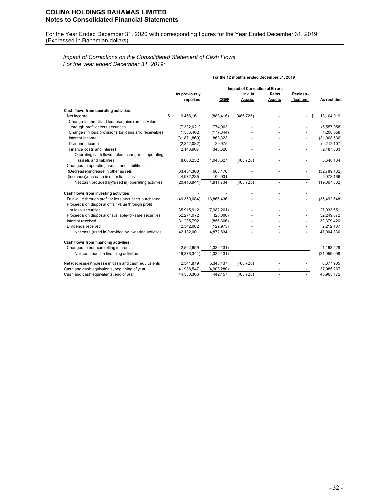For the Year Ended December 31, 2020 with corresponding figures for the Year Ended December 31, 2019 (Expressed in Bahamian dollars)

# *Impact of Corrections on the Consolidated Statement of Cash Flows For the year ended December 31, 2019:*

|                                                        |                  |             | For the 12 months ended December 31, 2019        |                |            |                |
|--------------------------------------------------------|------------------|-------------|--------------------------------------------------|----------------|------------|----------------|
|                                                        |                  |             |                                                  |                |            |                |
|                                                        | As previously    |             | <b>Impact of Correction of Errors</b><br>Inv. In | Reins.         | Reclass-   |                |
|                                                        | reported         | <b>CGEF</b> | Assoc.                                           | <b>Assets</b>  | ifications | As restated    |
| Cash flows from operating activities:                  |                  |             |                                                  |                |            |                |
| Net income                                             | \$<br>19,458,161 | (888, 416)  | (465, 726)                                       |                | \$         | 18,104,019     |
| Change in unrealized losses/(gains) on fair value      |                  |             |                                                  |                |            |                |
| through profit or loss securities                      | (7, 332, 021)    | 774,963     |                                                  |                |            | (6, 557, 058)  |
| Changes in loss provisions for loans and receivables   | 1,386,402        | (177, 844)  |                                                  |                |            | 1,208,558      |
| Interest income                                        | (31, 871, 860)   | 863,323     |                                                  |                |            | (31,008,536)   |
| Dividend income                                        | (2,342,082)      | 129,975     |                                                  |                |            | (2,212,107)    |
| Finance costs and interest                             | 2,143,907        | 343,626     |                                                  |                |            | 2,487,533      |
| Operating cash flows before changes in operating       |                  |             |                                                  |                |            |                |
| assets and liabilities                                 | 8,068,232        | 1,045,627   | (465, 726)                                       |                |            | 8,648,134      |
| Changes in operating assets and liabilities:           |                  |             |                                                  |                |            |                |
| (Decrease)/increase in other assets                    | (33, 454, 308)   | 665,176     |                                                  |                |            | (32,789,132)   |
| (Increase)/decrease in other liabilities               | 4,972,235        | 100,931     |                                                  |                |            | 5,073,166      |
| Net cash provided by/(used in) operating activities    | (20, 413, 841)   | 1,811,734   | (465, 726)                                       | $\overline{a}$ |            | (19,067,832)   |
| Cash flows from investing activities:                  |                  |             |                                                  |                |            |                |
| Fair value through profit or loss securities purchased | (49,359,084)     | 13,866,436  |                                                  |                |            | (35, 492, 648) |
| Proceeds on disposal of fair value through profit      |                  |             |                                                  |                |            |                |
| or loss securities                                     | 35,915,912       | (7,982,261) |                                                  |                |            | 27,933,651     |
| Proceeds on disposal of available-for-sale securities  | 52,274,072       | (25,000)    |                                                  |                |            | 52,249,072     |
| Interest received                                      | 31,235,792       | (856, 366)  |                                                  |                |            | 30,379,426     |
| Dividends received                                     | 2,342,082        | (129.975)   |                                                  |                |            | 2,212,107      |
| Net cash (used in)/provided by investing activities    | 42,132,001       | 4,872,834   |                                                  |                |            | 47,004,836     |
| Cash flows from financing activities:                  |                  |             |                                                  |                |            |                |
| Changes in non-controlling interests                   | 2,502,659        | (1,339,131) |                                                  |                |            | 1,163,528      |
| Net cash used in financing activities                  | (19, 376, 341)   | (1,339,131) |                                                  |                |            | (21,059,098)   |
| Net (decrease)/increase in cash and cash equivalents   | 2,341,819        | 5,345,437   | (465, 726)                                       |                |            | 6,877,905      |
| Cash and cash equivalents, beginning of year           | 41,988,547       | (4,903,280) |                                                  |                |            | 37,085,267     |
| Cash and cash equivalents, end of year                 | 44,330,366       | 442,157     | (465, 726)                                       |                |            | 43,963,172     |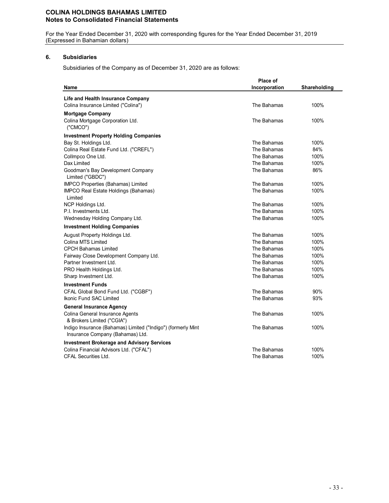For the Year Ended December 31, 2020 with corresponding figures for the Year Ended December 31, 2019 (Expressed in Bahamian dollars)

# **6. Subsidiaries**

Subsidiaries of the Company as of December 31, 2020 are as follows:

|                                                                                                  | Place of      |              |
|--------------------------------------------------------------------------------------------------|---------------|--------------|
| Name                                                                                             | Incorporation | Shareholding |
| <b>Life and Health Insurance Company</b>                                                         |               |              |
| Colina Insurance Limited ("Colina")                                                              | The Bahamas   | 100%         |
| <b>Mortgage Company</b>                                                                          |               |              |
| Colina Mortgage Corporation Ltd.<br>('CMCO")                                                     | The Bahamas   | 100%         |
| <b>Investment Property Holding Companies</b>                                                     |               |              |
| Bay St. Holdings Ltd.                                                                            | The Bahamas   | 100%         |
| Colina Real Estate Fund Ltd. ("CREFL")                                                           | The Bahamas   | 84%          |
| Collmpco One Ltd.                                                                                | The Bahamas   | 100%         |
| Dax Limited                                                                                      | The Bahamas   | 100%         |
| Goodman's Bay Development Company<br>Limited ("GBDC")                                            | The Bahamas   | 86%          |
| IMPCO Properties (Bahamas) Limited                                                               | The Bahamas   | 100%         |
| IMPCO Real Estate Holdings (Bahamas)<br>Limited                                                  | The Bahamas   | 100%         |
| NCP Holdings Ltd.                                                                                | The Bahamas   | 100%         |
| P.I. Investments Ltd.                                                                            | The Bahamas   | 100%         |
| Wednesday Holding Company Ltd.                                                                   | The Bahamas   | 100%         |
| <b>Investment Holding Companies</b>                                                              |               |              |
| August Property Holdings Ltd.                                                                    | The Bahamas   | 100%         |
| Colina MTS Limited                                                                               | The Bahamas   | 100%         |
| <b>CPCH Bahamas Limited</b>                                                                      | The Bahamas   | 100%         |
| Fairway Close Development Company Ltd.                                                           | The Bahamas   | 100%         |
| Partner Investment Ltd.                                                                          | The Bahamas   | 100%         |
| PRO Health Holdings Ltd.                                                                         | The Bahamas   | 100%         |
| Sharp Investment Ltd.                                                                            | The Bahamas   | 100%         |
| <b>Investment Funds</b>                                                                          |               |              |
| CFAL Global Bond Fund Ltd. ("CGBF")                                                              | The Bahamas   | 90%          |
| <b>Ikonic Fund SAC Limited</b>                                                                   | The Bahamas   | 93%          |
| <b>General Insurance Agency</b>                                                                  |               |              |
| Colina General Insurance Agents<br>& Brokers Limited ("CGIA")                                    | The Bahamas   | 100%         |
| Indigo Insurance (Bahamas) Limited ("Indigo") (formerly Mint<br>Insurance Company (Bahamas) Ltd. | The Bahamas   | 100%         |
| <b>Investment Brokerage and Advisory Services</b>                                                |               |              |
| Colina Financial Advisors Ltd. ("CFAL")                                                          | The Bahamas   | 100%         |
| <b>CFAL Securities Ltd.</b>                                                                      | The Bahamas   | 100%         |
|                                                                                                  |               |              |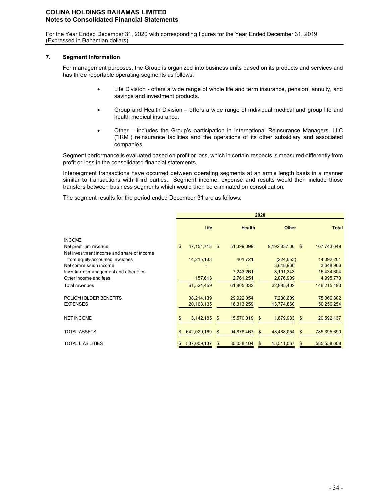For the Year Ended December 31, 2020 with corresponding figures for the Year Ended December 31, 2019 (Expressed in Bahamian dollars)

### **7. Segment Information**

For management purposes, the Group is organized into business units based on its products and services and has three reportable operating segments as follows:

- Life Division offers a wide range of whole life and term insurance, pension, annuity, and savings and investment products.
- Group and Health Division offers a wide range of individual medical and group life and health medical insurance.
- Other includes the Group's participation in International Reinsurance Managers, LLC ("IRM") reinsurance facilities and the operations of its other subsidiary and associated companies.

Segment performance is evaluated based on profit or loss, which in certain respects is measured differently from profit or loss in the consolidated financial statements.

Intersegment transactions have occurred between operating segments at an arm's length basis in a manner similar to transactions with third parties. Segment income, expense and results would then include those transfers between business segments which would then be eliminated on consolidation.

The segment results for the period ended December 31 are as follows:

|                                           | 2020 |              |    |               |    |                 |    |              |  |
|-------------------------------------------|------|--------------|----|---------------|----|-----------------|----|--------------|--|
|                                           |      | Life         |    | <b>Health</b> |    | <b>Other</b>    |    | <b>Total</b> |  |
| <b>INCOME</b>                             |      |              |    |               |    |                 |    |              |  |
| Net premium revenue                       | \$   | 47, 151, 713 | \$ | 51,399,099    |    | 9,192,837.00 \$ |    | 107,743,649  |  |
| Net investment income and share of income |      |              |    |               |    |                 |    |              |  |
| from equity-accounted investees           |      | 14,215,133   |    | 401,721       |    | (224, 653)      |    | 14,392,201   |  |
| Net commission income                     |      |              |    |               |    | 3,648,966       |    | 3,648,966    |  |
| Investment management and other fees      |      |              |    | 7,243,261     |    | 8,191,343       |    | 15,434,604   |  |
| Other income and fees                     |      | 157,613      |    | 2,761,251     |    | 2,076,909       |    | 4,995,773    |  |
| Total revenues                            |      | 61,524,459   |    | 61,805,332    |    | 22,885,402      |    | 146,215,193  |  |
| POLICYHOLDER BENEFITS                     |      | 38,214,139   |    | 29,922,054    |    | 7,230,609       |    | 75,366,802   |  |
| <b>EXPENSES</b>                           |      | 20,168,135   |    | 16,313,259    |    | 13,774,860      |    | 50,256,254   |  |
| <b>NET INCOME</b>                         |      | 3,142,185    | \$ | 15,570,019    | \$ | 1,879,933       | \$ | 20,592,137   |  |
| <b>TOTAL ASSETS</b>                       | \$   | 642,029,169  | \$ | 94,878,467    | \$ | 48,488,054      | \$ | 785,395,690  |  |
| <b>TOTAL LIABILITIES</b>                  | \$   | 537,009,137  | \$ | 35,038,404    | \$ | 13,511,067      | \$ | 585,558,608  |  |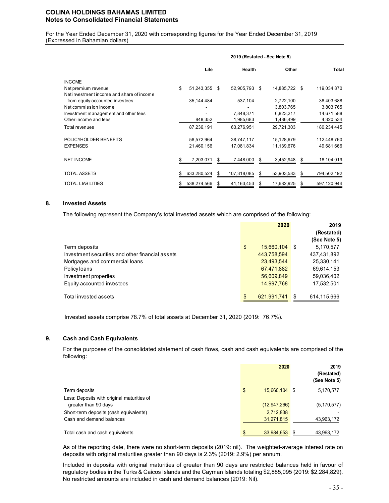For the Year Ended December 31, 2020 with corresponding figures for the Year Ended December 31, 2019 (Expressed in Bahamian dollars)

|                                           |    | 2019 (Restated - See Note 5) |    |               |    |               |    |              |  |  |  |
|-------------------------------------------|----|------------------------------|----|---------------|----|---------------|----|--------------|--|--|--|
|                                           |    | Life                         |    | Health        |    | Other         |    | <b>Total</b> |  |  |  |
| <b>INCOME</b>                             |    |                              |    |               |    |               |    |              |  |  |  |
| Net premium revenue                       | \$ | 51,243,355                   | \$ | 52,905,793 \$ |    | 14,885,722 \$ |    | 119,034,870  |  |  |  |
| Net investment income and share of income |    |                              |    |               |    |               |    |              |  |  |  |
| from equity-accounted investees           |    | 35,144,484                   |    | 537,104       |    | 2,722,100     |    | 38,403,688   |  |  |  |
| Net commission income                     |    |                              |    |               |    | 3,803,765     |    | 3,803,765    |  |  |  |
| Investment management and other fees      |    |                              |    | 7,848,371     |    | 6,823,217     |    | 14,671,588   |  |  |  |
| Other income and fees                     |    | 848,352                      |    | 1,985,683     |    | 1,486,499     |    | 4,320,534    |  |  |  |
| Total revenues                            |    | 87,236,191                   |    | 63,276,951    |    | 29,721,303    |    | 180,234,445  |  |  |  |
| POLICYHOLDER BENEFITS                     |    | 58,572,964                   |    | 38,747,117    |    | 15,128,679    |    | 112,448,760  |  |  |  |
| <b>EXPENSES</b>                           |    | 21,460,156                   |    | 17,081,834    |    | 11,139,676    |    | 49,681,666   |  |  |  |
| <b>NET INCOME</b>                         |    | 7,203,071                    | S  | 7,448,000     | S  | 3,452,948     | S  | 18,104,019   |  |  |  |
|                                           |    |                              |    |               |    |               |    |              |  |  |  |
| TOTAL ASSETS                              | \$ | 633,280,524                  | S  | 107,318,085   | \$ | 53,903,583    | \$ | 794,502,192  |  |  |  |
| <b>TOTAL LIABILITIES</b>                  | \$ | 538,274,566                  |    | 41,163,453    | S  | 17,682,925    | S  | 597,120,944  |  |  |  |

#### **8. Invested Assets**

The following represent the Company's total invested assets which are comprised of the following:

|                                                  | 2020                | 2019         |
|--------------------------------------------------|---------------------|--------------|
|                                                  |                     | (Restated)   |
|                                                  |                     | (See Note 5) |
| Term deposits                                    | \$<br>15,660,104 \$ | 5,170,577    |
| Investment securities and other financial assets | 443,758,594         | 437,431,892  |
| Mortgages and commercial loans                   | 23,493,544          | 25,330,141   |
| Policy loans                                     | 67,471,882          | 69,614,153   |
| Investment properties                            | 56,609,849          | 59.036,402   |
| Equity-accounted investees                       | 14,997,768          | 17,532,501   |
|                                                  |                     |              |
| Total invested assets                            | 621,991,741         | 614,115,666  |

Invested assets comprise 78.7% of total assets at December 31, 2020 (2019: 76.7%).

# **9. Cash and Cash Equivalents**

For the purposes of the consolidated statement of cash flows, cash and cash equivalents are comprised of the following:

|                                                                    |                     | 2020 | 2019<br>(Restated)<br>(See Note 5) |
|--------------------------------------------------------------------|---------------------|------|------------------------------------|
| Term deposits                                                      | \$<br>15,660,104 \$ |      | 5,170,577                          |
| Less: Deposits with original maturities of<br>greater than 90 days | (12, 947, 266)      |      | (5, 170, 577)                      |
| Short-term deposits (cash equivalents)                             | 2,712,838           |      |                                    |
| Cash and demand balances                                           | 31,271,815          |      | 43,963,172                         |
| Total cash and cash equivalents                                    | \$<br>33,984,653    |      | 43,963,172                         |

As of the reporting date, there were no short-term deposits (2019: nil). The weighted-average interest rate on deposits with original maturities greater than 90 days is 2.3% (2019: 2.9%) per annum.

Included in deposits with original maturities of greater than 90 days are restricted balances held in favour of regulatory bodies in the Turks & Caicos Islands and the Cayman Islands totaling \$2,885,095 (2019: \$2,284,829). No restricted amounts are included in cash and demand balances (2019: Nil).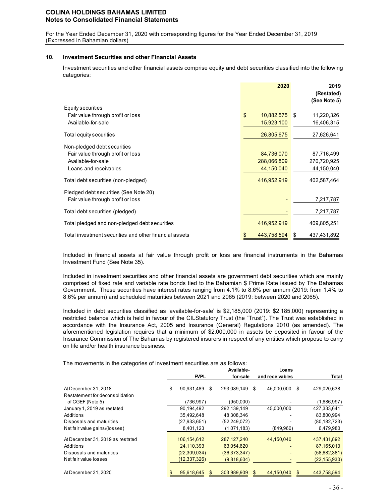For the Year Ended December 31, 2020 with corresponding figures for the Year Ended December 31, 2019 (Expressed in Bahamian dollars)

### **10. Investment Securities and other Financial Assets**

Investment securities and other financial assets comprise equity and debt securities classified into the following categories:

|                                                        | 2020              | 2019<br>(Restated)<br>(See Note 5) |
|--------------------------------------------------------|-------------------|------------------------------------|
| Equity securities                                      |                   |                                    |
| Fair value through profit or loss                      | \$<br>10,882,575  | 11,220,326<br>- \$                 |
| Available-for-sale                                     | 15,923,100        | 16,406,315                         |
| Total equity securities                                | 26,805,675        | 27,626,641                         |
| Non-pledged debt securities                            |                   |                                    |
| Fair value through profit or loss                      | 84,736,070        | 87,716,499                         |
| Available-for-sale                                     | 288,066,809       | 270,720,925                        |
| Loans and receivables                                  | 44,150,040        | 44,150,040                         |
| Total debt securities (non-pledged)                    | 416,952,919       | 402,587,464                        |
| Pledged debt securities (See Note 20)                  |                   |                                    |
| Fair value through profit or loss                      |                   | 7,217,787                          |
| Total debt securities (pledged)                        |                   | 7,217,787                          |
| Total pledged and non-pledged debt securities          | 416,952,919       | 409,805,251                        |
| Total investment securities and other financial assets | 443,758,594<br>\$ | 437,431,892<br>\$                  |

Included in financial assets at fair value through profit or loss are financial instruments in the Bahamas Investment Fund (See Note 35).

Included in investment securities and other financial assets are government debt securities which are mainly comprised of fixed rate and variable rate bonds tied to the Bahamian \$ Prime Rate issued by The Bahamas Government. These securities have interest rates ranging from 4.1% to 8.6% per annum (2019: from 1.4% to 8.6% per annum) and scheduled maturities between 2021 and 2065 (2019: between 2020 and 2065).

Included in debt securities classified as 'available-for-sale' is \$2,185,000 (2019: \$2,185,000) representing a restricted balance which is held in favour of the CILStatutory Trust (the "Trust"). The Trust was established in accordance with the Insurance Act, 2005 and Insurance (General) Regulations 2010 (as amended). The aforementioned legislation requires that a minimum of \$2,000,000 in assets be deposited in favour of the Insurance Commission of The Bahamas by registered insurers in respect of any entities which propose to carry on life and/or health insurance business.

The movements in the categories of investment securities are as follows:

|                                  |                  | Available-        |   | Loans           |     |                |
|----------------------------------|------------------|-------------------|---|-----------------|-----|----------------|
|                                  | <b>FVPL</b>      | for-sale          |   | and receivables |     | Total          |
| At December 31, 2018             | \$<br>90,931,489 | \$<br>293.089.149 | S | 45.000.000      | \$. | 429,020,638    |
| Restatement for deconsolidation  |                  |                   |   |                 |     |                |
| of CGEF (Note 5)                 | (736,997)        | (950,000)         |   |                 |     | (1,686,997)    |
| January 1, 2019 as restated      | 90,194,492       | 292,139,149       |   | 45.000.000      |     | 427.333.641    |
| Additions                        | 35,492,648       | 48,308,346        |   |                 |     | 83,800,994     |
| Disposals and maturities         | (27, 933, 651)   | (52, 249, 072)    |   |                 |     | (80, 182, 723) |
| Net fair value gains/(losses)    | 8,401,123        | (1,071,183)       |   | (849,960)       |     | 6,479,980      |
| At December 31, 2019 as restated | 106,154,612      | 287, 127, 240     |   | 44,150,040      |     | 437,431,892    |
| Additions                        | 24,110,393       | 63,054,620        |   |                 |     | 87,165,013     |
| Disposals and maturities         | (22, 309, 034)   | (36, 373, 347)    |   |                 |     | (58, 682, 381) |
| Net fair value losses            | (12, 337, 326)   | (9,818,604)       |   |                 |     | (22, 155, 930) |
| At December 31, 2020             | \$<br>95.618.645 | 303.989.909       |   | 44.150.040      |     | 443.758.594    |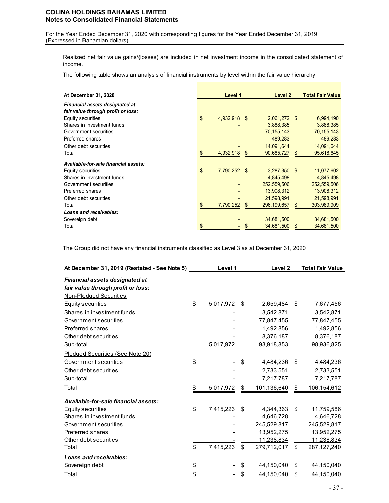For the Year Ended December 31, 2020 with corresponding figures for the Year Ended December 31, 2019 (Expressed in Bahamian dollars)

Realized net fair value gains/(losses) are included in net investment income in the consolidated statement of income.

The following table shows an analysis of financial instruments by level within the fair value hierarchy:

| At December 31, 2020                                                        | Level 1            |     | Level 2       | <b>Total Fair Value</b> |
|-----------------------------------------------------------------------------|--------------------|-----|---------------|-------------------------|
| <b>Financial assets designated at</b><br>fair value through profit or loss: |                    |     |               |                         |
| Equity securities                                                           | \$<br>4,932,918 \$ |     | 2,061,272 \$  | 6,994,190               |
| Shares in investment funds                                                  |                    |     | 3,888,385     | 3,888,385               |
| Government securities                                                       |                    |     | 70, 155, 143  | 70, 155, 143            |
| Preferred shares                                                            |                    |     | 489,283       | 489,283                 |
| Other debt securities                                                       |                    |     | 14,091,644    | 14,091,644              |
| Total                                                                       | 4,932,918<br>\$    | \$  | 90,685,727    | \$<br>95,618,645        |
| Available-for-sale financial assets:                                        |                    |     |               |                         |
| Equity securities                                                           | \$<br>7,790,252    | -S  | 3,287,350 \$  | 11,077,602              |
| Shares in investment funds                                                  |                    |     | 4,845,498     | 4,845,498               |
| Government securities                                                       |                    |     | 252,559,506   | 252,559,506             |
| Preferred shares                                                            |                    |     | 13,908,312    | 13,908,312              |
| Other debt securities                                                       |                    |     | 21,598,991    | 21,598,991              |
| Total                                                                       | 7,790,252<br>\$    | \$. | 296, 199, 657 | \$<br>303,989,909       |
| Loans and receivables:                                                      |                    |     |               |                         |
| Sovereign debt                                                              |                    |     | 34,681,500    | 34,681,500              |
| Total                                                                       | \$                 |     | 34,681,500    | 34,681,500              |

The Group did not have any financial instruments classified as Level 3 as at December 31, 2020.

| At December 31, 2019 (Restated - See Note 5) | Level 1         | Level <sub>2</sub> | <b>Total Fair Value</b> |
|----------------------------------------------|-----------------|--------------------|-------------------------|
| <b>Financial assets designated at</b>        |                 |                    |                         |
| fair value through profit or loss:           |                 |                    |                         |
| <b>Non-Pledged Securities</b>                |                 |                    |                         |
| Equity securities                            | \$<br>5,017,972 | \$<br>2,659,484    | \$<br>7,677,456         |
| Shares in investment funds                   |                 | 3,542,871          | 3,542,871               |
| Government securities                        |                 | 77,847,455         | 77,847,455              |
| Preferred shares                             |                 | 1,492,856          | 1,492,856               |
| Other debt securities                        |                 | 8,376,187          | 8,376,187               |
| Sub-total                                    | 5,017,972       | 93,918,853         | 98,936,825              |
| Pledged Securities (See Note 20)             |                 |                    |                         |
| Government securities                        | \$              | \$<br>4,484,236    | \$<br>4,484,236         |
| Other debt securities                        |                 | 2,733,551          | 2,733,551               |
| Sub-total                                    |                 | 7,217,787          | 7,217,787               |
| Total                                        | \$<br>5,017,972 | \$<br>101,136,640  | \$<br>106,154,612       |
| Available-for-sale financial assets:         |                 |                    |                         |
| Equity securities                            | \$<br>7,415,223 | \$<br>4,344,363    | \$<br>11,759,586        |
| Shares in investment funds                   |                 | 4,646,728          | 4,646,728               |
| Government securities                        |                 | 245,529,817        | 245,529,817             |
| <b>Preferred shares</b>                      |                 | 13,952,275         | 13,952,275              |
| Other debt securities                        |                 | 11,238,834         | 11,238,834              |
| Total                                        | \$<br>7,415,223 | \$<br>279,712,017  | \$<br>287,127,240       |
| Loans and receivables:                       |                 |                    |                         |
| Sovereign debt                               | \$              | \$<br>44,150,040   | \$<br>44,150,040        |
| Total                                        | \$              | \$<br>44,150,040   | \$<br>44,150,040        |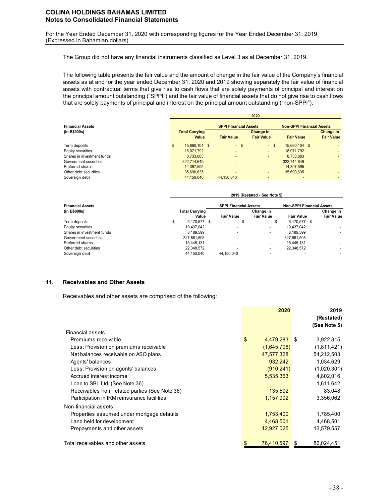For the Year Ended December 31, 2020 with corresponding figures for the Year Ended December 31, 2019 (Expressed in Bahamian dollars)

The Group did not have any financial instruments classified as Level 3 as at December 31, 2019.

The following table presents the fair value and the amount of change in the fair value of the Company's financial assets as at and for the year ended December 31, 2020 and 2019 showing separately the fair value of financial assets with contractual terms that give rise to cash flows that are solely payments of principal and interest on the principal amount outstanding ("SPPI") and the fair value of financial assets that do not give rise to cash flows that are solely payments of principal and interest on the principal amount outstanding ("non-SPPI"):

|                            | 2020                  |                              |      |                   |                   |                                  |  |  |  |  |
|----------------------------|-----------------------|------------------------------|------|-------------------|-------------------|----------------------------------|--|--|--|--|
| <b>Financial Assets</b>    |                       | <b>SPPI Financial Assets</b> |      |                   |                   | <b>Non-SPPI Financial Assets</b> |  |  |  |  |
| (in B\$000s)               | <b>Total Carrying</b> |                              |      | Change in         |                   | <b>Change in</b>                 |  |  |  |  |
|                            | Value                 | <b>Fair Value</b>            |      | <b>Fair Value</b> | <b>Fair Value</b> | <b>Fair Value</b>                |  |  |  |  |
| Term deposits              | 15.660.104 \$<br>\$   |                              | - \$ | $-$ \$            | 15,660,104 \$     |                                  |  |  |  |  |
| Equity securities          | 18.071.792            |                              |      |                   | 18.071.792        |                                  |  |  |  |  |
| Shares in investment funds | 8.733.883             |                              | -    |                   | 8,733,883         |                                  |  |  |  |  |
| Government securities      | 322.714.649           |                              |      |                   | 322.714.649       |                                  |  |  |  |  |
| Preferred shares           | 14,397,595            |                              |      |                   | 14,397,595        |                                  |  |  |  |  |
| Other debt securities      | 35,690,635            |                              |      |                   | 35,690,635        |                                  |  |  |  |  |
| Sovereign debt             | 44,150,040            | 44.150.040                   |      |                   |                   |                                  |  |  |  |  |

|                            |                       |                              |  | <b>ZUIJ (RESIGIEU - JEE NUIE J)</b> |  |                                  |  |                          |
|----------------------------|-----------------------|------------------------------|--|-------------------------------------|--|----------------------------------|--|--------------------------|
| <b>Financial Assets</b>    |                       | <b>SPPI Financial Assets</b> |  |                                     |  | <b>Non-SPPI Financial Assets</b> |  |                          |
| (in B\$000s)               | <b>Total Carrying</b> |                              |  | Change in                           |  |                                  |  | Change in                |
|                            | Value                 | <b>Fair Value</b>            |  | <b>Fair Value</b>                   |  | <b>Fair Value</b>                |  | <b>Fair Value</b>        |
| Term deposits              | \$<br>5,170,577 \$    | - \$                         |  | - \$                                |  | 5.170.577 \$                     |  |                          |
| Equity securities          | 19.437.042            | $\overline{\phantom{a}}$     |  | ۰                                   |  | 19.437.042                       |  |                          |
| Shares in investment funds | 8.189.599             | $\overline{\phantom{a}}$     |  | $\overline{\phantom{a}}$            |  | 8.189.599                        |  | $\overline{\phantom{0}}$ |
| Government securities      | 327,861,508           | $\overline{\phantom{a}}$     |  | $\overline{\phantom{a}}$            |  | 327,861,508                      |  |                          |
| Preferred shares           | 15.445.131            | $\overline{\phantom{a}}$     |  | $\overline{\phantom{a}}$            |  | 15.445.131                       |  |                          |
| Other debt securities      | 22,348,572            | $\overline{\phantom{a}}$     |  | $\overline{\phantom{a}}$            |  | 22,348,572                       |  |                          |
| Sovereign debt             | 44.150.040            | 44.150.040                   |  | $\overline{\phantom{a}}$            |  |                                  |  |                          |
|                            |                       |                              |  |                                     |  |                                  |  |                          |

**2019 (Restated - See Note 5)**

#### **11. Receivables and Other Assets**

Receivables and other assets are comprised of the following:

|                                                | 2020               |   | 2019<br>(Restated)<br>(See Note 5) |
|------------------------------------------------|--------------------|---|------------------------------------|
| Financial assets                               |                    |   |                                    |
| Premiums receivable                            | \$<br>4,479,283 \$ |   | 3,922,815                          |
| Less: Provision on premiums receivable         | (1,645,708)        |   | (1,811,421)                        |
| Net balances receivable on ASO plans           | 47,577,328         |   | 54,212,503                         |
| Agents' balances                               | 932,242            |   | 1,034,629                          |
| Less: Provision on agents' balances            | (910, 241)         |   | (1,020,301)                        |
| Accrued interest income                        | 5,535,363          |   | 4,802,016                          |
| Loan to SBL Ltd. (See Note 36)                 |                    |   | 1,611,642                          |
| Receivables from related parties (See Note 36) | 135,502            |   | 83,048                             |
| Participation in IRM reinsurance facilities    | 1,157,902          |   | 3,356,062                          |
| Non-financial assets                           |                    |   |                                    |
| Properties assumed under mortgage defaults     | 1,753,400          |   | 1,785,400                          |
| Land held for development                      | 4,468,501          |   | 4,468,501                          |
| Prepayments and other assets                   | 12,927,025         |   | 13,579,557                         |
| Total receivables and other assets             | \$<br>76,410,597   | S | 86,024,451                         |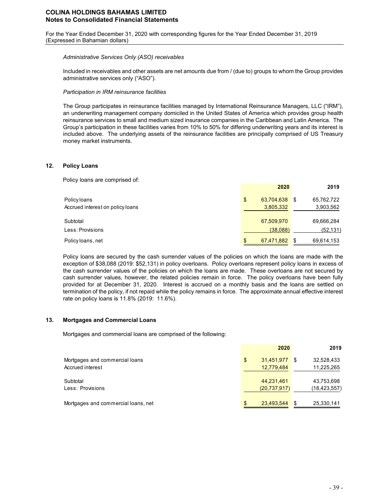For the Year Ended December 31, 2020 with corresponding figures for the Year Ended December 31, 2019 (Expressed in Bahamian dollars)

### *Administrative Services Only (ASO) receivables*

Included in receivables and other assets are net amounts due from / (due to) groups to whom the Group provides administrative services only ("ASO").

### *Participation in IRM reinsurance facilities*

The Group participates in reinsurance facilities managed by International Reinsurance Managers, LLC ("IRM"), an underwriting management company domiciled in the United States of America which provides group health reinsurance services to small and medium sized insurance companies in the Caribbean and Latin America. The Group's participation in these facilities varies from 10% to 50% for differing underwriting years and its interest is included above. The underlying assets of the reinsurance facilities are principally comprised of US Treasury money market instruments.

#### **12. Policy Loans**

Policy loans are comprised of:

|                                  | 2020                | 2019               |
|----------------------------------|---------------------|--------------------|
| Policy loans                     | 63,704,638 \$<br>\$ | 65,762,722         |
| Accrued interest on policy loans | 3,805,332           | 3,903,562          |
| Subtotal                         | 67,509,970          | 69,666,284         |
| Less: Provisions                 | (38,088)            | (52, 131)          |
| Policy loans, net                | 67,471,882<br>\$    | 69,614,153<br>- \$ |

Policy loans are secured by the cash surrender values of the policies on which the loans are made with the exception of \$38,088 (2019: \$52,131) in policy overloans. Policy overloans represent policy loans in excess of the cash surrender values of the policies on which the loans are made. These overloans are not secured by cash surrender values, however, the related policies remain in force. The policy overloans have been fully provided for at December 31, 2020. Interest is accrued on a monthly basis and the loans are settled on termination of the policy, if not repaid while the policy remains in force. The approximate annual effective interest rate on policy loans is 11.8% (2019: 11.6%).

### **13. Mortgages and Commercial Loans**

Mortgages and commercial loans are comprised of the following:

|                                     | 2020             | 2019             |
|-------------------------------------|------------------|------------------|
| Mortgages and commercial loans      | 31,451,977<br>\$ | 32,528,433<br>S  |
| Accrued interest                    | 12,779,484       | 11,225,265       |
| Subtotal                            | 44,231,461       | 43,753,698       |
| Less: Provisions                    | (20, 737, 917)   | (18, 423, 557)   |
| Mortgages and commercial loans, net | 23,493,544       | 25,330,141<br>\$ |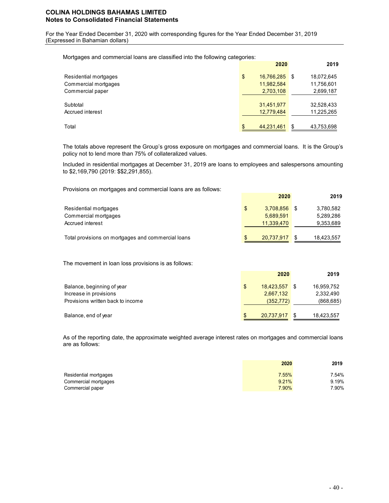For the Year Ended December 31, 2020 with corresponding figures for the Year Ended December 31, 2019 (Expressed in Bahamian dollars)

Mortgages and commercial loans are classified into the following categories:

|                       | 2020             |     | 2019       |
|-----------------------|------------------|-----|------------|
| Residential mortgages | \$<br>16,766,285 | l S | 18,072,645 |
| Commercial mortgages  | 11,982,584       |     | 11,756,601 |
| Commercial paper      | 2,703,108        |     | 2,699,187  |
| Subtotal              | 31,451,977       |     | 32,528,433 |
| Accrued interest      | 12,779,484       |     | 11,225,265 |
| Total                 | \$<br>44,231,461 | \$  | 43,753,698 |

The totals above represent the Group's gross exposure on mortgages and commercial loans. It is the Group's policy not to lend more than 75% of collateralized values.

Included in residential mortgages at December 31, 2019 are loans to employees and salespersons amounting to \$2,169,790 (2019: \$\$2,291,855).

Provisions on mortgages and commercial loans are as follows:

| Residential mortgages<br>Commercial mortgages<br>Accrued interest | \$. | 3.708.856<br>5.689.591<br>11,339,470 | 3,780,582<br>5,289,286<br>9,353,689 |
|-------------------------------------------------------------------|-----|--------------------------------------|-------------------------------------|
| Total provisions on mortgages and commercial loans                |     | 20,737,917                           | 18,423,557                          |

The movement in loan loss provisions is as follows:

|                                   | 2020          | 2019       |
|-----------------------------------|---------------|------------|
| Balance, beginning of year        | 18,423,557    | 16,959,752 |
| Increase in provisions            | 2,667,132     | 2,332,490  |
| Provisions written back to income | (352, 772)    | (868, 685) |
| Balance, end of year              | 20,737,917 \$ | 18,423,557 |

As of the reporting date, the approximate weighted average interest rates on mortgages and commercial loans are as follows:

|                       | 2020  | 2019  |
|-----------------------|-------|-------|
| Residential mortgages | 7.55% | 7.54% |
| Commercial mortgages  | 9.21% | 9.19% |
| Commercial paper      | 7.90% | 7.90% |

**2020 2019**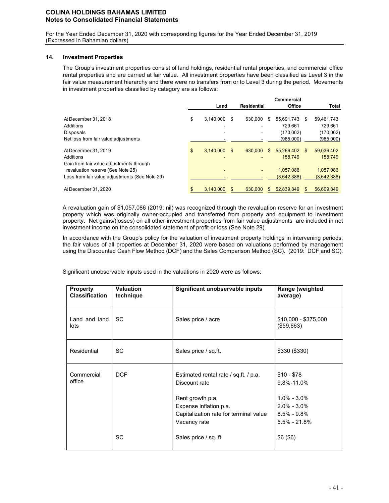For the Year Ended December 31, 2020 with corresponding figures for the Year Ended December 31, 2019 (Expressed in Bahamian dollars)

### **14. Investment Properties**

The Group's investment properties consist of land holdings, residential rental properties, and commercial office rental properties and are carried at fair value. All investment properties have been classified as Level 3 in the fair value measurement hierarchy and there were no transfers from or to Level 3 during the period. Movements in investment properties classified by category are as follows:

|                                                |                 |   |                    |     | Commercial  |     |             |
|------------------------------------------------|-----------------|---|--------------------|-----|-------------|-----|-------------|
|                                                | Land            |   | <b>Residential</b> |     | Office      |     | Total       |
| At December 31, 2018                           | \$<br>3,140,000 | S | 630,000            | S   | 55,691,743  | S   | 59,461,743  |
| Additions                                      |                 |   |                    |     | 729.661     |     | 729.661     |
| Disposals                                      |                 |   |                    |     | (170,002)   |     | (170,002)   |
| Net loss from fair value adjustments           |                 |   |                    |     | (985,000)   |     | (985,000)   |
| At December 31, 2019                           | \$<br>3.140.000 | S | 630,000            | S   | 55.266.402  | \$. | 59,036,402  |
| Additions                                      |                 |   |                    |     | 158.749     |     | 158.749     |
| Gain from fair value adjustments through       |                 |   |                    |     |             |     |             |
| revaluation reserve (See Note 25)              |                 |   |                    |     | 1.057.086   |     | 1,057,086   |
| Loss from fair value adjustments (See Note 29) |                 |   |                    |     | (3,642,388) |     | (3,642,388) |
| At December 31, 2020                           | 3.140.000       |   | 630,000            | \$. | 52.839.849  | S.  | 56.609.849  |

A revaluation gain of \$1,057,086 (2019: nil) was recognized through the revaluation reserve for an investment property which was originally owner-occupied and transferred from property and equipment to investment property. Net gains/(losses) on all other investment properties from fair value adjustments are included in net investment income on the consolidated statement of profit or loss (See Note 29).

In accordance with the Group's policy for the valuation of investment property holdings in intervening periods, the fair values of all properties at December 31, 2020 were based on valuations performed by management using the Discounted Cash Flow Method (DCF) and the Sales Comparison Method (SC). (2019: DCF and SC).

Significant unobservable inputs used in the valuations in 2020 were as follows:

| <b>Property</b><br><b>Classification</b> | <b>Valuation</b><br>technique | Significant unobservable inputs                                                                                                                | Range (weighted<br>average)                                                        |
|------------------------------------------|-------------------------------|------------------------------------------------------------------------------------------------------------------------------------------------|------------------------------------------------------------------------------------|
| Land and land<br>lots                    | SC.                           | Sales price / acre                                                                                                                             | $$10,000 - $375,000$<br>(\$59,663)                                                 |
| Residential                              | <b>SC</b>                     | Sales price / sq.ft.                                                                                                                           | \$330 (\$330)                                                                      |
| Commercial<br>office                     | <b>DCF</b>                    | Estimated rental rate / sq.ft. / p.a.<br>Discount rate<br>Rent growth p.a.<br>Expense inflation p.a.<br>Capitalization rate for terminal value | $$10 - $78$<br>9.8%-11.0%<br>$1.0\% - 3.0\%$<br>$2.0\% - 3.0\%$<br>$8.5\% - 9.8\%$ |
|                                          | SC                            | Vacancy rate<br>Sales price / sq. ft.                                                                                                          | $5.5\% - 21.8\%$<br>\$6(\$6)                                                       |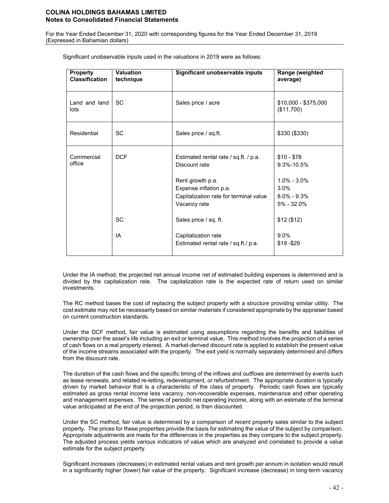For the Year Ended December 31, 2020 with corresponding figures for the Year Ended December 31, 2019 (Expressed in Bahamian dollars)

| Property<br><b>Classification</b> | <b>Valuation</b><br>technique | Significant unobservable inputs                                                                                                                                                         | Range (weighted<br>average)                                                                               |
|-----------------------------------|-------------------------------|-----------------------------------------------------------------------------------------------------------------------------------------------------------------------------------------|-----------------------------------------------------------------------------------------------------------|
| Land and land<br>lots             | <b>SC</b>                     | Sales price / acre                                                                                                                                                                      | $$10,000 - $375,000$<br>(\$11,700)                                                                        |
| Residential                       | <b>SC</b>                     | Sales price / sq.ft.                                                                                                                                                                    | \$330 (\$330)                                                                                             |
| Commercial<br>office              | <b>DCF</b><br>SC              | Estimated rental rate / sq.ft. / p.a.<br>Discount rate<br>Rent growth p.a.<br>Expense inflation p.a.<br>Capitalization rate for terminal value<br>Vacancy rate<br>Sales price / sq. ft. | $$10 - $78$<br>$9.3\% - 10.5\%$<br>$1.0\% - 3.0\%$<br>3.0%<br>$8.0\% - 9.3\%$<br>5% - 32.0%<br>\$12(\$12) |
|                                   | IA                            | Capitalization rate<br>Estimated rental rate / sq.ft./ p.a.                                                                                                                             | $9.0\%$<br>\$19 - \$29                                                                                    |

Significant unobservable inputs used in the valuations in 2019 were as follows:

Under the IA method, the projected net annual income net of estimated building expenses is determined and is divided by the capitalization rate. The capitalization rate is the expected rate of return used on similar investments.

The RC method bases the cost of replacing the subject property with a structure providing similar utility. The cost estimate may not be necessarily based on similar materials if considered appropriate by the appraiser based on current construction standards.

Under the DCF method, fair value is estimated using assumptions regarding the benefits and liabilities of ownership over the asset's life including an exit or terminal value. This method involves the projection of a series of cash flows on a real property interest. A market-derived discount rate is applied to establish the present value of the income streams associated with the property. The exit yield is normally separately determined and differs from the discount rate.

The duration of the cash flows and the specific timing of the inflows and outflows are determined by events such as lease renewals, and related re-letting, redevelopment, or refurbishment. The appropriate duration is typically driven by market behavior that is a characteristic of the class of property. Periodic cash flows are typically estimated as gross rental income less vacancy, non-recoverable expenses, maintenance and other operating and management expenses. The series of periodic net operating income, along with an estimate of the terminal value anticipated at the end of the projection period, is then discounted.

Under the SC method, fair value is determined by a comparison of recent property sales similar to the subject property. The prices for these properties provide the basis for estimating the value of the subject by comparison. Appropriate adjustments are made for the differences in the properties as they compare to the subject property. The adjusted process yields various indicators of value which are analyzed and correlated to provide a value estimate for the subject property.

Significant increases (decreases) in estimated rental values and rent growth per annum in isolation would result in a significantly higher (lower) fair value of the property. Significant increase (decrease) in long-term vacancy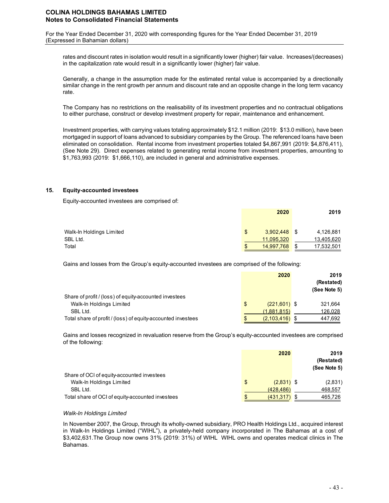For the Year Ended December 31, 2020 with corresponding figures for the Year Ended December 31, 2019 (Expressed in Bahamian dollars)

rates and discount rates in isolation would result in a significantly lower (higher) fair value. Increases/(decreases) in the capitalization rate would result in a significantly lower (higher) fair value.

Generally, a change in the assumption made for the estimated rental value is accompanied by a directionally similar change in the rent growth per annum and discount rate and an opposite change in the long term vacancy rate.

The Company has no restrictions on the realisability of its investment properties and no contractual obligations to either purchase, construct or develop investment property for repair, maintenance and enhancement.

Investment properties, with carrying values totaling approximately \$12.1 million (2019: \$13.0 million), have been mortgaged in support of loans advanced to subsidiary companies by the Group. The referenced loans have been eliminated on consolidation. Rental income from investment properties totaled \$4,867,991 (2019: \$4,876,411), (See Note 29). Direct expenses related to generating rental income from investment properties, amounting to \$1,763,993 (2019: \$1,666,110), are included in general and administrative expenses.

### **15. Equity-accounted investees**

Equity-accounted investees are comprised of:

|                          |     | 2020           |     | 2019       |
|--------------------------|-----|----------------|-----|------------|
| Walk-In Holdings Limited | \$. | $3,902,448$ \$ |     | 4,126,881  |
| SBL Ltd.                 |     | 11.095.320     |     | 13,405,620 |
| Total                    |     | 14,997,768     | -\$ | 17,532,501 |

Gains and losses from the Group's equity-accounted investees are comprised of the following:

|                                                              | 2020                 | 2019<br>(Restated)<br>(See Note 5) |
|--------------------------------------------------------------|----------------------|------------------------------------|
| Share of profit / (loss) of equity-accounted investees       |                      |                                    |
| Walk-In Holdings Limited                                     | $(221,601)$ \$<br>\$ | 321.664                            |
| SBL Ltd.                                                     | (1,881,815)          | 126,028                            |
| Total share of profit / (loss) of equity-accounted investees | $(2,103,416)$ \$     | 447,692                            |

Gains and losses recognized in revaluation reserve from the Group's equity-accounted investees are comprised of the following:

|                                                                        | 2020                  | 2019<br>(Restated)      |
|------------------------------------------------------------------------|-----------------------|-------------------------|
| Share of OCI of equity-accounted investees<br>Walk-In Holdings Limited | $(2,831)$ \$<br>\$    | (See Note 5)<br>(2,831) |
| SBL Ltd.                                                               | (428, 486)            | 468,557                 |
| Total share of OCI of equity-accounted investees                       | \$<br>$(431, 317)$ \$ | 465,726                 |

#### *Walk-In Holdings Limited*

In November 2007, the Group, through its wholly-owned subsidiary, PRO Health Holdings Ltd., acquired interest in Walk-In Holdings Limited ("WIHL"), a privately-held company incorporated in The Bahamas at a cost of \$3,402,631.The Group now owns 31% (2019: 31%) of WIHL WIHL owns and operates medical clinics in The Bahamas.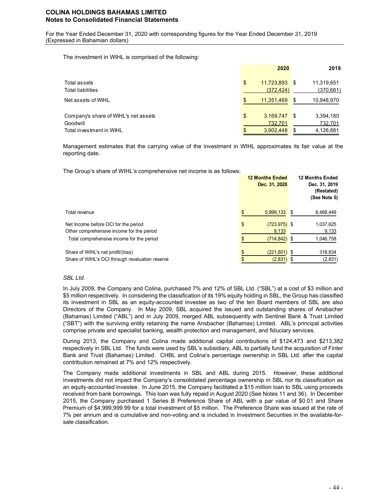For the Year Ended December 31, 2020 with corresponding figures for the Year Ended December 31, 2019 (Expressed in Bahamian dollars)

The investment in WIHL is comprised of the following:

|                                      | 2020                 |          | 2019       |
|--------------------------------------|----------------------|----------|------------|
| Total assets                         | \$<br>11,723,893 \$  |          | 11,319,651 |
| <b>Total liabilities</b>             | (372, 424)           |          | (370, 681) |
| Net assets of WIHL                   | \$<br>11.351.469     | <b>S</b> | 10,948,970 |
| Company's share of WIHL's net assets | \$<br>$3,169,747$ \$ |          | 3,394,180  |
| Goodwill                             | 732,701              |          | 732,701    |
| Total investment in WIHL             | 3,902,448            | \$       | 4,126,881  |

Management estimates that the carrying value of the investment in WIHL approximates its fair value at the reporting date.

The Group's share of WIHL's comprehensive net income is as follows:

|                                                                                                                                | <b>12 Months Ended</b><br>Dec. 31, 2020     | <b>12 Months Ended</b><br>Dec. 31, 2019<br>(Restated)<br>(See Note 5) |
|--------------------------------------------------------------------------------------------------------------------------------|---------------------------------------------|-----------------------------------------------------------------------|
| Total revenue                                                                                                                  | \$<br>5,999,133                             | 8,468,449<br>\$                                                       |
| Net Income before OCI for the period<br>Other comprehensive income for the period<br>Total comprehensive income for the period | \$<br>$(723, 975)$ \$<br>9,133<br>(714,842) | 1,037,625<br>9,133<br>1,046,758<br>\$                                 |
| Share of WIHL's net profit/(loss)<br>Share of WIHL's OCI through revaluation reserve                                           | \$<br>$(221, 601)$ \$<br>(2,831)            | 318,834<br>(2,831)                                                    |

### *SBL Ltd.*

In July 2009, the Company and Colina, purchased 7% and 12% of SBL Ltd. ("SBL") at a cost of \$3 million and \$5 million respectively. In considering the classification of its 19% equity holding in SBL, the Group has classified its investment in SBL as an equity-accounted investee as two of the ten Board members of SBL are also Directors of the Company. In May 2009, SBL acquired the issued and outstanding shares of Ansbacher (Bahamas) Limited ("ABL") and in July 2009, merged ABL subsequently with Sentinel Bank & Trust Limited ("SBT") with the surviving entity retaining the name Ansbacher (Bahamas) Limited. ABL's principal activities comprise private and specialist banking, wealth protection and management, and fiduciary services.

During 2013, the Company and Colina made additional capital contributions of \$124,473 and \$213,382 respectively in SBL Ltd. The funds were used by SBL's subsidiary, ABL to partially fund the acquisition of Finter Bank and Trust (Bahamas) Limited. CHBL and Colina's percentage ownership in SBL Ltd. after the capital contribution remained at 7% and 12% respectively.

The Company made additional investments in SBL and ABL during 2015. However, these additional investments did not impact the Company's consolidated percentage ownership in SBL nor its classification as an equity-accounted investee. In June 2015, the Company facilitated a \$15 million loan to SBL using proceeds received from bank borrowings. This loan was fully repaid in August 2020 (See Notes 11 and 36). In December 2015, the Company purchased 1 Series B Preference Share of ABL with a par value of \$0.01 and Share Premium of \$4,999,999.99 for a total investment of \$5 million. The Preference Share was issued at the rate of 7% per annum and is cumulative and non-voting and is included in Investment Securities in the available-forsale classification.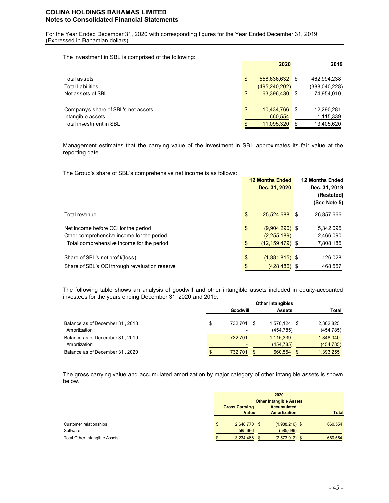For the Year Ended December 31, 2020 with corresponding figures for the Year Ended December 31, 2019 (Expressed in Bahamian dollars)

The investment in SBL is comprised of the following:

|                                     | 2020                |      | 2019          |
|-------------------------------------|---------------------|------|---------------|
| Total assets                        | \$<br>558,636,632   | - \$ | 462,994,238   |
| Total liabilities                   | (495, 240, 202)     |      | (388,040,228) |
| Net assets of SBL                   | 63.396.430          | S    | 74,954,010    |
| Company's share of SBL's net assets | \$<br>10,434,766 \$ |      | 12,290,281    |
| Intangible assets                   | 660.554             |      | 1,115,339     |
| Total investment in SBL             | 11.095.320          | \$.  | 13,405,620    |

Management estimates that the carrying value of the investment in SBL approximates its fair value at the reporting date.

The Group's share of SBL's comprehensive net income is as follows:

|                                                                                                                                | <b>12 Months Ended</b><br>Dec. 31, 2020                 | <b>12 Months Ended</b><br>Dec. 31, 2019<br>(Restated)<br>(See Note 5) |
|--------------------------------------------------------------------------------------------------------------------------------|---------------------------------------------------------|-----------------------------------------------------------------------|
| Total revenue                                                                                                                  | \$.<br>25,524,688                                       | 26,857,666<br>S                                                       |
| Net Income before OCI for the period<br>Other comprehensive income for the period<br>Total comprehensive income for the period | \$<br>$(9,904,290)$ \$<br>(2,255,189)<br>(12, 159, 479) | 5,342,095<br>2,466,090<br>7,808,185<br>S                              |
| Share of SBL's net profit/(loss)<br>Share of SBL's OCI through revaluation reserve                                             | (1,881,815)<br>(428, 486)                               | 126,028<br>\$.<br>468,557                                             |

The following table shows an analysis of goodwill and other intangible assets included in equity-accounted investees for the years ending December 31, 2020 and 2019:

|                                                 | <b>Other Intangibles</b> |  |                         |  |                         |  |
|-------------------------------------------------|--------------------------|--|-------------------------|--|-------------------------|--|
|                                                 | Goodwill                 |  | <b>Assets</b>           |  | Total                   |  |
| Balance as of December 31, 2018<br>Amortization | \$<br>732.701            |  | 1.570.124<br>(454, 785) |  | 2,302,825<br>(454, 785) |  |
| Balance as of December 31, 2019<br>Amortization | 732.701                  |  | 1,115,339<br>(454, 785) |  | 1,848,040<br>(454, 785) |  |
| Balance as of December 31, 2020                 | 732.701                  |  | 660.554                 |  | 1,393,255               |  |

The gross carrying value and accumulated amortization by major category of other intangible assets is shown below.

|                               | 2020                  |              |                    |                                |  |              |
|-------------------------------|-----------------------|--------------|--------------------|--------------------------------|--|--------------|
|                               |                       |              |                    | <b>Other Intangible Assets</b> |  |              |
|                               | <b>Gross Carrying</b> |              | <b>Accumulated</b> |                                |  |              |
|                               |                       | Value        |                    | <b>Amortization</b>            |  | <b>Total</b> |
|                               |                       |              |                    |                                |  |              |
| Customer relationships        | \$                    | 2,648,770 \$ |                    | $(1,988,216)$ \$               |  | 660,554      |
| Software                      |                       | 585.696      |                    | (585, 696)                     |  | -            |
| Total Other Intangible Assets |                       | 3,234,466    |                    | $(2,573,912)$ \$               |  | 660,554      |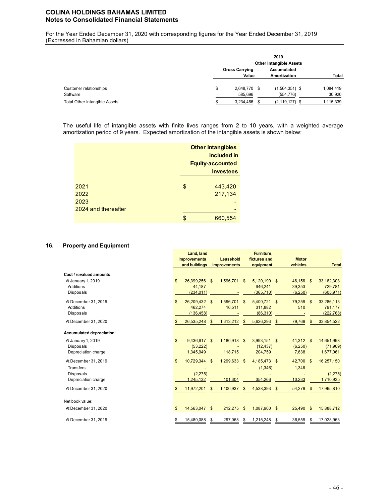For the Year Ended December 31, 2020 with corresponding figures for the Year Ended December 31, 2019 (Expressed in Bahamian dollars)

|                               |                                |  | 2019                |  |           |
|-------------------------------|--------------------------------|--|---------------------|--|-----------|
|                               | <b>Other Intangible Assets</b> |  |                     |  |           |
|                               | <b>Gross Carrying</b>          |  | Accumulated         |  |           |
|                               | Value                          |  | <b>Amortization</b> |  | Total     |
| Customer relationships        | \$<br>2,648,770 \$             |  | $(1,564,351)$ \$    |  | 1,084,419 |
| Software                      | 585,696                        |  | (554, 776)          |  | 30,920    |
| Total Other Intangible Assets | 3,234,466                      |  | (2, 119, 127)       |  | 1,115,339 |

The useful life of intangible assets with finite lives ranges from 2 to 10 years, with a weighted average amortization period of 9 years. Expected amortization of the intangible assets is shown below:

|                     |    | <b>Other intangibles</b><br>included in<br><b>Equity-accounted</b><br><b>Investees</b> |
|---------------------|----|----------------------------------------------------------------------------------------|
|                     |    |                                                                                        |
| 2021                | \$ | 443,420                                                                                |
| 2022                |    | 217,134                                                                                |
| 2023                |    |                                                                                        |
| 2024 and thereafter |    |                                                                                        |
|                     | S  | 660,554                                                                                |

## **16. Property and Equipment**

|                                                                                 |     | Land, land<br><b>improvements</b>      |     | Leasehold               |               | Furniture,<br>fixtures and            | <b>Motor</b>                   |                    |                                     |
|---------------------------------------------------------------------------------|-----|----------------------------------------|-----|-------------------------|---------------|---------------------------------------|--------------------------------|--------------------|-------------------------------------|
|                                                                                 |     | and buildings                          |     | <b>improvements</b>     |               | equipment                             | vehicles                       |                    | <b>Total</b>                        |
| Cost / revalued amounts:<br>At January 1, 2019<br>Additions<br><b>Disposals</b> | \$  | 26,399,256 \$<br>44,187<br>(234.011)   |     | 1,596,701               | \$            | 5,120,190 \$<br>646,241<br>(365, 710) | 46,156<br>39,353<br>(6, 250)   | $\mathbf{\hat{s}}$ | 33,162,303<br>729,781<br>(605, 971) |
| At December 31, 2019<br>Additions<br><b>Disposals</b>                           | \$  | 26,209,432 \$<br>462.274<br>(136, 458) |     | 1,596,701<br>16,511     | $\mathsf{\$}$ | 5,400,721<br>311,882<br>(86, 310)     | \$<br>79,259<br>510            | \$                 | 33,286,113<br>791,177<br>(222, 768) |
| At December 31, 2020                                                            | \$. | 26,535,248                             | \$. | 1,613,212               | \$            | 5,626,293                             | \$<br>79,769                   | \$                 | 33,854,522                          |
| Accumulated depreciation:                                                       |     |                                        |     |                         |               |                                       |                                |                    |                                     |
| At January 1, 2019<br><b>Disposals</b><br>Depreciation charge                   | \$  | 9,436,617 \$<br>(53, 222)<br>1,345,949 |     | 1,180,918 \$<br>118,715 |               | 3,993,151 \$<br>(12, 437)<br>204,759  | 41,312 \$<br>(6, 250)<br>7,638 |                    | 14,651,998<br>(71,909)<br>1,677,061 |
| At December 31, 2019<br>Transfers<br><b>Disposals</b><br>Depreciation charge    | \$  | 10,729,344<br>(2, 275)<br>1.245.132    | \$  | 1,299,633<br>101,304    | \$            | 4,185,473 \$<br>(1, 346)<br>354.266   | 42,700<br>1,346<br>10,233      | $\mathbf{\$}$      | 16,257,150<br>(2,275)<br>1,710,935  |
| At December 31, 2020                                                            | \$  | 11,972,201                             | \$  | 1,400,937               | \$            | 4,538,393                             | \$<br>54,279                   | \$                 | 17,965,810                          |
| Net book value:                                                                 |     |                                        |     |                         |               |                                       |                                |                    |                                     |
| At December 31, 2020                                                            | \$  | 14,563,047                             | \$  | 212,275                 | \$            | 1,087,900                             | \$<br>25,490                   | \$                 | 15,888,712                          |
| At December 31, 2019                                                            | S   | 15,480,088                             | \$  | 297,068                 | \$            | 1,215,248                             | \$<br>36,559                   | S                  | 17,028,963                          |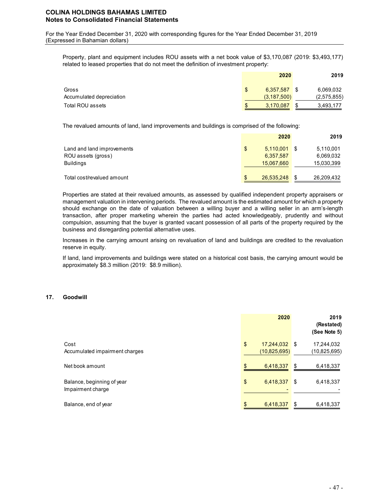For the Year Ended December 31, 2020 with corresponding figures for the Year Ended December 31, 2019 (Expressed in Bahamian dollars)

Property, plant and equipment includes ROU assets with a net book value of \$3,170,087 (2019: \$3,493,177) related to leased properties that do not meet the definition of investment property:

|                          |                | 2020          | 2019        |
|--------------------------|----------------|---------------|-------------|
| Gross                    | $\mathfrak{L}$ | 6.357.587     | 6,069,032   |
| Accumulated depreciation |                | (3, 187, 500) | (2,575,855) |
| Total ROU assets         | \$             | 3,170,087     | 3,493,177   |

The revalued amounts of land, land improvements and buildings is comprised of the following:

|                            |    | 2020       | 2019       |
|----------------------------|----|------------|------------|
| Land and land improvements | \$ | 5,110,001  | 5,110,001  |
| ROU assets (gross)         |    | 6,357,587  | 6,069,032  |
| <b>Buildings</b>           |    | 15,067,660 | 15,030,399 |
| Total cost/revalued amount | S  | 26,535,248 | 26,209,432 |

Properties are stated at their revalued amounts, as assessed by qualified independent property appraisers or management valuation in intervening periods. The revalued amount is the estimated amount for which a property should exchange on the date of valuation between a willing buyer and a willing seller in an arm's-length transaction, after proper marketing wherein the parties had acted knowledgeably, prudently and without compulsion, assuming that the buyer is granted vacant possession of all parts of the property required by the business and disregarding potential alternative uses.

Increases in the carrying amount arising on revaluation of land and buildings are credited to the revaluation reserve in equity.

If land, land improvements and buildings were stated on a historical cost basis, the carrying amount would be approximately \$8.3 million (2019: \$8.9 million).

### **17. Goodwill**

|                                | 2020                |      | 2019<br>(Restated)<br>(See Note 5) |
|--------------------------------|---------------------|------|------------------------------------|
| Cost                           | \$<br>17,244,032 \$ |      | 17,244,032                         |
| Accumulated impairment charges | (10, 825, 695)      |      | (10, 825, 695)                     |
| Net book amount                | \$<br>6,418,337     | \$   | 6,418,337                          |
| Balance, beginning of year     | \$<br>6,418,337     | - \$ | 6,418,337                          |
| Impairment charge              |                     |      |                                    |
| Balance, end of year           | 6,418,337           | \$   | 6,418,337                          |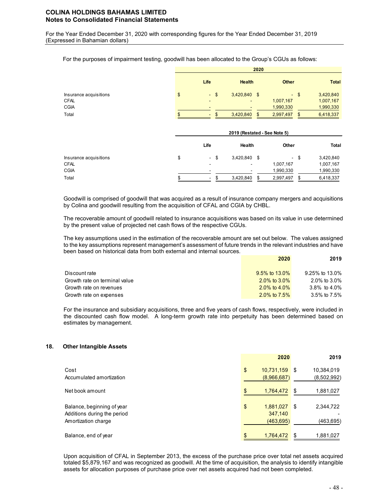For the Year Ended December 31, 2020 with corresponding figures for the Year Ended December 31, 2019 (Expressed in Bahamian dollars)

| For the purposes of impairment testing, goodwill has been allocated to the Group's CGUs as follows: |  |  |
|-----------------------------------------------------------------------------------------------------|--|--|
|                                                                                                     |  |  |

|                                                               | 2020                                            |                                |               |                                     |              |                                                  |  |  |
|---------------------------------------------------------------|-------------------------------------------------|--------------------------------|---------------|-------------------------------------|--------------|--------------------------------------------------|--|--|
|                                                               | Life                                            |                                | <b>Health</b> |                                     | <b>Other</b> | <b>Total</b>                                     |  |  |
| Insurance acquisitions<br><b>CFAL</b><br><b>CGIA</b><br>Total | \$<br>$\sqrt{3}$<br>$\omega_{\rm c}$<br>۰<br>\$ | 3,420,840 \$<br>۰<br>3,420,840 | \$            | 1,007,167<br>1,990,330<br>2,997,497 | $-$ \$<br>\$ | 3,420,840<br>1,007,167<br>1,990,330<br>6,418,337 |  |  |
|                                                               |                                                 | 2019 (Restated - See Note 5)   |               |                                     |              |                                                  |  |  |
|                                                               | Life                                            | Health                         |               | Other                               |              | Total                                            |  |  |
| Insurance acquisitions<br><b>CFAL</b><br><b>CGIA</b>          | \$<br>\$<br>$\overline{\phantom{a}}$<br>-       | 3,420,840 \$                   |               | $\sim$<br>1,007,167<br>1,990,330    | \$           | 3,420,840<br>1,007,167<br>1,990,330              |  |  |
| Total                                                         | \$<br>$\overline{\phantom{0}}$                  | 3,420,840                      | \$            | 2,997,497                           | \$           | 6,418,337                                        |  |  |

Goodwill is comprised of goodwill that was acquired as a result of insurance company mergers and acquisitions by Colina and goodwill resulting from the acquisition of CFAL and CGIA by CHBL.

The recoverable amount of goodwill related to insurance acquisitions was based on its value in use determined by the present value of projected net cash flows of the respective CGUs.

The key assumptions used in the estimation of the recoverable amount are set out below. The values assigned to the key assumptions represent management's assessment of future trends in the relevant industries and have been based on historical data from both external and internal sources.

|                               | 2020            | 2019            |
|-------------------------------|-----------------|-----------------|
| Discount rate                 | 9.5% to 13.0%   | 9.25% to 13.0%  |
| Growth rate on terminal value | 2.0% to $3.0\%$ | 2.0% to 3.0%    |
| Growth rate on revenues       | 2.0% to 4.0%    | 3.8% to $4.0\%$ |
| Growth rate on expenses       | 2.0% to $7.5\%$ | 3.5% to 7.5%    |

For the insurance and subsidiary acquisitions, three and five years of cash flows, respectively, were included in the discounted cash flow model. A long-term growth rate into perpetuity has been determined based on estimates by management.

#### **18. Other Intangible Assets**

|                                                                                  | 2020                                     | 2019                               |
|----------------------------------------------------------------------------------|------------------------------------------|------------------------------------|
| Cost<br>Accumulated amortization                                                 | \$<br>$10,731,159$ \$<br>(8,966,687)     | 10,384,019<br>(8,502,992)          |
| Net book amount                                                                  | \$<br>1,764,472                          | 1,881,027<br>\$                    |
| Balance, beginning of year<br>Additions during the period<br>Amortization charge | \$<br>1,881,027<br>347,140<br>(463, 695) | 2,344,722<br><b>S</b><br>(463,695) |
| Balance, end of year                                                             | \$.<br>1,764,472                         | \$<br>1,881,027                    |

Upon acquisition of CFAL in September 2013, the excess of the purchase price over total net assets acquired totaled \$5,879,167 and was recognized as goodwill. At the time of acquisition, the analysis to identify intangible assets for allocation purposes of purchase price over net assets acquired had not been completed.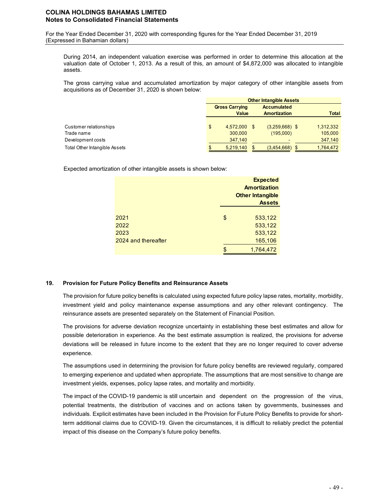For the Year Ended December 31, 2020 with corresponding figures for the Year Ended December 31, 2019 (Expressed in Bahamian dollars)

During 2014, an independent valuation exercise was performed in order to determine this allocation at the valuation date of October 1, 2013. As a result of this, an amount of \$4,872,000 was allocated to intangible assets.

The gross carrying value and accumulated amortization by major category of other intangible assets from acquisitions as of December 31, 2020 is shown below:

|                               | <b>Other Intangible Assets</b> |                       |  |                     |  |              |  |  |
|-------------------------------|--------------------------------|-----------------------|--|---------------------|--|--------------|--|--|
|                               |                                | <b>Gross Carrying</b> |  | <b>Accumulated</b>  |  |              |  |  |
|                               |                                | <b>Value</b>          |  | <b>Amortization</b> |  | <b>Total</b> |  |  |
|                               |                                |                       |  |                     |  |              |  |  |
| Customer relationships        | \$                             | 4,572,000             |  | $(3,259,668)$ \$    |  | 1,312,332    |  |  |
| Trade name                    |                                | 300,000               |  | (195,000)           |  | 105,000      |  |  |
| Development costs             |                                | 347.140               |  |                     |  | 347,140      |  |  |
| Total Other Intangible Assets |                                | 5,219,140             |  | (3,454,668)         |  | 1,764,472    |  |  |

Expected amortization of other intangible assets is shown below:

|                     | <b>Expected</b><br><b>Amortization</b><br><b>Other Intangible</b><br><b>Assets</b> |
|---------------------|------------------------------------------------------------------------------------|
| 2021                | \$<br>533,122                                                                      |
| 2022<br>2023        | 533,122<br>533,122                                                                 |
| 2024 and thereafter | 165,106                                                                            |
|                     | \$<br>1,764,472                                                                    |

### **19. Provision for Future Policy Benefits and Reinsurance Assets**

The provision for future policy benefits is calculated using expected future policy lapse rates, mortality, morbidity, investment yield and policy maintenance expense assumptions and any other relevant contingency. The reinsurance assets are presented separately on the Statement of Financial Position.

The provisions for adverse deviation recognize uncertainty in establishing these best estimates and allow for possible deterioration in experience. As the best estimate assumption is realized, the provisions for adverse deviations will be released in future income to the extent that they are no longer required to cover adverse experience.

The assumptions used in determining the provision for future policy benefits are reviewed regularly, compared to emerging experience and updated when appropriate. The assumptions that are most sensitive to change are investment yields, expenses, policy lapse rates, and mortality and morbidity.

The impact of the COVID-19 pandemic is still uncertain and dependent on the progression of the virus, potential treatments, the distribution of vaccines and on actions taken by governments, businesses and individuals. Explicit estimates have been included in the Provision for Future Policy Benefits to provide for shortterm additional claims due to COVID-19. Given the circumstances, it is difficult to reliably predict the potential impact of this disease on the Company's future policy benefits.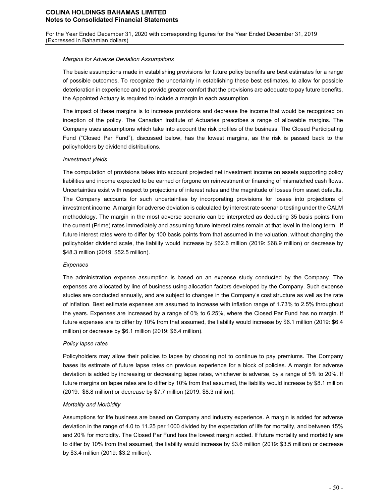For the Year Ended December 31, 2020 with corresponding figures for the Year Ended December 31, 2019 (Expressed in Bahamian dollars)

### *Margins for Adverse Deviation Assumptions*

The basic assumptions made in establishing provisions for future policy benefits are best estimates for a range of possible outcomes. To recognize the uncertainty in establishing these best estimates, to allow for possible deterioration in experience and to provide greater comfort that the provisions are adequate to pay future benefits, the Appointed Actuary is required to include a margin in each assumption.

The impact of these margins is to increase provisions and decrease the income that would be recognized on inception of the policy. The Canadian Institute of Actuaries prescribes a range of allowable margins. The Company uses assumptions which take into account the risk profiles of the business. The Closed Participating Fund ("Closed Par Fund"), discussed below, has the lowest margins, as the risk is passed back to the policyholders by dividend distributions.

## *Investment yields*

The computation of provisions takes into account projected net investment income on assets supporting policy liabilities and income expected to be earned or forgone on reinvestment or financing of mismatched cash flows. Uncertainties exist with respect to projections of interest rates and the magnitude of losses from asset defaults. The Company accounts for such uncertainties by incorporating provisions for losses into projections of investment income. A margin for adverse deviation is calculated by interest rate scenario testing under the CALM methodology. The margin in the most adverse scenario can be interpreted as deducting 35 basis points from the current (Prime) rates immediately and assuming future interest rates remain at that level in the long term. If future interest rates were to differ by 100 basis points from that assumed in the valuation, without changing the policyholder dividend scale, the liability would increase by \$62.6 million (2019: \$68.9 million) or decrease by \$48.3 million (2019: \$52.5 million).

### *Expenses*

The administration expense assumption is based on an expense study conducted by the Company. The expenses are allocated by line of business using allocation factors developed by the Company. Such expense studies are conducted annually, and are subject to changes in the Company's cost structure as well as the rate of inflation. Best estimate expenses are assumed to increase with inflation range of 1.73% to 2.5% throughout the years. Expenses are increased by a range of 0% to 6.25%, where the Closed Par Fund has no margin. If future expenses are to differ by 10% from that assumed, the liability would increase by \$6.1 million (2019: \$6.4 million) or decrease by \$6.1 million (2019: \$6.4 million).

### *Policy lapse rates*

Policyholders may allow their policies to lapse by choosing not to continue to pay premiums. The Company bases its estimate of future lapse rates on previous experience for a block of policies. A margin for adverse deviation is added by increasing or decreasing lapse rates, whichever is adverse, by a range of 5% to 20%. If future margins on lapse rates are to differ by 10% from that assumed, the liability would increase by \$8.1 million (2019: \$8.8 million) or decrease by \$7.7 million (2019: \$8.3 million).

### *Mortality and Morbidity*

Assumptions for life business are based on Company and industry experience. A margin is added for adverse deviation in the range of 4.0 to 11.25 per 1000 divided by the expectation of life for mortality, and between 15% and 20% for morbidity. The Closed Par Fund has the lowest margin added. If future mortality and morbidity are to differ by 10% from that assumed, the liability would increase by \$3.6 million (2019: \$3.5 million) or decrease by \$3.4 million (2019: \$3.2 million).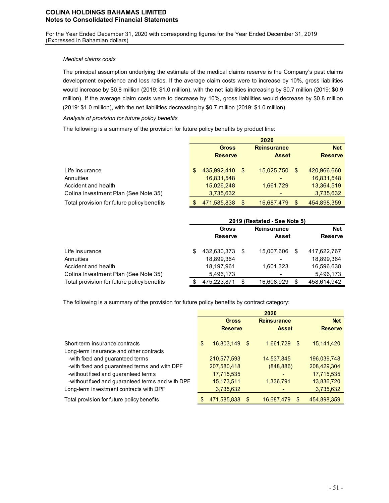For the Year Ended December 31, 2020 with corresponding figures for the Year Ended December 31, 2019 (Expressed in Bahamian dollars)

## *Medical claims costs*

The principal assumption underlying the estimate of the medical claims reserve is the Company's past claims development experience and loss ratios. If the average claim costs were to increase by 10%, gross liabilities would increase by \$0.8 million (2019: \$1.0 million), with the net liabilities increasing by \$0.7 million (2019: \$0.9 million). If the average claim costs were to decrease by 10%, gross liabilities would decrease by \$0.8 million (2019: \$1.0 million), with the net liabilities decreasing by \$0.7 million (2019: \$1.0 million).

### *Analysis of provision for future policy benefits*

The following is a summary of the provision for future policy benefits by product line:

|                                            |     |                |      | 2020                     |                   |
|--------------------------------------------|-----|----------------|------|--------------------------|-------------------|
|                                            |     | <b>Gross</b>   |      | <b>Reinsurance</b>       | <b>Net</b>        |
|                                            |     | <b>Reserve</b> |      | <b>Asset</b>             | <b>Reserve</b>    |
| Life insurance                             | \$. | 435,992,410    | - \$ | 15,025,750               | \$<br>420,966,660 |
| Annuities                                  |     | 16,831,548     |      | $\overline{\phantom{0}}$ | 16,831,548        |
| Accident and health                        |     | 15,026,248     |      | 1,661,729                | 13,364,519        |
| Colina Investment Plan (See Note 35)       |     | 3,735,632      |      |                          | 3,735,632         |
| Total provision for future policy benefits |     | 471,585,838    | \$.  | 16,687,479               | \$<br>454,898,359 |

|                                            |   | 2019 (Restated - See Note 5) |    |                    |     |                |  |  |  |
|--------------------------------------------|---|------------------------------|----|--------------------|-----|----------------|--|--|--|
|                                            |   | Gross                        |    | <b>Reinsurance</b> |     | <b>Net</b>     |  |  |  |
|                                            |   | <b>Reserve</b>               |    | Asset              |     | <b>Reserve</b> |  |  |  |
| Life insurance                             | S | 432,630,373                  | -S | 15,007,606         | \$. | 417,622,767    |  |  |  |
| Annuities                                  |   | 18.899.364                   |    |                    |     | 18.899.364     |  |  |  |
| Accident and health                        |   | 18.197.961                   |    | 1,601,323          |     | 16,596,638     |  |  |  |
| Colina Investment Plan (See Note 35)       |   | 5,496,173                    |    |                    |     | 5,496,173      |  |  |  |
| Total provision for future policy benefits |   | 475,223,871                  | S  | 16,608,929         | S   | 458.614.942    |  |  |  |

The following is a summary of the provision for future policy benefits by contract category:

|                                                  |     | <b>Gross</b>   |     | <b>Reinsurance</b> | <b>Net</b>     |
|--------------------------------------------------|-----|----------------|-----|--------------------|----------------|
|                                                  |     | <b>Reserve</b> |     | <b>Asset</b>       | <b>Reserve</b> |
| Short-term insurance contracts                   | \$  | 16,803,149 \$  |     | 1,661,729<br>-\$   | 15,141,420     |
| Long-term insurance and other contracts          |     |                |     |                    |                |
| -with fixed and guaranteed terms                 |     | 210,577,593    |     | 14,537,845         | 196,039,748    |
| -with fixed and guaranteed terms and with DPF    |     | 207,580,418    |     | (848, 886)         | 208,429,304    |
| -without fixed and guaranteed terms              |     | 17,715,535     |     |                    | 17,715,535     |
| -without fixed and guaranteed terms and with DPF |     | 15,173,511     |     | 1,336,791          | 13,836,720     |
| Long-term investment contracts with DPF          |     | 3,735,632      |     |                    | 3,735,632      |
| Total provision for future policy benefits       | \$. | 471,585,838    | \$. | 16,687,479<br>\$.  | 454.898.359    |

**2020**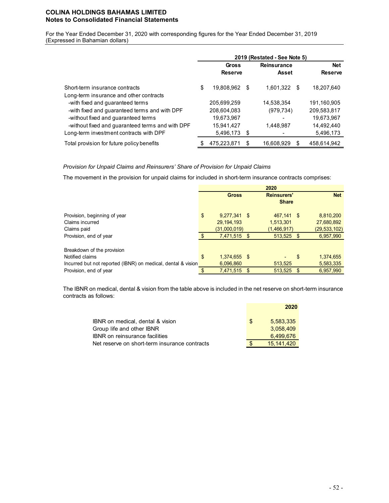For the Year Ended December 31, 2020 with corresponding figures for the Year Ended December 31, 2019 (Expressed in Bahamian dollars)

|                                                                                                                                    | 2019 (Restated - See Note 5) |                                       |   |                          |      |                                       |  |  |
|------------------------------------------------------------------------------------------------------------------------------------|------------------------------|---------------------------------------|---|--------------------------|------|---------------------------------------|--|--|
|                                                                                                                                    |                              | Gross                                 |   | <b>Reinsurance</b>       |      | <b>Net</b>                            |  |  |
|                                                                                                                                    |                              | <b>Reserve</b>                        |   | Asset                    |      | <b>Reserve</b>                        |  |  |
| Short-term insurance contracts<br>Long-term insurance and other contracts                                                          | \$                           | 19,808,962                            | S | 1,601,322                | - \$ | 18,207,640                            |  |  |
| -with fixed and guaranteed terms<br>-with fixed and guaranteed terms and with DPF                                                  |                              | 205,699,259<br>208,604,083            |   | 14,538,354<br>(979, 734) |      | 191.160.905<br>209,583,817            |  |  |
| -without fixed and guaranteed terms<br>-without fixed and guaranteed terms and with DPF<br>Long-term investment contracts with DPF |                              | 19,673,967<br>15.941.427<br>5,496,173 | S | 1.448.987                |      | 19,673,967<br>14,492,440<br>5,496,173 |  |  |
| Total provision for future policy benefits                                                                                         |                              | 475.223.871                           |   | 16.608.929               | S    | 458.614.942                           |  |  |

### *Provision for Unpaid Claims and Reinsurers' Share of Provision for Unpaid Claims*

The movement in the provision for unpaid claims for included in short-term insurance contracts comprises:

|                                                              | 2020 |                |                    |              |            |                |
|--------------------------------------------------------------|------|----------------|--------------------|--------------|------------|----------------|
|                                                              |      | <b>Gross</b>   | <b>Reinsurers'</b> |              | <b>Net</b> |                |
|                                                              |      |                |                    | <b>Share</b> |            |                |
| Provision, beginning of year                                 | \$   | $9,277,341$ \$ |                    | 467.141 \$   |            | 8,810,200      |
| Claims incurred                                              |      | 29, 194, 193   |                    | 1,513,301    |            | 27,680,892     |
| Claims paid                                                  |      | (31,000,019)   |                    | (1,466,917)  |            | (29, 533, 102) |
| Provision, end of year                                       |      | 7,471,515 \$   |                    | 513,525 \$   |            | 6,957,990      |
|                                                              |      |                |                    |              |            |                |
| Breakdown of the provision                                   |      |                |                    |              |            |                |
| Notified claims                                              | \$   | 1,374,655 \$   |                    |              | \$         | 1,374,655      |
| Incurred but not reported (IBNR) on medical, dental & vision |      | 6,096,860      |                    | 513,525      |            | 5,583,335      |
| Provision, end of year                                       | ¢    | 7,471,515      | -\$                | 513,525      | \$         | 6,957,990      |

The IBNR on medical, dental & vision from the table above is included in the net reserve on short-term insurance contracts as follows:

|                                               |     | 2020       |
|-----------------------------------------------|-----|------------|
| IBNR on medical, dental & vision              | \$. | 5.583.335  |
| Group life and other IBNR                     |     | 3.058.409  |
| <b>IBNR</b> on reinsurance facilities         |     | 6.499.676  |
| Net reserve on short-term insurance contracts |     | 15.141.420 |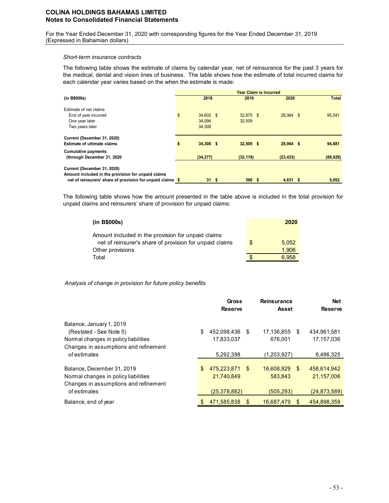For the Year Ended December 31, 2020 with corresponding figures for the Year Ended December 31, 2019 (Expressed in Bahamian dollars)

#### *Short-term insurance contracts*

The following table shows the estimate of claims by calendar year, net of reinsurance for the past 3 years for the medical, dental and vision lines of business. The table shows how the estimate of total incurred claims for each calendar year varies based on the when the estimate is made:

|                                                                   | <b>Year Claim is Incurred</b> |             |  |             |  |             |  |              |  |  |
|-------------------------------------------------------------------|-------------------------------|-------------|--|-------------|--|-------------|--|--------------|--|--|
| (in B\$000s)                                                      |                               | 2018        |  | 2019        |  | 2020        |  | <b>Total</b> |  |  |
| Estimate of net claims                                            |                               |             |  |             |  |             |  |              |  |  |
| End of year incurred                                              | \$                            | $34,602$ \$ |  | $32,875$ \$ |  | 28.064 \$   |  | 95,541       |  |  |
| One year later                                                    |                               | 34.094      |  | 32,509      |  |             |  |              |  |  |
| Two years later                                                   |                               | 34,308      |  |             |  |             |  |              |  |  |
| Current (December 31, 2020)<br><b>Estimate of ultimate claims</b> | \$                            | $34,308$ \$ |  | $32,509$ \$ |  | $28,064$ \$ |  | 94,881       |  |  |
| <b>Cumulative payments</b>                                        |                               |             |  |             |  |             |  |              |  |  |
| (through December 31, 2020)                                       |                               | (34, 277)   |  | (32, 119)   |  | (23, 433)   |  | (89, 829)    |  |  |
| Current (December 31, 2020)                                       |                               |             |  |             |  |             |  |              |  |  |
| Amount included in the provision for unpaid claims                |                               |             |  |             |  |             |  |              |  |  |
| net of reinsurers' share of provision for unpaid claims \$        |                               | 31S         |  | 390S        |  | $4,631$ \$  |  | 5,052        |  |  |

The following table shows how the amount presented in the table above is included in the total provision for unpaid claims and reinsurers' share of provision for unpaid claims:

| (in B\$000s)                                                                                                  |     | 2020  |
|---------------------------------------------------------------------------------------------------------------|-----|-------|
| Amount included in the provision for unpaid claims<br>net of reinsurer's share of provision for unpaid claims | \$. | 5.052 |
| Other provisions                                                                                              |     | 1.906 |
| Total                                                                                                         |     | 6.958 |

### *Analysis of change in provision for future policy benefits*

|                                                                                                                                      |     | <b>Gross</b><br><b>Reserve</b> |     | <b>Reinsurance</b><br><b>Asset</b>     | <b>Net</b><br><b>Reserve</b> |
|--------------------------------------------------------------------------------------------------------------------------------------|-----|--------------------------------|-----|----------------------------------------|------------------------------|
| Balance, January 1, 2019<br>(Restated - See Note 5)<br>Normal changes in policy liabilities<br>Changes in assumptions and refinement | \$  | 452,098,436 \$<br>17,833,037   |     | 17,136,855<br>\$<br>676.001            | 434,961,581<br>17.157.036    |
| of estimates                                                                                                                         |     | 5,292,398                      |     | (1,203,927)                            | 6,496,325                    |
| Balance, December 31, 2019<br>Normal changes in policy liabilities<br>Changes in assumptions and refinement                          | \$. | 475.223.871<br>21.740.849      | - S | 16,608,929<br><sup>\$</sup><br>583.843 | 458.614.942<br>21,157,006    |
| of estimates                                                                                                                         |     | (25, 378, 882)                 |     | (505, 293)                             | (24, 873, 589)               |
| Balance, end of year                                                                                                                 |     | 471.585.838                    |     | 16,687,479<br>\$.                      | 454.898.359                  |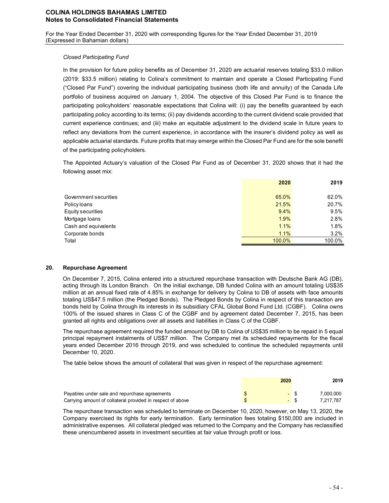For the Year Ended December 31, 2020 with corresponding figures for the Year Ended December 31, 2019 (Expressed in Bahamian dollars)

### *Closed Participating Fund*

In the provision for future policy benefits as of December 31, 2020 are actuarial reserves totaling \$33.0 million (2019: \$33.5 million) relating to Colina's commitment to maintain and operate a Closed Participating Fund ("Closed Par Fund") covering the individual participating business (both life and annuity) of the Canada Life portfolio of business acquired on January 1, 2004. The objective of this Closed Par Fund is to finance the participating policyholders' reasonable expectations that Colina will: (i) pay the benefits guaranteed by each participating policy according to its terms; (ii) pay dividends according to the current dividend scale provided that current experience continues; and (iii) make an equitable adjustment to the dividend scale in future years to reflect any deviations from the current experience, in accordance with the insurer's dividend policy as well as applicable actuarial standards. Future profits that may emerge within the Closed Par Fund are for the sole benefit of the participating policyholders.

The Appointed Actuary's valuation of the Closed Par Fund as of December 31, 2020 shows that it had the following asset mix:

|                       | 2020   | 2019    |
|-----------------------|--------|---------|
|                       |        |         |
| Government securities | 65.0%  | 62.0%   |
| Policy loans          | 21.5%  | 20.7%   |
| Equity securities     | 9.4%   | 9.5%    |
| Mortgage Ioans        | 1.9%   | 2.8%    |
| Cash and equivalents  | 1.1%   | 1.8%    |
| Corporate bonds       | 1.1%   | $3.2\%$ |
| Total                 | 100.0% | 100.0%  |

### **20. Repurchase Agreement**

On December 7, 2015, Colina entered into a structured repurchase transaction with Deutsche Bank AG (DB), acting through its London Branch. On the initial exchange, DB funded Colina with an amount totaling US\$35 million at an annual fixed rate of 4.85% in exchange for delivery by Colina to DB of assets with face amounts totaling US\$47.5 million (the Pledged Bonds). The Pledged Bonds by Colina in respect of this transaction are bonds held by Colina through its interests in its subsidiary CFAL Global Bond Fund Ltd. (CGBF). Colina owns 100% of the issued shares in Class C of the CGBF and by agreement dated December 7, 2015, has been granted all rights and obligations over all assets and liabilities in Class C of the CGBF.

The repurchase agreement required the funded amount by DB to Colina of US\$35 million to be repaid in 5 equal principal repayment instalments of US\$7 million. The Company met its scheduled repayments for the fiscal years ended December 2016 through 2019, and was scheduled to continue the scheduled repayments until December 10, 2020.

The table below shows the amount of collateral that was given in respect of the repurchase agreement:

|                                                            | 2020 | 2019      |
|------------------------------------------------------------|------|-----------|
| Payables under sale and repurchase agreements              |      | 7.000.000 |
| Carrying amount of collateral provided in respect of above |      | 7.217.787 |

The repurchase transaction was scheduled to terminate on December 10, 2020, however, on May 13, 2020, the Company exercised its rights for early termination. Early termination fees totaling \$150,000 are included in administrative expenses. All collateral pledged was returned to the Company and the Company has reclassified these unencumbered assets in investment securities at fair value through profit or loss.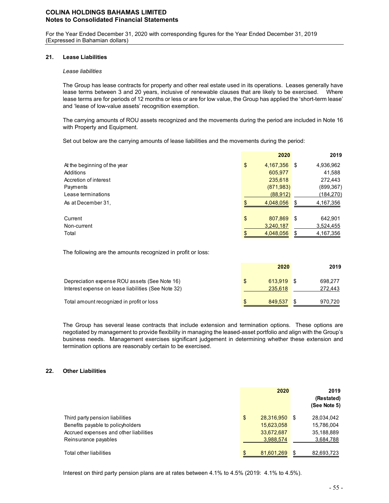For the Year Ended December 31, 2020 with corresponding figures for the Year Ended December 31, 2019 (Expressed in Bahamian dollars)

### **21. Lease Liabilities**

### *Lease liabilities*

The Group has lease contracts for property and other real estate used in its operations. Leases generally have lease terms between 3 and 20 years, inclusive of renewable clauses that are likely to be exercised. Where lease terms are for periods of 12 months or less or are for low value, the Group has applied the 'short-term lease' and 'lease of low-value assets' recognition exemption.

The carrying amounts of ROU assets recognized and the movements during the period are included in Note 16 with Property and Equipment.

Set out below are the carrying amounts of lease liabilities and the movements during the period:

|                              |     | 2020         |      | 2019       |
|------------------------------|-----|--------------|------|------------|
| At the beginning of the year | \$  | 4,167,356 \$ |      | 4,936,962  |
| Additions                    |     | 605,977      |      | 41,588     |
| Accretion of interest        |     | 235,618      |      | 272,443    |
| Payments                     |     | (871, 983)   |      | (899, 367) |
| Lease terminations           |     | (88, 912)    |      | (184,270)  |
| As at December 31,           | \$. | 4.048.056    | S    | 4,167,356  |
| Current                      | \$  | 807,869      | - \$ | 642,901    |
| Non-current                  |     | 3,240,187    |      | 3,524,455  |
| Total                        | \$  | 4.048.056    | S    | 4,167,356  |

The following are the amounts recognized in profit or loss:

|                                                                                                      | 2020                        | 2019               |
|------------------------------------------------------------------------------------------------------|-----------------------------|--------------------|
| Depreciation expense ROU assets (See Note 16)<br>Interest expense on lease liabilities (See Note 32) | \$<br>613.919 \$<br>235,618 | 698.277<br>272,443 |
| Total amount recognized in profit or loss                                                            | 849.537                     | 970,720            |

The Group has several lease contracts that include extension and termination options. These options are negotiated by management to provide flexibility in managing the leased-asset portfolio and align with the Group's business needs. Management exercises significant judgement in determining whether these extension and termination options are reasonably certain to be exercised.

### **22. Other Liabilities**

|                                        | 2020             |      | 2019<br>(Restated)<br>(See Note 5) |
|----------------------------------------|------------------|------|------------------------------------|
| Third party pension liabilities        | \$<br>28,316,950 | - \$ | 28,034,042                         |
| Benefits payable to policyholders      | 15,623,058       |      | 15,786,004                         |
| Accrued expenses and other liabilities | 33,672,687       |      | 35,188,889                         |
| Reinsurance payables                   | 3,988,574        |      | 3,684,788                          |
| Total other liabilities                | 81,601,269       | £.   | 82,693,723                         |

Interest on third party pension plans are at rates between 4.1% to 4.5% (2019: 4.1% to 4.5%).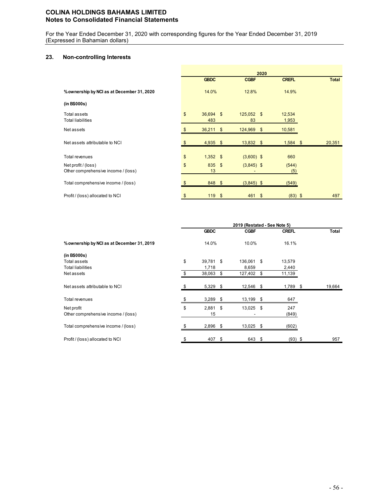For the Year Ended December 31, 2020 with corresponding figures for the Year Ended December 31, 2019 (Expressed in Bahamian dollars)

# **23. Non-controlling Interests**

|                                                            | 2020          |                  |  |                    |    |                 |  |        |
|------------------------------------------------------------|---------------|------------------|--|--------------------|----|-----------------|--|--------|
|                                                            |               | <b>GBDC</b>      |  | <b>CGBF</b>        |    | <b>CREFL</b>    |  | Total  |
| % ownership by NCI as at December 31, 2020                 |               | 14.0%            |  | 12.8%              |    | 14.9%           |  |        |
| (in B\$000s)                                               |               |                  |  |                    |    |                 |  |        |
| Total assets<br><b>Total liabilities</b>                   | $\mathsf{\$}$ | 36,694 \$<br>483 |  | $125,052$ \$<br>83 |    | 12,534<br>1,953 |  |        |
| Net assets                                                 |               | $36,211$ \$      |  | 124,969 \$         |    | 10,581          |  |        |
| Net assets attributable to NCI                             |               | $4,935$ \$       |  | $13,832$ \$        |    | $1,584$ \$      |  | 20,351 |
| Total revenues                                             | \$            | $1,352$ \$       |  | $(3,600)$ \$       |    | 660             |  |        |
| Net profit / (loss)<br>Other comprehensive income / (loss) | \$            | 835 \$<br>13     |  | $(3,845)$ \$       |    | (544)<br>(5)    |  |        |
| Total comprehensive income / (loss)                        |               | 848 \$           |  | $(3,845)$ \$       |    | (549)           |  |        |
| Profit / (loss) allocated to NCI                           | S             | 119S             |  | 461                | \$ | $(83)$ \$       |  | 497    |

|                                            | 2019 (Restated - See Note 5) |             |   |             |    |              |  |        |
|--------------------------------------------|------------------------------|-------------|---|-------------|----|--------------|--|--------|
|                                            |                              | <b>GBDC</b> |   | <b>CGBF</b> |    | <b>CREFL</b> |  | Total  |
| % ownership by NCI as at December 31, 2019 |                              | 14.0%       |   | 10.0%       |    | 16.1%        |  |        |
| (in B\$000s)                               |                              |             |   |             |    |              |  |        |
| Total assets                               | \$                           | 39,781 \$   |   | 136,061 \$  |    | 13,579       |  |        |
| <b>Total liabilities</b>                   |                              | 1,718       |   | 8,659       |    | 2,440        |  |        |
| Net assets                                 |                              | 38,063      | S | 127,402     | \$ | 11,139       |  |        |
| Net assets attributable to NCI             |                              | 5,329 \$    |   | 12,546 \$   |    | 1,789 \$     |  | 19,664 |
| Total revenues                             |                              | $3,289$ \$  |   | 13,199 \$   |    | 647          |  |        |
| Net profit                                 | \$                           | $2,881$ \$  |   | 13,025 \$   |    | 247          |  |        |
| Other comprehensive income / (loss)        |                              | 15          |   |             |    | (849)        |  |        |
| Total comprehensive income / (loss)        |                              | $2,896$ \$  |   | 13,025 \$   |    | (602)        |  |        |
| Profit / (loss) allocated to NCI           | S                            | 407 \$      |   | 643 \$      |    | $(93)$ \$    |  | 957    |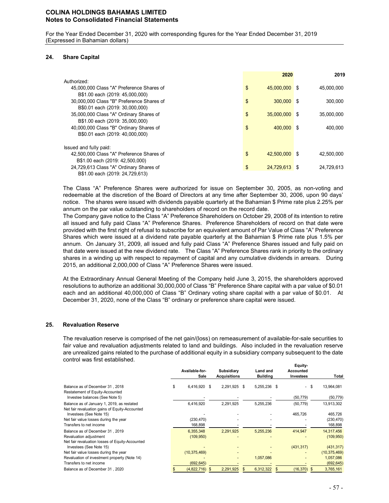For the Year Ended December 31, 2020 with corresponding figures for the Year Ended December 31, 2019 (Expressed in Bahamian dollars)

### **24. Share Capital**

|                                           |                | 2020          | 2019       |
|-------------------------------------------|----------------|---------------|------------|
| Authorized:                               |                |               |            |
| 45,000,000 Class "A" Preference Shares of | \$             | 45.000.000 \$ | 45,000,000 |
| B\$1.00 each (2019: 45,000,000)           |                |               |            |
| 30,000,000 Class "B" Preference Shares of | \$             | 300,000 \$    | 300.000    |
| B\$0.01 each (2019: 30,000,000)           |                |               |            |
| 35,000,000 Class "A" Ordinary Shares of   | $\mathfrak{L}$ | 35,000,000 \$ | 35,000,000 |
| B\$1.00 each (2019: 35,000,000)           |                |               |            |
| 40,000,000 Class "B" Ordinary Shares of   | \$             | 400,000 \$    | 400,000    |
| B\$0.01 each (2019: 40,000,000)           |                |               |            |
| Issued and fully paid:                    |                |               |            |
| 42,500,000 Class "A" Preference Shares of | \$             | 42.500.000 \$ | 42.500.000 |
| B\$1.00 each (2019: 42,500,000)           |                |               |            |
| 24,729,613 Class "A" Ordinary Shares of   | \$             | 24.729.613 \$ | 24,729,613 |
| B\$1.00 each (2019: 24,729,613)           |                |               |            |

The Class "A" Preference Shares were authorized for issue on September 30, 2005, as non-voting and redeemable at the discretion of the Board of Directors at any time after September 30, 2006, upon 90 days' notice. The shares were issued with dividends payable quarterly at the Bahamian \$ Prime rate plus 2.25% per annum on the par value outstanding to shareholders of record on the record date.

The Company gave notice to the Class "A" Preference Shareholders on October 29, 2008 of its intention to retire all issued and fully paid Class "A" Preference Shares. Preference Shareholders of record on that date were provided with the first right of refusal to subscribe for an equivalent amount of Par Value of Class "A" Preference Shares which were issued at a dividend rate payable quarterly at the Bahamian \$ Prime rate plus 1.5% per annum. On January 31, 2009, all issued and fully paid Class "A" Preference Shares issued and fully paid on that date were issued at the new dividend rate. The Class "A" Preference Shares rank in priority to the ordinary shares in a winding up with respect to repayment of capital and any cumulative dividends in arrears. During 2015, an additional 2,000,000 of Class "A" Preference Shares were issued.

At the Extraordinary Annual General Meeting of the Company held June 3, 2015, the shareholders approved resolutions to authorize an additional 30,000,000 of Class "B" Preference Share capital with a par value of \$0.01 each and an additional 40,000,000 of Class "B" Ordinary voting share capital with a par value of \$0.01. At December 31, 2020, none of the Class "B" ordinary or preference share capital were issued.

### **25. Revaluation Reserve**

The revaluation reserve is comprised of the net gain/(loss) on remeasurement of available-for-sale securities to fair value and revaluation adjustments related to land and buildings. Also included in the revaluation reserve are unrealized gains related to the purchase of additional equity in a subsidiary company subsequent to the date control was first established.

|                                                                                                                                               | Available-for-<br>Sale  |   | Subsidiary<br><b>Acquisitions</b> |   | Land and<br><b>Building</b> | Equity-<br><b>Accounted</b><br>Investees | Total                            |
|-----------------------------------------------------------------------------------------------------------------------------------------------|-------------------------|---|-----------------------------------|---|-----------------------------|------------------------------------------|----------------------------------|
| Balance as of December 31, 2018                                                                                                               | \$<br>6,416,920         | S | 2.291.925                         | S | 5,255,236 \$                | - \$                                     | 13,964,081                       |
| Restatement of Equity-Accounted<br>Investee balances (See Note 5)                                                                             |                         |   |                                   |   |                             | (50, 779)                                | (50, 779)                        |
| Balance as of January 1, 2019, as restated                                                                                                    | 6,416,920               |   | 2,291,925                         |   | 5,255,236                   | (50, 779)                                | 13,913,302                       |
| Net fair revaluation gains of Equity-Accounted<br>Investees (See Note 15)<br>Net fair value losses during the year<br>Transfers to net income | (230, 470)<br>168,898   |   |                                   |   |                             | 465,726                                  | 465,726<br>(230, 470)<br>168,898 |
| Balance as of December 31, 2019<br>Revaluation adjustment                                                                                     | 6,355,348<br>(109, 950) |   | 2,291,925                         |   | 5,255,236                   | 414,947                                  | 14,317,456<br>(109, 950)         |
| Net fair revaluation losses of Equity-Accounted<br>Investees (See Note 15)                                                                    |                         |   |                                   |   |                             | (431, 317)                               | (431, 317)                       |
| Net fair value losses during the year                                                                                                         | (10, 375, 469)          |   |                                   |   |                             |                                          | (10, 375, 469)                   |
| Revaluation of investment property (Note 14)                                                                                                  |                         |   |                                   |   | 1,057,086                   |                                          | 1,057,086                        |
| Transfers to net income                                                                                                                       | (692, 645)              |   |                                   |   |                             |                                          | (692, 645)                       |
| Balance as of December 31, 2020                                                                                                               | (4,822,716)             |   | 2.291.925                         |   | 6,312,322                   | (16, 370)                                | \$<br>3,765,161                  |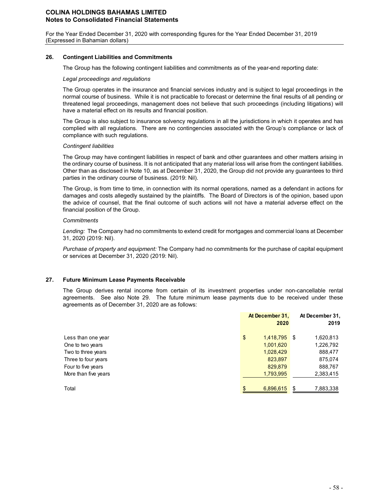For the Year Ended December 31, 2020 with corresponding figures for the Year Ended December 31, 2019 (Expressed in Bahamian dollars)

### **26. Contingent Liabilities and Commitments**

The Group has the following contingent liabilities and commitments as of the year-end reporting date:

### *Legal proceedings and regulations*

The Group operates in the insurance and financial services industry and is subject to legal proceedings in the normal course of business. While it is not practicable to forecast or determine the final results of all pending or threatened legal proceedings, management does not believe that such proceedings (including litigations) will have a material effect on its results and financial position.

The Group is also subject to insurance solvency regulations in all the jurisdictions in which it operates and has complied with all regulations. There are no contingencies associated with the Group's compliance or lack of compliance with such regulations.

#### *Contingent liabilities*

The Group may have contingent liabilities in respect of bank and other guarantees and other matters arising in the ordinary course of business. It is not anticipated that any material loss will arise from the contingent liabilities. Other than as disclosed in Note 10, as at December 31, 2020, the Group did not provide any guarantees to third parties in the ordinary course of business. (2019: Nil).

The Group, is from time to time, in connection with its normal operations, named as a defendant in actions for damages and costs allegedly sustained by the plaintiffs. The Board of Directors is of the opinion, based upon the advice of counsel, that the final outcome of such actions will not have a material adverse effect on the financial position of the Group.

### *Commitments*

*Lending:* The Company had no commitments to extend credit for mortgages and commercial loans at December 31, 2020 (2019: Nil).

*Purchase of property and equipment:* The Company had no commitments for the purchase of capital equipment or services at December 31, 2020 (2019: Nil).

### **27. Future Minimum Lease Payments Receivable**

The Group derives rental income from certain of its investment properties under non-cancellable rental agreements. See also Note 29. The future minimum lease payments due to be received under these agreements as of December 31, 2020 are as follows:

|                      | At December 31,<br>2020 | At December 31,<br>2019 |
|----------------------|-------------------------|-------------------------|
| Less than one year   | \$<br>1,418,795 \$      | 1,620,813               |
| One to two years     | 1,001,620               | 1,226,792               |
| Two to three years   | 1,028,429               | 888,477                 |
| Three to four years  | 823,897                 | 875,074                 |
| Four to five years   | 829,879                 | 888,767                 |
| More than five years | 1,793,995               | 2,383,415               |
| Total                | \$<br>6,896,615         | \$<br>7,883,338         |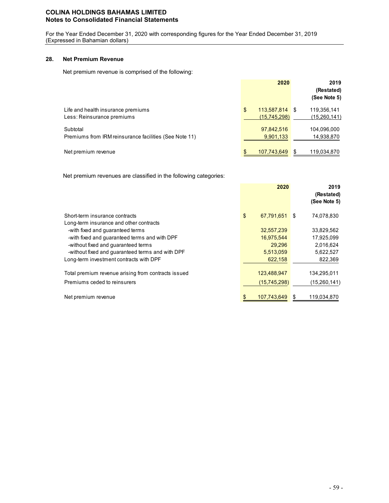For the Year Ended December 31, 2020 with corresponding figures for the Year Ended December 31, 2019 (Expressed in Bahamian dollars)

### **28. Net Premium Revenue**

Net premium revenue is comprised of the following:

|                                                                    | 2020                                 | 2019<br>(Restated)<br>(See Note 5) |
|--------------------------------------------------------------------|--------------------------------------|------------------------------------|
| Life and health insurance premiums<br>Less: Reinsurance premiums   | 113,587,814 \$<br>\$<br>(15,745,298) | 119,356,141<br><u>(15,260,141)</u> |
| Subtotal<br>Premiums from IRM reinsurance facilities (See Note 11) | 97,842,516<br>9,901,133              | 104,096,000<br>14,938,870          |
| Net premium revenue                                                | \$<br>107,743,649                    | 119,034,870<br>S                   |

Net premium revenues are classified in the following categories:

|                                                     | 2020              |     | 2019<br>(Restated)<br>(See Note 5) |
|-----------------------------------------------------|-------------------|-----|------------------------------------|
| Short-term insurance contracts                      | \$<br>67,791,651  | -\$ | 74,078,830                         |
| Long-term insurance and other contracts             |                   |     |                                    |
| -with fixed and guaranteed terms                    | 32,557,239        |     | 33,829,562                         |
| -with fixed and quaranteed terms and with DPF       | 16,975,544        |     | 17,925,099                         |
| -without fixed and quaranteed terms                 | 29,296            |     | 2,016,624                          |
| -without fixed and guaranteed terms and with DPF    | 5,513,059         |     | 5,622,527                          |
| Long-term investment contracts with DPF             | 622,158           |     | 822,369                            |
| Total premium revenue arising from contracts issued | 123,488,947       |     | 134,295,011                        |
| Premiums ceded to reinsurers                        | (15, 745, 298)    |     | (15,260,141)                       |
| Net premium revenue                                 | \$<br>107.743.649 | S   | 119,034,870                        |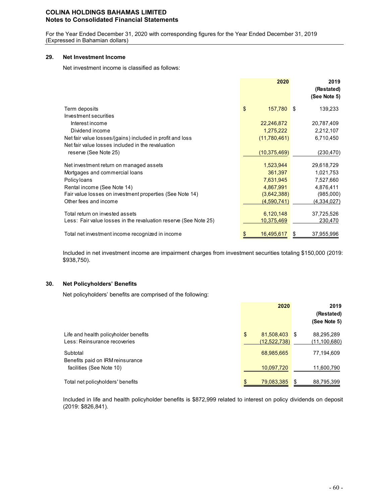For the Year Ended December 31, 2020 with corresponding figures for the Year Ended December 31, 2019 (Expressed in Bahamian dollars)

### **29. Net Investment Income**

Net investment income is classified as follows:

|                                                                  | 2020             | 2019<br>(Restated)<br>(See Note 5) |
|------------------------------------------------------------------|------------------|------------------------------------|
| Term deposits                                                    | \$<br>157,780 \$ | 139,233                            |
| Investment securities                                            |                  |                                    |
| Interest income                                                  | 22,246,872       | 20,787,409                         |
| Dividend income                                                  | 1,275,222        | 2,212,107                          |
| Net fair value losses/(gains) included in profit and loss        | (11,780,461)     | 6,710,450                          |
| Net fair value losses included in the revaluation                |                  |                                    |
| reserve (See Note 25)                                            | (10, 375, 469)   | (230, 470)                         |
| Net investment return on managed assets                          | 1,523,944        | 29,618,729                         |
| Mortgages and commercial loans                                   | 361,397          | 1,021,753                          |
| Policy loans                                                     | 7,631,945        | 7,527,660                          |
| Rental income (See Note 14)                                      | 4,867,991        | 4,876,411                          |
| Fair value losses on investment properties (See Note 14)         | (3,642,388)      | (985,000)                          |
| Other fees and income                                            | (4,590,741)      | (4,334,027)                        |
| Total return on invested assets                                  | 6,120,148        | 37,725,526                         |
| Less: Fair value losses in the revaluation reserve (See Note 25) | 10,375,469       | 230,470                            |
|                                                                  |                  |                                    |
| Total net investment income recognized in income                 | 16,495,617<br>\$ | 37,955,996<br>\$                   |

Included in net investment income are impairment charges from investment securities totaling \$150,000 (2019: \$938,750).

### **30. Net Policyholders' Benefits**

Net policyholders' benefits are comprised of the following:

|                                                                       | 2020                             | 2019<br>(Restated)<br>(See Note 5) |
|-----------------------------------------------------------------------|----------------------------------|------------------------------------|
| Life and health policyholder benefits<br>Less: Reinsurance recoveries | \$<br>81,508,403<br>(12.522.738) | 88,295,289<br>S<br>(11,100,680)    |
| Subtotal<br>Benefits paid on IRM reinsurance                          | 68,985,665                       | 77,194,609                         |
| facilities (See Note 10)                                              | 10,097,720                       | 11,600,790                         |
| Total net policyholders' benefits                                     | \$<br>79,083,385                 | 88,795,399<br>\$.                  |

Included in life and health policyholder benefits is \$872,999 related to interest on policy dividends on deposit (2019: \$826,841).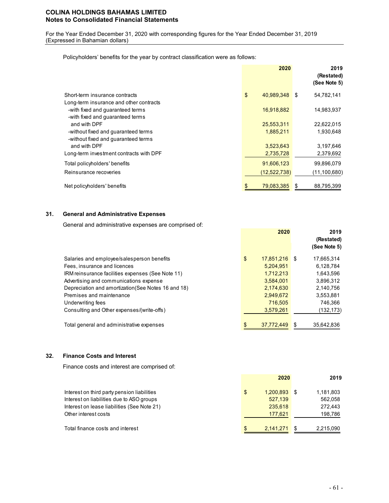For the Year Ended December 31, 2020 with corresponding figures for the Year Ended December 31, 2019 (Expressed in Bahamian dollars)

Policyholders' benefits for the year by contract classification were as follows:

|                                                                                                                 | 2020             | 2019<br>(Restated)<br>(See Note 5) |
|-----------------------------------------------------------------------------------------------------------------|------------------|------------------------------------|
| Short-term insurance contracts                                                                                  | \$<br>40.989.348 | 54,782,141<br>\$                   |
| Long-term insurance and other contracts<br>-with fixed and guaranteed terms<br>-with fixed and quaranteed terms | 16,918,882       | 14,983,937                         |
| and with DPF                                                                                                    | 25,553,311       | 22,622,015                         |
| -without fixed and guaranteed terms<br>-without fixed and guaranteed terms                                      | 1,885,211        | 1,930,648                          |
| and with DPF                                                                                                    | 3,523,643        | 3,197,646                          |
| Long-term investment contracts with DPF                                                                         | 2,735,728        | 2,379,692                          |
| Total policyholders' benefits                                                                                   | 91,606,123       | 99,896,079                         |
| Reinsurance recoveries                                                                                          | (12, 522, 738)   | (11, 100, 680)                     |
| Net policyholders' benefits                                                                                     | 79.083.385<br>\$ | 88,795,399<br>S                    |

## **31. General and Administrative Expenses**

General and administrative expenses are comprised of:

|                                                     | 2020                | 2019<br>(Restated)<br>(See Note 5) |
|-----------------------------------------------------|---------------------|------------------------------------|
| Salaries and employee/salesperson benefits          | \$<br>17.851.216 \$ | 17.665.314                         |
| Fees, insurance and licences                        | 5.204.951           | 6,128,784                          |
| IRM reinsurance facilities expenses (See Note 11)   | 1,712,213           | 1,643,596                          |
| Advertising and communications expense              | 3,584,001           | 3,896,312                          |
| Depreciation and amortization (See Notes 16 and 18) | 2,174,630           | 2,140,756                          |
| Premises and maintenance                            | 2,949,672           | 3,553,881                          |
| Underwriting fees                                   | 716.505             | 746.366                            |
| Consulting and Other expenses/(write-offs)          | 3,579,261           | (132, 173)                         |
| Total general and administrative expenses           | 37,772,449          | 35,642,836<br>S                    |

### **32. Finance Costs and Interest**

Finance costs and interest are comprised of:

|                                             | 2020                 | 2019      |
|---------------------------------------------|----------------------|-----------|
| Interest on third party pension liabilities | \$<br>$1.200.893$ \$ | 1,181,803 |
| Interest on liabilities due to ASO groups   | 527,139              | 562,058   |
| Interest on lease liabilities (See Note 21) | 235,618              | 272.443   |
| Other interest costs                        | 177.621              | 198.786   |
| Total finance costs and interest            | \$<br>2.141.271      | 2,215,090 |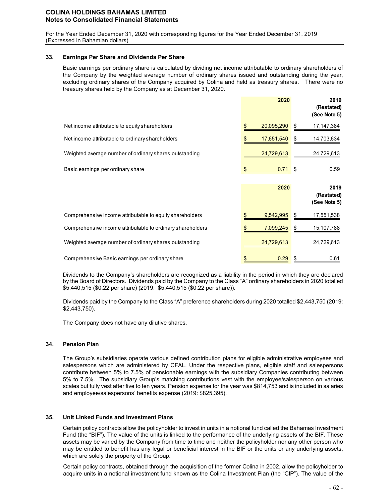For the Year Ended December 31, 2020 with corresponding figures for the Year Ended December 31, 2019 (Expressed in Bahamian dollars)

### **33. Earnings Per Share and Dividends Per Share**

Basic earnings per ordinary share is calculated by dividing net income attributable to ordinary shareholders of the Company by the weighted average number of ordinary shares issued and outstanding during the year, excluding ordinary shares of the Company acquired by Colina and held as treasury shares. There were no treasury shares held by the Company as at December 31, 2020.

|                                                            | 2020       | 2019<br>(Restated)<br>(See Note 5) |
|------------------------------------------------------------|------------|------------------------------------|
| Net income attributable to equity shareholders             | 20,095,290 | 17,147,384<br>\$                   |
| Net income attributable to ordinary shareholders           | 17,651,540 | 14,703,634<br>\$                   |
| Weighted average number of ordinary shares outstanding     | 24,729,613 | 24,729,613                         |
| Basic earnings per ordinary share                          | 0.71       | \$<br>0.59                         |
|                                                            |            |                                    |
|                                                            | 2020       | 2019<br>(Restated)<br>(See Note 5) |
| Comprehensive income attributable to equity shareholders   | 9,542,995  | 17,551,538<br>\$                   |
| Comprehensive income attributable to ordinary shareholders | 7,099,245  | \$<br>15,107,788                   |
| Weighted average number of ordinary shares outstanding     | 24,729,613 | 24,729,613                         |

Dividends to the Company's shareholders are recognized as a liability in the period in which they are declared by the Board of Directors. Dividends paid by the Company to the Class "A" ordinary shareholders in 2020 totalled \$5,440,515 (\$0.22 per share) (2019: \$5,440,515 (\$0.22 per share)).

Dividends paid by the Company to the Class "A" preference shareholders during 2020 totalled \$2,443,750 (2019: \$2,443,750).

The Company does not have any dilutive shares.

## **34. Pension Plan**

The Group's subsidiaries operate various defined contribution plans for eligible administrative employees and salespersons which are administered by CFAL. Under the respective plans, eligible staff and salespersons contribute between 5% to 7.5% of pensionable earnings with the subsidiary Companies contributing between 5% to 7.5%. The subsidiary Group's matching contributions vest with the employee/salesperson on various scales but fully vest after five to ten years. Pension expense for the year was \$814,753 and is included in salaries and employee/salespersons' benefits expense (2019: \$825,395).

## **35. Unit Linked Funds and Investment Plans**

Certain policy contracts allow the policyholder to invest in units in a notional fund called the Bahamas Investment Fund (the "BIF"). The value of the units is linked to the performance of the underlying assets of the BIF. These assets may be varied by the Company from time to time and neither the policyholder nor any other person who may be entitled to benefit has any legal or beneficial interest in the BIF or the units or any underlying assets, which are solely the property of the Group.

Certain policy contracts, obtained through the acquisition of the former Colina in 2002, allow the policyholder to acquire units in a notional investment fund known as the Colina Investment Plan (the "CIP"). The value of the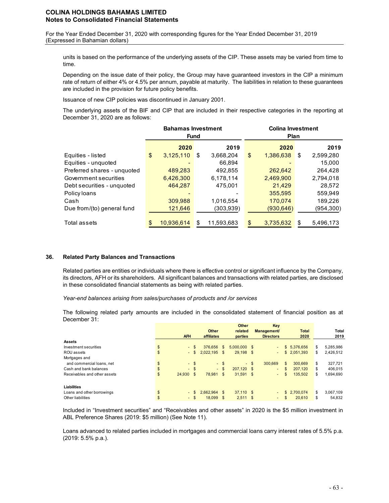For the Year Ended December 31, 2020 with corresponding figures for the Year Ended December 31, 2019 (Expressed in Bahamian dollars)

units is based on the performance of the underlying assets of the CIP. These assets may be varied from time to time.

Depending on the issue date of their policy, the Group may have guaranteed investors in the CIP a minimum rate of return of either 4% or 4.5% per annum, payable at maturity. The liabilities in relation to these guarantees are included in the provision for future policy benefits.

Issuance of new CIP policies was discontinued in January 2001.

The underlying assets of the BIF and CIP that are included in their respective categories in the reporting at December 31, 2020 are as follows:

|                             |                  | <b>Bahamas Investment</b><br><b>Fund</b> | <b>Colina Investment</b><br>Plan |                 |
|-----------------------------|------------------|------------------------------------------|----------------------------------|-----------------|
|                             | 2020             | 2019                                     | 2020                             | 2019            |
| Equities - listed           | \$<br>3,125,110  | \$<br>3,668,204                          | \$<br>1,386,638                  | 2,599,280<br>\$ |
| Equities - unquoted         |                  | 66.894                                   |                                  | 15,000          |
| Preferred shares - unquoted | 489,283          | 492,855                                  | 262,642                          | 264.428         |
| Government securities       | 6,426,300        | 6,178,114                                | 2,469,900                        | 2,794,018       |
| Debt securities - unquoted  | 464.287          | 475.001                                  | 21,429                           | 28,572          |
| Policy loans                |                  |                                          | 355,595                          | 559.949         |
| Cash                        | 309,988          | 1,016,554                                | 170,074                          | 189,226         |
| Due from/(to) general fund  | 121,646          | (303,939)                                | (930, 646)                       | (954,300)       |
| Total assets                | \$<br>10,936,614 | \$<br>11,593,683                         | \$<br>3,735,632                  | 5,496,173       |

### **36. Related Party Balances and Transactions**

Related parties are entities or individuals where there is effective control or significant influence by the Company, its directors, AFH or its shareholders. All significant balances and transactions with related parties, are disclosed in these consolidated financial statements as being with related parties.

*Year-end balances arising from sales/purchases of products and /or services* 

The following related party amounts are included in the consolidated statement of financial position as at December 31:

|                              |              |              |                |        | Other          |        | Key                |               |                 |
|------------------------------|--------------|--------------|----------------|--------|----------------|--------|--------------------|---------------|-----------------|
|                              |              |              | Other          |        | related        |        | <b>Management/</b> | <b>Total</b>  | Total           |
|                              | <b>AFH</b>   |              | affiliates     |        | parties        |        | <b>Directors</b>   | 2020          | 2019            |
| <b>Assets</b>                |              |              |                |        |                |        |                    |               |                 |
| Investment securities        | \$<br>- \$   |              | 376,656        | \$     | $5.000.000$ \$ |        | $\sim$             | \$ 5.376,656  | \$<br>5,285,986 |
| ROU assets                   | \$<br>$\sim$ | $\mathbf{s}$ | $2,022,195$ \$ |        | 29.198 \$      |        | $\sim$             | \$2,051,393   | \$<br>2,426,512 |
| Mortgages and                |              |              |                |        |                |        |                    |               |                 |
| and commercial loans, net    | \$<br>$-$ \$ |              |                | - \$   |                | $-$ \$ | 300.669            | \$<br>300.669 | \$<br>327.721   |
| Cash and bank balances       | \$<br>$-$ \$ |              |                | $-$ \$ | 207.120 \$     |        | $\sim$             | \$<br>207.120 | \$<br>406.015   |
| Receivables and other assets | \$<br>24.930 | \$           | 78.981         | \$     | $31,591$ \$    |        | $\sim$             | \$<br>135,502 | \$<br>1,694,690 |
| Liabilities                  |              |              |                |        |                |        |                    |               |                 |
| Loans and other borrowings   | \$<br>$\sim$ |              | 2.662.964      | -\$    | $37,110$ \$    |        | $\sim$             | \$2.700.074   | \$<br>3,067,109 |
| Other liabilities            | \$<br>- \$   |              | 18.099         | - \$   | $2.511$ \$     |        | $\sim$             | \$<br>20,610  | \$<br>54.832    |

Included in "Investment securities" and "Receivables and other assets" in 2020 is the \$5 million investment in ABL Preference Shares (2019: \$5 million) (See Note 11).

Loans advanced to related parties included in mortgages and commercial loans carry interest rates of 5.5% p.a. (2019: 5.5% p.a.).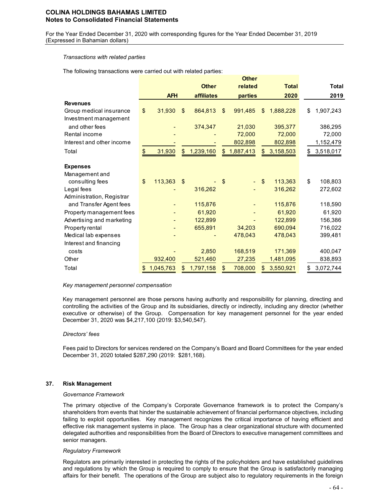For the Year Ended December 31, 2020 with corresponding figures for the Year Ended December 31, 2019 (Expressed in Bahamian dollars)

#### *Transactions with related parties*

The following transactions were carried out with related parties:

|                           |                 |               |                   |                | Other     |                 |                 |
|---------------------------|-----------------|---------------|-------------------|----------------|-----------|-----------------|-----------------|
|                           |                 |               | <b>Other</b>      |                | related   | <b>Total</b>    | <b>Total</b>    |
|                           | <b>AFH</b>      |               | <i>affiliates</i> |                | parties   | 2020            | 2019            |
| <b>Revenues</b>           |                 |               |                   |                |           |                 |                 |
| Group medical insurance   | \$<br>31,930    | \$            | 864,813           | $\mathfrak{L}$ | 991,485   | \$<br>1,888,228 | \$<br>1,907,243 |
| Investment management     |                 |               |                   |                |           |                 |                 |
| and other fees            |                 |               | 374,347           |                | 21,030    | 395,377         | 386,295         |
| Rental income             |                 |               |                   |                | 72,000    | 72,000          | 72,000          |
| Interest and other income |                 |               |                   |                | 802,898   | 802,898         | 1,152,479       |
| Total                     | \$<br>31,930    | \$            | 1,239,160         | \$             | 1,887,413 | \$<br>3,158,503 | \$<br>3,518,017 |
| <b>Expenses</b>           |                 |               |                   |                |           |                 |                 |
| Management and            |                 |               |                   |                |           |                 |                 |
| consulting fees           | \$<br>113,363   | $\sqrt[6]{3}$ |                   | \$             |           | \$<br>113,363   | \$<br>108,803   |
| Legal fees                |                 |               | 316,262           |                |           | 316,262         | 272,602         |
| Administration, Registrar |                 |               |                   |                |           |                 |                 |
| and Transfer Agent fees   |                 |               | 115,876           |                |           | 115,876         | 118,590         |
| Property management fees  |                 |               | 61,920            |                |           | 61,920          | 61,920          |
| Advertising and marketing |                 |               | 122,899           |                |           | 122,899         | 156,386         |
| Property rental           |                 |               | 655,891           |                | 34,203    | 690,094         | 716,022         |
| Medical lab expenses      |                 |               |                   |                | 478,043   | 478,043         | 399,481         |
| Interest and financing    |                 |               |                   |                |           |                 |                 |
| costs                     |                 |               | 2,850             |                | 168,519   | 171,369         | 400,047         |
| Other                     | 932,400         |               | 521,460           |                | 27,235    | 1,481,095       | 838,893         |
| Total                     | \$<br>1,045,763 | \$            | 1,797,158         | \$             | 708,000   | \$<br>3,550,921 | \$<br>3,072,744 |

### *Key management personnel compensation*

Key management personnel are those persons having authority and responsibility for planning, directing and controlling the activities of the Group and its subsidiaries, directly or indirectly, including any director (whether executive or otherwise) of the Group. Compensation for key management personnel for the year ended December 31, 2020 was \$4,217,100 (2019: \$3,540,547).

### *Directors' fees*

Fees paid to Directors for services rendered on the Company's Board and Board Committees for the year ended December 31, 2020 totaled \$287,290 (2019: \$281,168).

### **37. Risk Management**

#### *Governance Framework*

The primary objective of the Company's Corporate Governance framework is to protect the Company's shareholders from events that hinder the sustainable achievement of financial performance objectives, including failing to exploit opportunities. Key management recognizes the critical importance of having efficient and effective risk management systems in place. The Group has a clear organizational structure with documented delegated authorities and responsibilities from the Board of Directors to executive management committees and senior managers.

#### *Regulatory Framework*

Regulators are primarily interested in protecting the rights of the policyholders and have established guidelines and regulations by which the Group is required to comply to ensure that the Group is satisfactorily managing affairs for their benefit. The operations of the Group are subject also to regulatory requirements in the foreign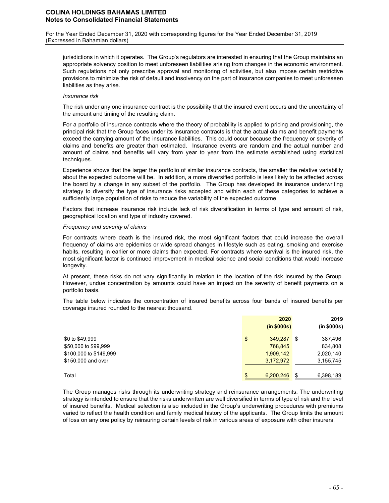For the Year Ended December 31, 2020 with corresponding figures for the Year Ended December 31, 2019 (Expressed in Bahamian dollars)

jurisdictions in which it operates. The Group's regulators are interested in ensuring that the Group maintains an appropriate solvency position to meet unforeseen liabilities arising from changes in the economic environment. Such regulations not only prescribe approval and monitoring of activities, but also impose certain restrictive provisions to minimize the risk of default and insolvency on the part of insurance companies to meet unforeseen liabilities as they arise.

#### *Insurance risk*

The risk under any one insurance contract is the possibility that the insured event occurs and the uncertainty of the amount and timing of the resulting claim.

For a portfolio of insurance contracts where the theory of probability is applied to pricing and provisioning, the principal risk that the Group faces under its insurance contracts is that the actual claims and benefit payments exceed the carrying amount of the insurance liabilities. This could occur because the frequency or severity of claims and benefits are greater than estimated. Insurance events are random and the actual number and amount of claims and benefits will vary from year to year from the estimate established using statistical techniques.

Experience shows that the larger the portfolio of similar insurance contracts, the smaller the relative variability about the expected outcome will be. In addition, a more diversified portfolio is less likely to be affected across the board by a change in any subset of the portfolio. The Group has developed its insurance underwriting strategy to diversify the type of insurance risks accepted and within each of these categories to achieve a sufficiently large population of risks to reduce the variability of the expected outcome.

Factors that increase insurance risk include lack of risk diversification in terms of type and amount of risk, geographical location and type of industry covered.

#### *Frequency and severity of claims*

For contracts where death is the insured risk, the most significant factors that could increase the overall frequency of claims are epidemics or wide spread changes in lifestyle such as eating, smoking and exercise habits, resulting in earlier or more claims than expected. For contracts where survival is the insured risk, the most significant factor is continued improvement in medical science and social conditions that would increase longevity.

At present, these risks do not vary significantly in relation to the location of the risk insured by the Group. However, undue concentration by amounts could have an impact on the severity of benefit payments on a portfolio basis.

The table below indicates the concentration of insured benefits across four bands of insured benefits per coverage insured rounded to the nearest thousand.

|                        | 2020<br>(in \$000s) | 2019<br>(in \$000s) |
|------------------------|---------------------|---------------------|
| \$0 to \$49,999        | \$<br>349,287       | \$<br>387,496       |
| \$50,000 to \$99,999   | 768,845             | 834,808             |
| \$100,000 to \$149,999 | 1,909,142           | 2,020,140           |
| \$150,000 and over     | 3,172,972           | 3,155,745           |
| Total                  | \$<br>6,200,246     | \$<br>6,398,189     |

The Group manages risks through its underwriting strategy and reinsurance arrangements. The underwriting strategy is intended to ensure that the risks underwritten are well diversified in terms of type of risk and the level of insured benefits. Medical selection is also included in the Group's underwriting procedures with premiums varied to reflect the health condition and family medical history of the applicants. The Group limits the amount of loss on any one policy by reinsuring certain levels of risk in various areas of exposure with other insurers.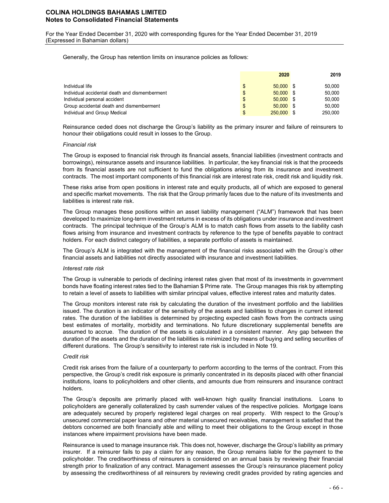For the Year Ended December 31, 2020 with corresponding figures for the Year Ended December 31, 2019 (Expressed in Bahamian dollars)

Generally, the Group has retention limits on insurance policies as follows:

|                                               |                | 2020         | 2019    |
|-----------------------------------------------|----------------|--------------|---------|
| Individual life                               | \$             | $50.000$ \$  | 50.000  |
| Individual accidental death and dismemberment | \$             | $50.000$ \$  | 50.000  |
| Individual personal accident                  | $\mathfrak{L}$ | $50.000$ \$  | 50.000  |
| Group accidental death and dismemberment      | \$             | $50.000$ \$  | 50.000  |
| Individual and Group Medical                  | \$             | $250.000$ \$ | 250.000 |

Reinsurance ceded does not discharge the Group's liability as the primary insurer and failure of reinsurers to honour their obligations could result in losses to the Group.

#### *Financial risk*

The Group is exposed to financial risk through its financial assets, financial liabilities (investment contracts and borrowings), reinsurance assets and insurance liabilities. In particular, the key financial risk is that the proceeds from its financial assets are not sufficient to fund the obligations arising from its insurance and investment contracts. The most important components of this financial risk are interest rate risk, credit risk and liquidity risk.

These risks arise from open positions in interest rate and equity products, all of which are exposed to general and specific market movements. The risk that the Group primarily faces due to the nature of its investments and liabilities is interest rate risk.

The Group manages these positions within an asset liability management ("ALM") framework that has been developed to maximize long-term investment returns in excess of its obligations under insurance and investment contracts. The principal technique of the Group's ALM is to match cash flows from assets to the liability cash flows arising from insurance and investment contracts by reference to the type of benefits payable to contract holders. For each distinct category of liabilities, a separate portfolio of assets is maintained.

The Group's ALM is integrated with the management of the financial risks associated with the Group's other financial assets and liabilities not directly associated with insurance and investment liabilities.

#### *Interest rate risk*

The Group is vulnerable to periods of declining interest rates given that most of its investments in government bonds have floating interest rates tied to the Bahamian \$ Prime rate. The Group manages this risk by attempting to retain a level of assets to liabilities with similar principal values, effective interest rates and maturity dates.

The Group monitors interest rate risk by calculating the duration of the investment portfolio and the liabilities issued. The duration is an indicator of the sensitivity of the assets and liabilities to changes in current interest rates. The duration of the liabilities is determined by projecting expected cash flows from the contracts using best estimates of mortality, morbidity and terminations. No future discretionary supplemental benefits are assumed to accrue. The duration of the assets is calculated in a consistent manner. Any gap between the duration of the assets and the duration of the liabilities is minimized by means of buying and selling securities of different durations. The Group's sensitivity to interest rate risk is included in Note 19.

#### *Credit risk*

Credit risk arises from the failure of a counterparty to perform according to the terms of the contract. From this perspective, the Group's credit risk exposure is primarily concentrated in its deposits placed with other financial institutions, loans to policyholders and other clients, and amounts due from reinsurers and insurance contract holders.

The Group's deposits are primarily placed with well-known high quality financial institutions. Loans to policyholders are generally collateralized by cash surrender values of the respective policies. Mortgage loans are adequately secured by properly registered legal charges on real property. With respect to the Group's unsecured commercial paper loans and other material unsecured receivables, management is satisfied that the debtors concerned are both financially able and willing to meet their obligations to the Group except in those instances where impairment provisions have been made.

Reinsurance is used to manage insurance risk. This does not, however, discharge the Group's liability as primary insurer. If a reinsurer fails to pay a claim for any reason, the Group remains liable for the payment to the policyholder. The creditworthiness of reinsurers is considered on an annual basis by reviewing their financial strength prior to finalization of any contract. Management assesses the Group's reinsurance placement policy by assessing the creditworthiness of all reinsurers by reviewing credit grades provided by rating agencies and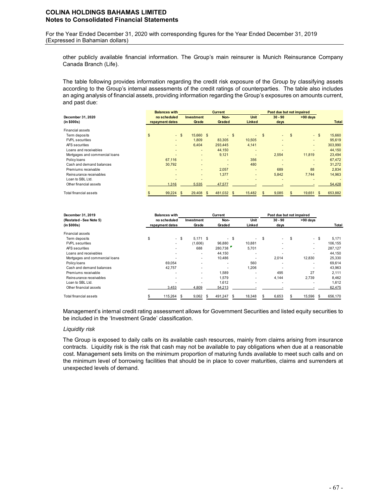For the Year Ended December 31, 2020 with corresponding figures for the Year Ended December 31, 2019 (Expressed in Bahamian dollars)

other publicly available financial information. The Group's main reinsurer is Munich Reinsurance Company Canada Branch (Life).

The table following provides information regarding the credit risk exposure of the Group by classifying assets according to the Group's internal assessments of the credit ratings of counterparties. The table also includes an aging analysis of financial assets, providing information regarding the Group's exposures on amounts current, and past due:

|                                | <b>Balances with</b>     |        |                          |          | <b>Current</b> |        |                          |              | Past due but not impaired |          |          |               |
|--------------------------------|--------------------------|--------|--------------------------|----------|----------------|--------|--------------------------|--------------|---------------------------|----------|----------|---------------|
| December 31, 2020              | no scheduled             |        | <b>Investment</b>        |          | Non-           |        | <b>Unit</b>              |              | $30 - 90$                 |          | >90 days |               |
| (in \$000s)                    | repayment dates          |        | Grade                    |          | Graded         |        | Linked                   |              | days                      |          |          | <b>Total</b>  |
| Financial assets               |                          |        |                          |          |                |        |                          |              |                           |          |          |               |
| Term deposits                  | $\mathfrak{s}$           | $-$ \$ | 15.660 \$                |          |                | $-$ \$ | $\overline{\phantom{a}}$ | $\mathbf{s}$ | $\sim$                    | <b>S</b> | $-$ \$   | 15,660        |
| <b>FVPL</b> securities         | ٠                        |        | 1.809                    |          | 83,305         |        | 10.505                   |              | $\overline{\phantom{a}}$  |          |          | 95,619        |
| AFS securities                 | $\overline{\phantom{a}}$ |        | 6.404                    |          | 293.445        |        | 4,141                    |              | ۰                         |          | $\sim$   | 303,990       |
| Loans and receivables          |                          |        |                          |          | 44,150         |        | ۰                        |              |                           |          |          | 44,150        |
| Mortgages and commercial loans |                          |        |                          |          | 9,121          |        | $\overline{\phantom{a}}$ |              | 2,554                     |          | 11,819   | 23,494        |
| Policy loans                   | 67,116                   |        |                          |          |                |        | 356                      |              | $\overline{\phantom{a}}$  |          | ۰.       | 67,472        |
| Cash and demand balances       | 30,792                   |        |                          |          |                |        | 480                      |              |                           |          |          | 31,272        |
| Premiums receivable            |                          |        | $\overline{\phantom{0}}$ |          | 2,057          |        | ۰                        |              | 689                       |          | 88       | 2,834         |
| Reinsurance receivables        |                          |        | ٠                        |          | 1,377          |        | ٠                        |              | 5,842                     |          | 7.744    | 14,963        |
| Loan to SBL Ltd.               |                          |        |                          |          |                |        | $\overline{\phantom{a}}$ |              |                           |          |          |               |
| Other financial assets         | 1,316                    |        | 5,535                    |          | 47,577         |        |                          |              |                           |          |          | 54,428        |
| Total financial assets         | 99,224<br>S              | \$     | 29,408                   | <b>S</b> | 481.032        | -S     | 15.482                   | \$           | 9,085                     | S        | 19,651   | \$<br>653,882 |

| December 31, 2019              | <b>Balances with</b> |                 |    |            |      |         |      |                          | Past due but not impaired |                          |    |          |         |
|--------------------------------|----------------------|-----------------|----|------------|------|---------|------|--------------------------|---------------------------|--------------------------|----|----------|---------|
| (Restated - See Note 5)        |                      | no scheduled    |    | Investment |      | Non-    |      | Unit                     |                           | $30 - 90$                |    | >90 days |         |
| (in \$000s)                    |                      | repayment dates |    | Grade      |      | Graded  |      | Linked                   |                           | days                     |    |          | Total   |
| Financial assets               |                      |                 |    |            |      |         |      |                          |                           |                          |    |          |         |
| Term deposits                  | \$                   | - \$            |    | $5.171$ \$ |      |         | - \$ | $\sim$                   | \$                        | ۰.                       | -S | - \$     | 5,171   |
| <b>FVPL</b> securities         |                      | ۰               |    | (1,606)    |      | 96,880  |      | 10,881                   |                           | ۰                        |    | ۰.       | 106,155 |
| AFS securities                 |                      |                 |    | 688        |      | 280,738 |      | 5,701                    |                           | ۰                        |    | ۰        | 287,127 |
| Loans and receivables          |                      |                 |    | ۰.         |      | 44,150  |      | ۰                        |                           | ۰                        |    |          | 44,150  |
| Mortgages and commercial loans |                      |                 |    | ۰          |      | 10,486  |      | $\overline{\phantom{a}}$ |                           | 2,014                    |    | 12,830   | 25,330  |
| Policy loans                   |                      | 69,054          |    | ۰          |      |         |      | 560                      |                           | $\overline{\phantom{a}}$ |    | ۰        | 69,614  |
| Cash and demand balances       |                      | 42.757          |    | ۰          |      |         |      | 1,206                    |                           | $\overline{\phantom{a}}$ |    | ٠        | 43,963  |
| Premiums receivable            |                      | ۰               |    | ۰.         |      | 1,589   |      | $\overline{\phantom{a}}$ |                           | 495                      |    | 27       | 2,111   |
| Reinsurance receivables        |                      |                 |    | ۰          |      | 1.579   |      | $\overline{\phantom{a}}$ |                           | 4.144                    |    | 2.739    | 8,462   |
| Loan to SBL Ltd.               |                      |                 |    | ۰.         |      | 1.612   |      | ۰                        |                           | $\overline{\phantom{a}}$ |    |          | 1,612   |
| Other financial assets         |                      | 3,453           |    | 4,809      |      | 54,213  |      |                          |                           |                          |    |          | 62,475  |
| Total financial assets         |                      | 115,264         | -S | 9,062      | - \$ | 491,247 | S    | 18,348                   |                           | 6,653                    |    | 15,596   | 656,170 |

Management's internal credit rating assessment allows for Government Securities and listed equity securities to be included in the 'Investment Grade' classification.

### *Liquidity risk*

The Group is exposed to daily calls on its available cash resources, mainly from claims arising from insurance contracts. Liquidity risk is the risk that cash may not be available to pay obligations when due at a reasonable cost. Management sets limits on the minimum proportion of maturing funds available to meet such calls and on the minimum level of borrowing facilities that should be in place to cover maturities, claims and surrenders at unexpected levels of demand.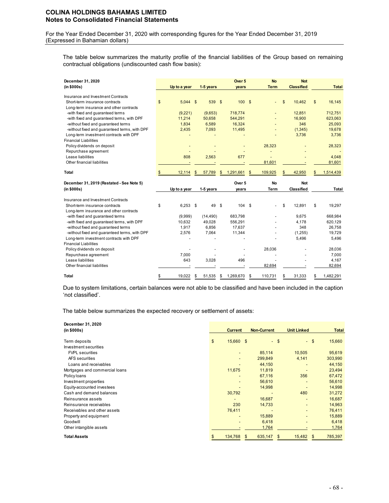For the Year Ended December 31, 2020 with corresponding figures for the Year Ended December 31, 2019 (Expressed in Bahamian dollars)

The table below summarizes the maturity profile of the financial liabilities of the Group based on remaining contractual obligations (undiscounted cash flow basis):

| December 31, 2020                                                                    |              |                 |                |                 | Over 5            |            | <b>No</b>   |               | <b>Not</b>        |              |                   |
|--------------------------------------------------------------------------------------|--------------|-----------------|----------------|-----------------|-------------------|------------|-------------|---------------|-------------------|--------------|-------------------|
| (in \$000s)                                                                          |              | Up to a year    |                | 1-5 years       | vears             |            | <b>Term</b> |               | <b>Classified</b> |              | <b>Total</b>      |
| Insurance and Investment Contracts                                                   |              |                 |                |                 |                   |            |             |               |                   |              |                   |
| Short-term insurance contracts                                                       | $\mathsf{s}$ | 5.044           | $\mathfrak{s}$ | 539 \$          | 100               | $^{\circ}$ |             | $\mathsf{\$}$ | 10,462            | $\mathbb{S}$ | 16,145            |
| Long-term insurance and other contracts                                              |              |                 |                |                 |                   |            |             |               |                   |              |                   |
| -with fixed and guaranteed terms                                                     |              | (9,221)         |                | (9,653)         | 718,774           |            |             |               | 12,851            |              | 712,751           |
| -with fixed and guaranteed terms, with DPF                                           |              | 11,214          |                | 50,658          | 544,291           |            |             |               | 16,900            |              | 623,063           |
| -without fixed and guaranteed terms                                                  |              | 1,834           |                | 6,589           | 16,324            |            |             |               | 346               |              | 25,093            |
| -without fixed and guaranteed terms, with DPF                                        |              | 2,435           |                | 7,093           | 11,495            |            |             |               | (1, 345)          |              | 19,678            |
| Long-term investment contracts with DPF                                              |              |                 |                |                 |                   |            |             |               | 3,736             |              | 3,736             |
| <b>Financial Liabilities</b>                                                         |              |                 |                |                 |                   |            |             |               |                   |              |                   |
| Policy dividends on deposit                                                          |              |                 |                |                 |                   |            | 28,323      |               |                   |              | 28,323            |
| Repurchase agreement                                                                 |              |                 |                |                 |                   |            |             |               |                   |              |                   |
| Lease liabilities                                                                    |              | 808             |                | 2,563           | 677               |            |             |               |                   |              | 4,048             |
| Other financial liabilities                                                          |              |                 |                |                 |                   |            | 81,601      |               |                   |              | 81,601            |
| Total                                                                                | \$           | 12,114          | \$             | 57,789          | \$<br>1,291,661   | \$         | 109,925     | S             | 42,950            | \$           | 1,514,439         |
| December 31, 2019 (Restated - See Note 5)                                            |              |                 |                |                 |                   |            |             |               |                   |              |                   |
|                                                                                      |              |                 |                |                 | Over 5            |            | <b>No</b>   |               | <b>Not</b>        |              |                   |
| (in \$000s)                                                                          |              | Up to a year    |                | 1-5 years       | years             |            | <b>Term</b> |               | Classified        |              | <b>Total</b>      |
|                                                                                      |              |                 |                |                 |                   |            |             |               |                   |              |                   |
| Insurance and Investment Contracts                                                   |              |                 |                |                 |                   |            |             |               |                   |              |                   |
| Short-term insurance contracts                                                       | \$           | 6.253           | - \$           | 49 \$           | 104 \$            |            |             | \$            | 12.891            | \$           | 19,297            |
| Long-term insurance and other contracts                                              |              |                 |                |                 |                   |            |             |               |                   |              |                   |
| -with fixed and quaranteed terms                                                     |              | (9,999)         |                | (14, 490)       | 683,798           |            |             |               | 9,675             |              | 668,984           |
| -with fixed and guaranteed terms, with DPF                                           |              | 10,632<br>1,917 |                | 49,028<br>6,856 | 556,291<br>17,637 |            |             |               | 4,178<br>348      |              | 620,129<br>26,758 |
| -without fixed and guaranteed terms<br>-without fixed and quaranteed terms, with DPF |              | 2,576           |                | 7,064           | 11,344            |            |             |               | (1,255)           |              | 19,729            |
| Long-term investment contracts with DPF                                              |              |                 |                |                 |                   |            |             |               | 5,496             |              | 5,496             |
| <b>Financial Liabilities</b>                                                         |              |                 |                |                 |                   |            |             |               |                   |              |                   |
| Policy dividends on deposit                                                          |              |                 |                |                 |                   |            | 28,036      |               |                   |              | 28,036            |
| Repurchase agreement                                                                 |              | 7.000           |                |                 |                   |            |             |               |                   |              | 7,000             |
| Lease liabilities                                                                    |              | 643             |                | 3,028           | 496               |            |             |               |                   |              | 4,167             |
| Other financial liabilities                                                          |              |                 |                |                 |                   |            | 82.694      |               |                   |              | 82,694            |

Due to system limitations, certain balances were not able to be classified and have been included in the caption 'not classified'.

The table below summarizes the expected recovery or settlement of assets:

| December 31, 2020<br>(in \$000s) | <b>Current</b>  | <b>Non-Current</b> |        | <b>Unit Linked</b> | <b>Total</b>  |
|----------------------------------|-----------------|--------------------|--------|--------------------|---------------|
| Term deposits                    | \$<br>15,660 \$ |                    | $-$ \$ | $-$ \$             | 15,660        |
| Investment securities            |                 |                    |        |                    |               |
| <b>FVPL</b> securities           |                 | 85,114             |        | 10,505             | 95,619        |
| AFS securities                   |                 | 299,849            |        | 4,141              | 303,990       |
| Loans and receivables            |                 | 44,150             |        |                    | 44,150        |
| Mortgages and commercial loans   | 11,675          | 11,819             |        |                    | 23,494        |
| Policy loans                     |                 | 67,116             |        | 356                | 67,472        |
| Investment properties            |                 | 56,610             |        |                    | 56,610        |
| Equity-accounted investees       |                 | 14,998             |        |                    | 14,998        |
| Cash and demand balances         | 30,792          |                    |        | 480                | 31,272        |
| Reinsurance assets               |                 | 16,687             |        |                    | 16,687        |
| Reinsurance receivables          | 230             | 14,733             |        |                    | 14,963        |
| Receivables and other assets     | 76,411          |                    |        |                    | 76,411        |
| Property and equipment           |                 | 15,889             |        |                    | 15,889        |
| Goodwill                         |                 | 6,418              |        |                    | 6,418         |
| Other intangible assets          |                 |                    | 1,764  |                    | 1,764         |
| <b>Total Assets</b>              | 134,768         | 635,147<br>\$      | \$     | 15,482             | \$<br>785,397 |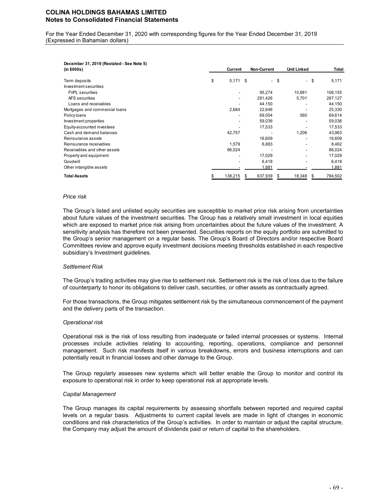For the Year Ended December 31, 2020 with corresponding figures for the Year Ended December 31, 2019 (Expressed in Bahamian dollars)

| December 31, 2019 (Restated - See Note 5) |                  |                |                                  |      |         |
|-------------------------------------------|------------------|----------------|----------------------------------|------|---------|
| (in \$000s)                               | Current          | Non-Current    | <b>Unit Linked</b>               |      | Total   |
| Term deposits                             | \$<br>$5,171$ \$ |                | - \$<br>$\overline{\phantom{a}}$ | - \$ | 5,171   |
| Investment securities                     |                  |                |                                  |      |         |
| <b>FVPL</b> securities                    |                  | 95,274         | 10,881                           |      | 106,155 |
| AFS securities                            |                  | 281,426        | 5,701                            |      | 287,127 |
| Loans and receivables                     |                  | 44,150         |                                  |      | 44,150  |
| Mortgages and commercial loans            | 2,684            | 22,646         |                                  |      | 25,330  |
| Policy loans                              |                  | 69,054         | 560                              |      | 69,614  |
| Investment properties                     |                  | 59,036         |                                  |      | 59,036  |
| Equity-accounted investees                |                  | 17,533         |                                  |      | 17,533  |
| Cash and demand balances                  | 42,757           |                | 1,206                            |      | 43,963  |
| Reinsurance assets                        |                  | 16,609         |                                  |      | 16,609  |
| Reinsurance receivables                   | 1,579            | 6,883          |                                  |      | 8,462   |
| Receivables and other assets              | 86,024           |                |                                  |      | 86,024  |
| Property and equipment                    |                  | 17,029         |                                  |      | 17,029  |
| Goodwill                                  |                  | 6,418          |                                  |      | 6,418   |
| Other intangible assets                   |                  | 1,881          |                                  |      | 1,881   |
| <b>Total Assets</b>                       | 138,215          | 637,939<br>\$. | 18,348<br>S                      | \$.  | 794,502 |

#### *Price risk*

The Group's listed and unlisted equity securities are susceptible to market price risk arising from uncertainties about future values of the investment securities. The Group has a relatively small investment in local equities which are exposed to market price risk arising from uncertainties about the future values of the investment. A sensitivity analysis has therefore not been presented. Securities reports on the equity portfolio are submitted to the Group's senior management on a regular basis. The Group's Board of Directors and/or respective Board Committees review and approve equity investment decisions meeting thresholds established in each respective subsidiary's Investment guidelines.

#### *Settlement Risk*

The Group's trading activities may give rise to settlement risk. Settlement risk is the risk of loss due to the failure of counterparty to honor its obligations to deliver cash, securities, or other assets as contractually agreed.

For those transactions, the Group mitigates settlement risk by the simultaneous commencement of the payment and the delivery parts of the transaction.

#### *Operational risk*

Operational risk is the risk of loss resulting from inadequate or failed internal processes or systems. Internal processes include activities relating to accounting, reporting, operations, compliance and personnel management. Such risk manifests itself in various breakdowns, errors and business interruptions and can potentially result in financial losses and other damage to the Group.

The Group regularly assesses new systems which will better enable the Group to monitor and control its exposure to operational risk in order to keep operational risk at appropriate levels.

#### *Capital Management*

The Group manages its capital requirements by assessing shortfalls between reported and required capital levels on a regular basis. Adjustments to current capital levels are made in light of changes in economic conditions and risk characteristics of the Group's activities. In order to maintain or adjust the capital structure, the Company may adjust the amount of dividends paid or return of capital to the shareholders.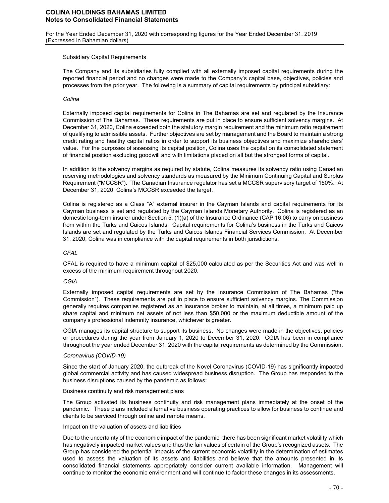For the Year Ended December 31, 2020 with corresponding figures for the Year Ended December 31, 2019 (Expressed in Bahamian dollars)

#### Subsidiary Capital Requirements

The Company and its subsidiaries fully complied with all externally imposed capital requirements during the reported financial period and no changes were made to the Company's capital base, objectives, policies and processes from the prior year. The following is a summary of capital requirements by principal subsidiary:

### *Colina*

Externally imposed capital requirements for Colina in The Bahamas are set and regulated by the Insurance Commission of The Bahamas. These requirements are put in place to ensure sufficient solvency margins. At December 31, 2020, Colina exceeded both the statutory margin requirement and the minimum ratio requirement of qualifying to admissible assets. Further objectives are set by management and the Board to maintain a strong credit rating and healthy capital ratios in order to support its business objectives and maximize shareholders' value. For the purposes of assessing its capital position, Colina uses the capital on its consolidated statement of financial position excluding goodwill and with limitations placed on all but the strongest forms of capital.

In addition to the solvency margins as required by statute, Colina measures its solvency ratio using Canadian reserving methodologies and solvency standards as measured by the Minimum Continuing Capital and Surplus Requirement ("MCCSR"). The Canadian Insurance regulator has set a MCCSR supervisory target of 150%. At December 31, 2020, Colina's MCCSR exceeded the target.

Colina is registered as a Class "A" external insurer in the Cayman Islands and capital requirements for its Cayman business is set and regulated by the Cayman Islands Monetary Authority. Colina is registered as an domestic long-term insurer under Section 5. (1)(a) of the Insurance Ordinance (CAP 16.06) to carry on business from within the Turks and Caicos Islands. Capital requirements for Colina's business in the Turks and Caicos Islands are set and regulated by the Turks and Caicos Islands Financial Services Commission. At December 31, 2020, Colina was in compliance with the capital requirements in both jurisdictions.

### *CFAL*

CFAL is required to have a minimum capital of \$25,000 calculated as per the Securities Act and was well in excess of the minimum requirement throughout 2020.

### *CGIA*

Externally imposed capital requirements are set by the Insurance Commission of The Bahamas ("the Commission"). These requirements are put in place to ensure sufficient solvency margins. The Commission generally requires companies registered as an insurance broker to maintain, at all times, a minimum paid up share capital and minimum net assets of not less than \$50,000 or the maximum deductible amount of the company's professional indemnity insurance, whichever is greater.

CGIA manages its capital structure to support its business. No changes were made in the objectives, policies or procedures during the year from January 1, 2020 to December 31, 2020. CGIA has been in compliance throughout the year ended December 31, 2020 with the capital requirements as determined by the Commission.

#### *Coronavirus (COVID-19)*

Since the start of January 2020, the outbreak of the Novel Coronavirus (COVID-19) has significantly impacted global commercial activity and has caused widespread business disruption. The Group has responded to the business disruptions caused by the pandemic as follows:

### Business continuity and risk management plans

The Group activated its business continuity and risk management plans immediately at the onset of the pandemic. These plans included alternative business operating practices to allow for business to continue and clients to be serviced through online and remote means.

#### Impact on the valuation of assets and liabilities

Due to the uncertainty of the economic impact of the pandemic, there has been significant market volatility which has negatively impacted market values and thus the fair values of certain of the Group's recognized assets. The Group has considered the potential impacts of the current economic volatility in the determination of estimates used to assess the valuation of its assets and liabilities and believe that the amounts presented in its consolidated financial statements appropriately consider current available information. Management will continue to monitor the economic environment and will continue to factor these changes in its assessments.